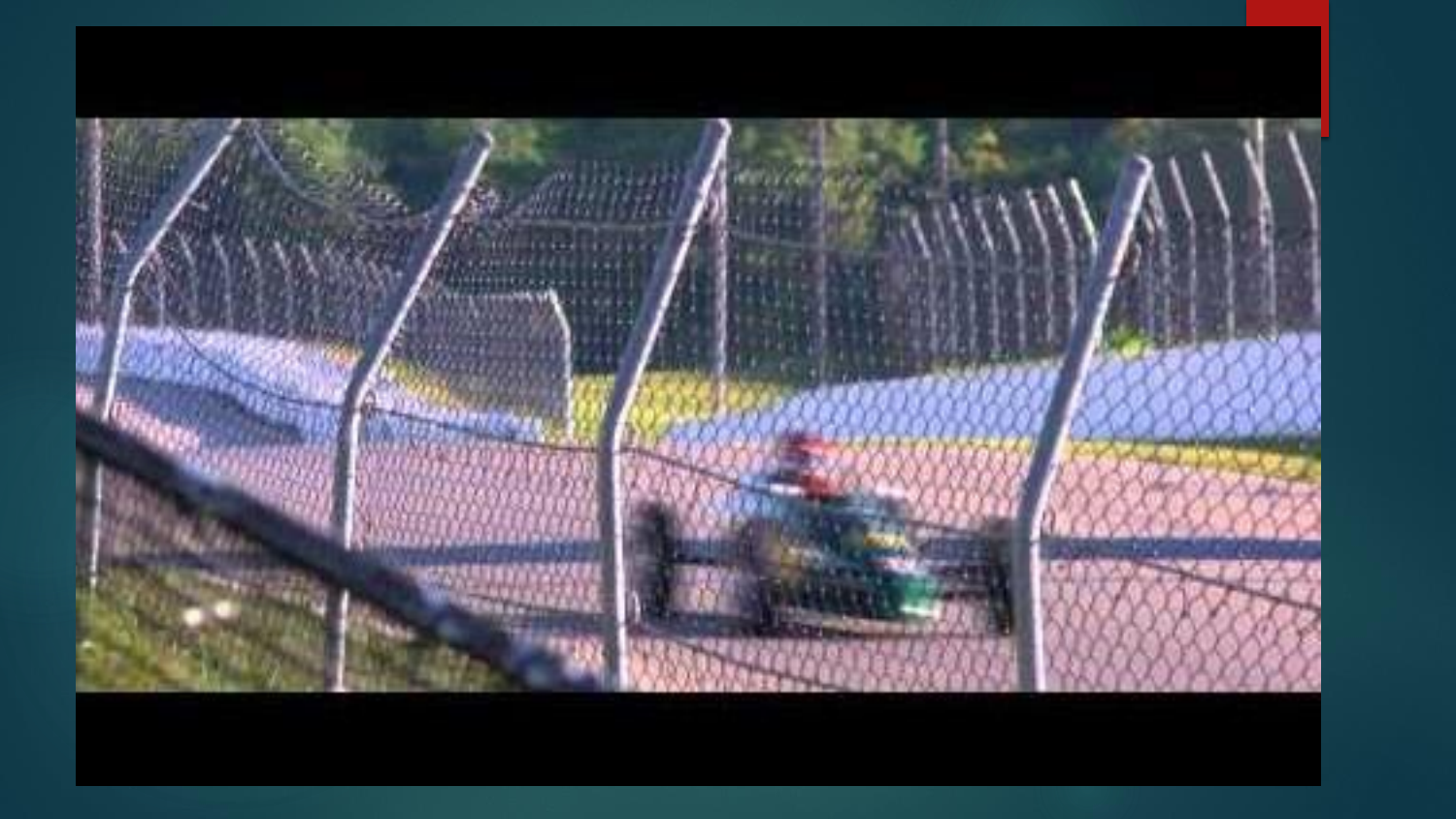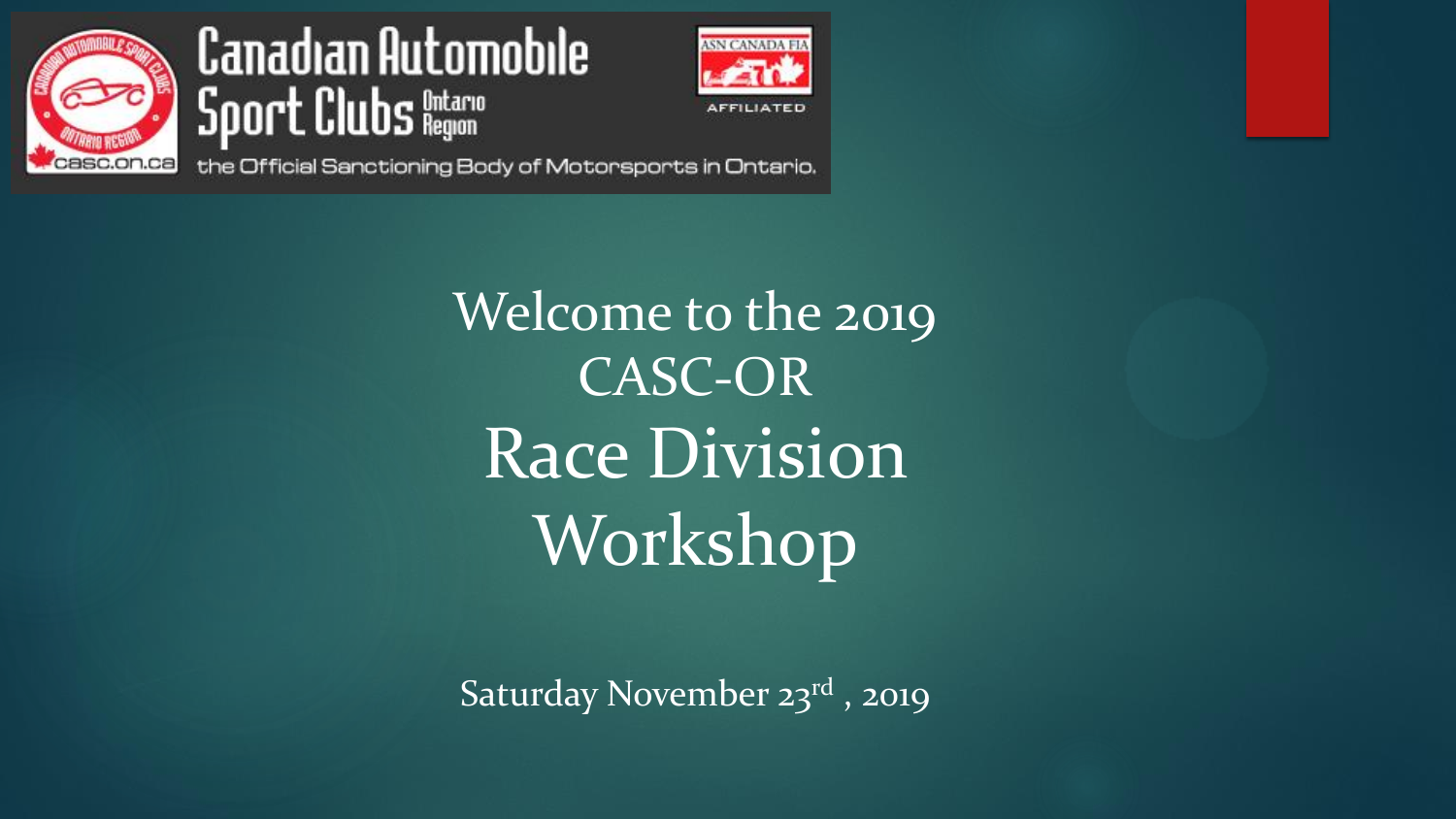



the Official Sanctioning Body of Motorsports in Ontario.

Welcome to the 2019 CASC-OR Race Division Workshop

Saturday November 23rd, 2019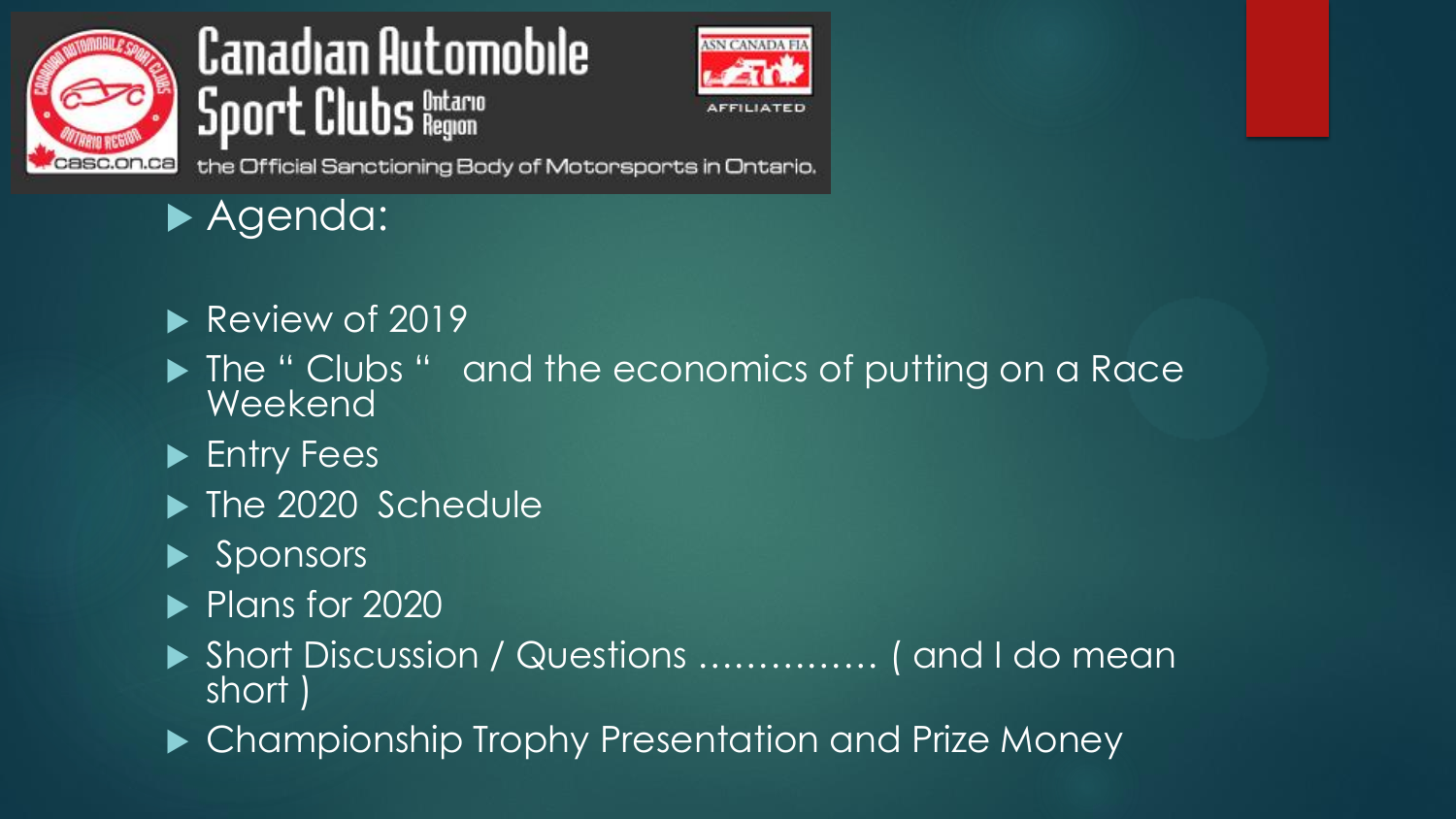



the Official Sanctioning Body of Motorsports in Ontario.

Agenda:

#### Review of 2019

- ▶ The " Clubs " and the economics of putting on a Race Weekend
- **Filty Fees**
- The 2020 Schedule
- ▶ Sponsors
- Plans for 2020
- ▶ Short Discussion / Questions ................ | and I do mean short )
- **Championship Trophy Presentation and Prize Money**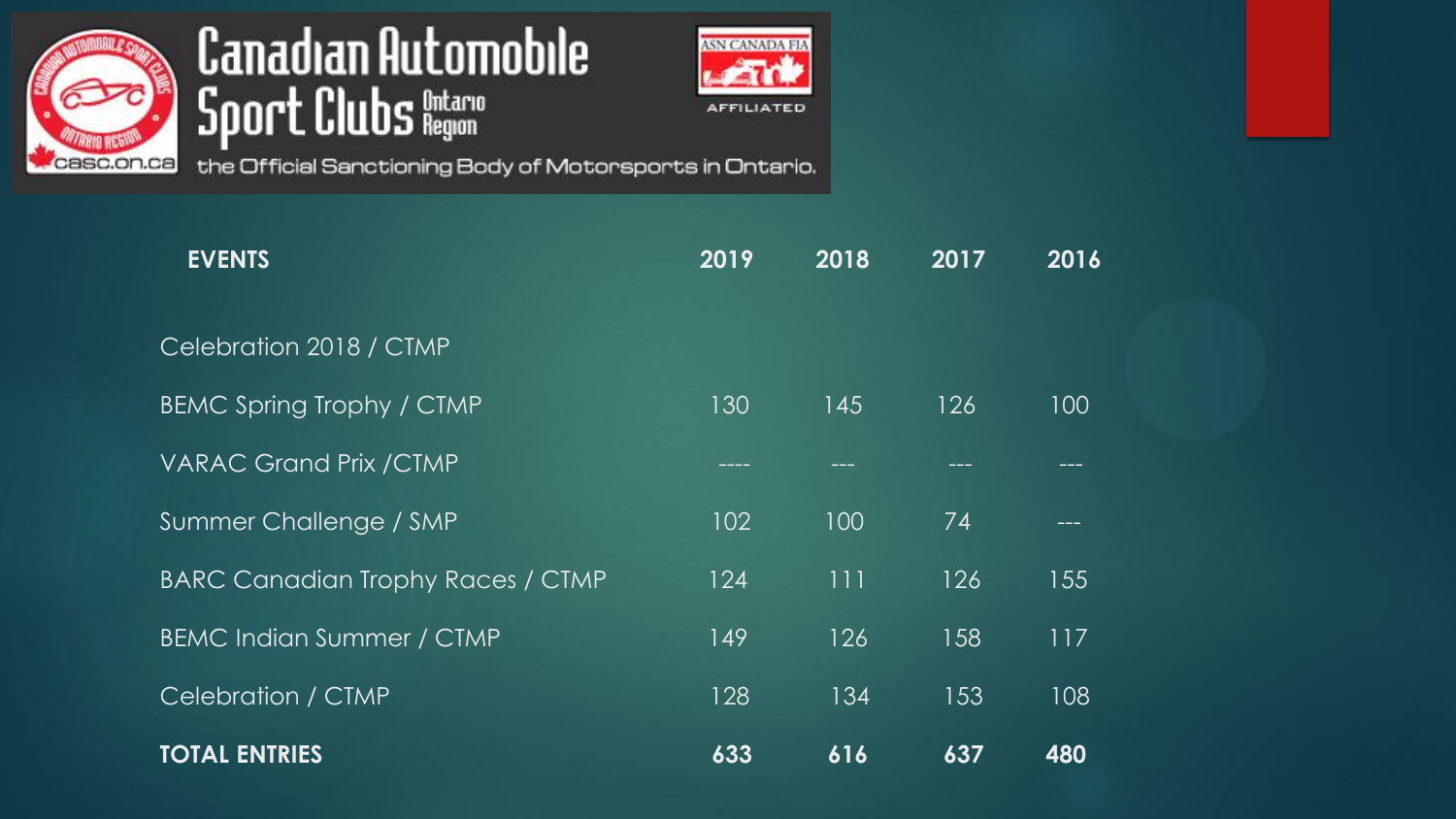



the Official Sanctioning Body of Motorsports in Ontario.

| <b>EVENTS</b>                            | 2019 | 2018 | 2017 | 2016 |
|------------------------------------------|------|------|------|------|
|                                          |      |      |      |      |
| Celebration 2018 / CTMP                  |      |      |      |      |
| BEMC Spring Trophy / CTMP                | 130  | 145  | 126  | 100  |
| <b>VARAC Grand Prix / CTMP</b>           |      |      |      |      |
| Summer Challenge / SMP                   | 102  | 100  | 74   |      |
| <b>BARC Canadian Trophy Races / CTMP</b> | 124  | 111  | 126  | 155  |
| <b>BEMC Indian Summer / CTMP</b>         | 149  | 126  | 158  | 117  |
| Celebration / CTMP                       | 128  | 134  | 153  | 108  |
| <b>TOTAL ENTRIES</b>                     | 633  | 616  | 637  | 480  |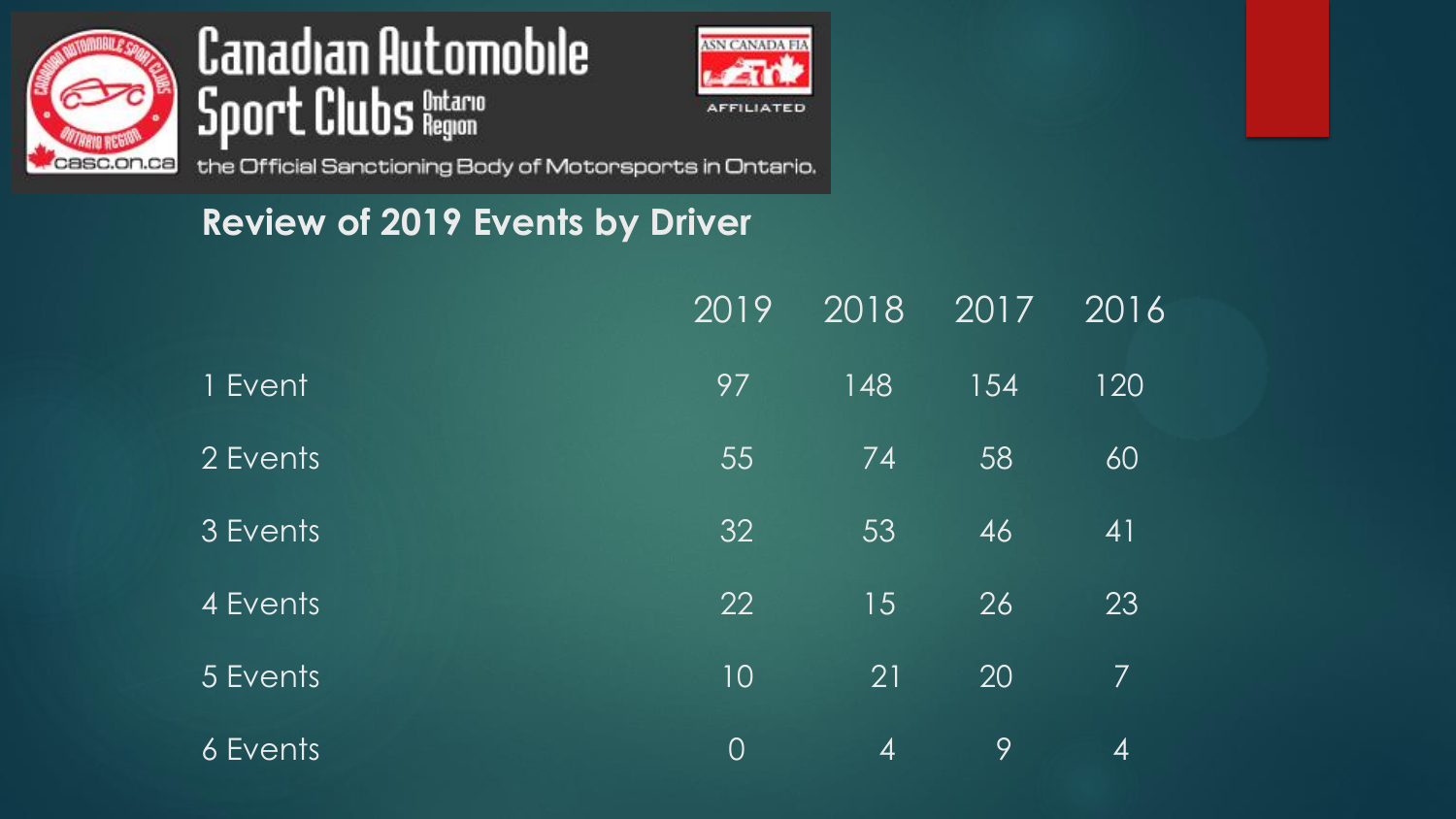

# **Canadian Automobile**<br>Sport Clubs **Automo**



the Official Sanctioning Body of Motorsports in Ontario.

#### **Review of 2019 Events by Driver**

|          | 2019           | 2018           | 2017 | 2016           |
|----------|----------------|----------------|------|----------------|
| 1 Event  | 97             | 148            | 154  | 120            |
| 2 Events | 55             | 74             | 58   | 60             |
| 3 Events | 32             | 53             | 46   | 41             |
| 4 Events | 22             | 15             | 26   | 23             |
| 5 Events | 10             | 21             | 20   | $\overline{7}$ |
| 6 Events | $\overline{O}$ | $\overline{4}$ | 9    | 4              |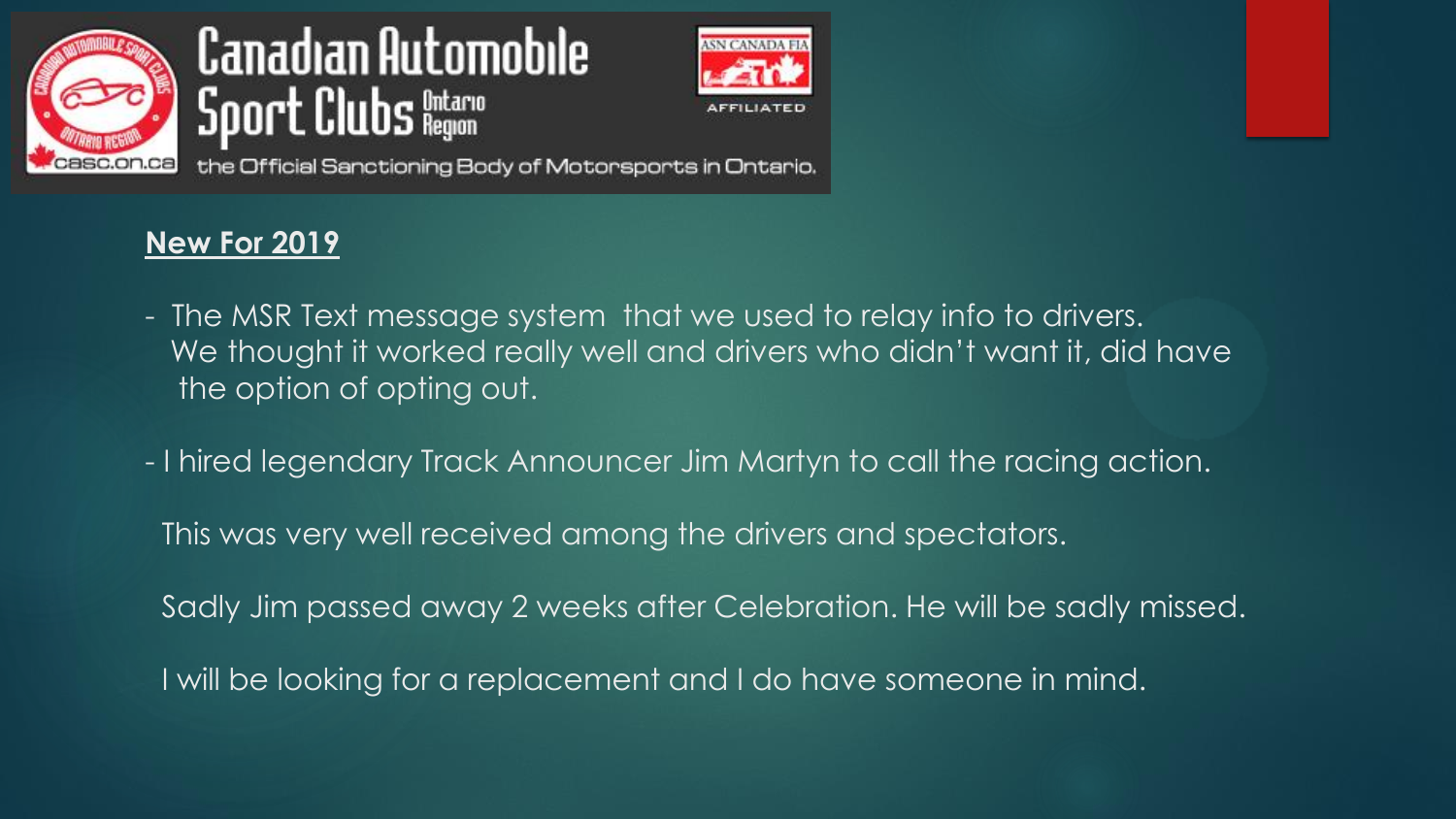

#### Canadian Automobile **Sport Clubs**



the Official Sanctioning Body of Motorsports in Ontario.

#### **New For 2019**

- The MSR Text message system that we used to relay info to drivers. We thought it worked really well and drivers who didn't want it, did have the option of opting out.
- I hired legendary Track Announcer Jim Martyn to call the racing action.

This was very well received among the drivers and spectators.

Sadly Jim passed away 2 weeks after Celebration. He will be sadly missed.

I will be looking for a replacement and I do have someone in mind.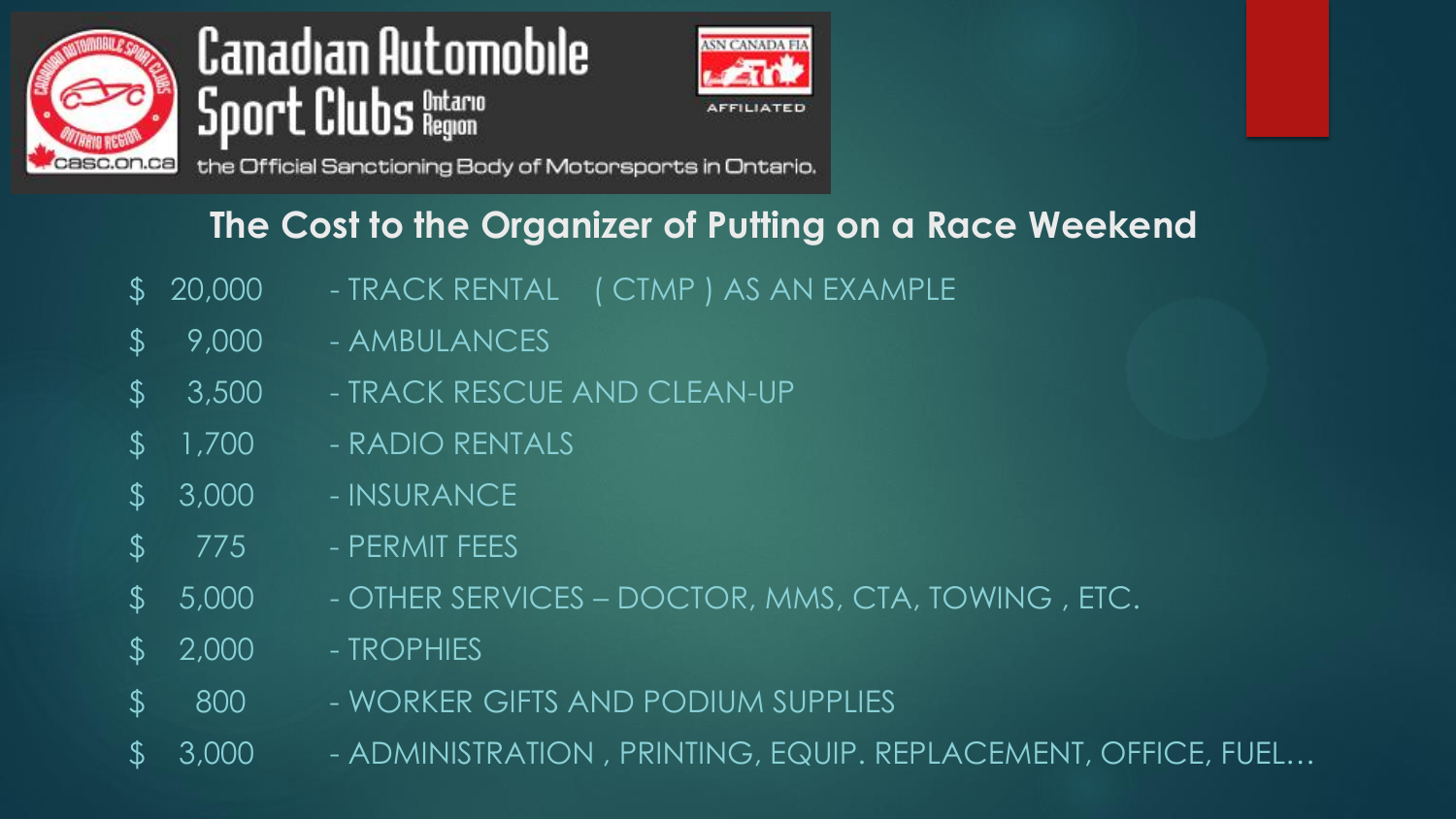





the Official Sanctioning Body of Motorsports in Ontario.

#### **The Cost to the Organizer of Putting on a Race Weekend**

- \$ 20,000 TRACK RENTAL ( CTMP ) AS AN EXAMPLE
- \$ 9,000 AMBULANCES
- S 3,500 TRACK RESCUE AND CLEAN-UP
- \$ 1,700 RADIO RENTALS
- \$ 3,000 INSURANCE
- \$ 775 PERMIT FEES
- \$ 5,000 OTHER SERVICES DOCTOR, MMS, CTA, TOWING , ETC.
- \$ 2,000 TROPHIES
- \$ 800 WORKER GIFTS AND PODIUM SUPPLIES
- \$ 3,000 ADMINISTRATION , PRINTING, EQUIP. REPLACEMENT, OFFICE, FUEL…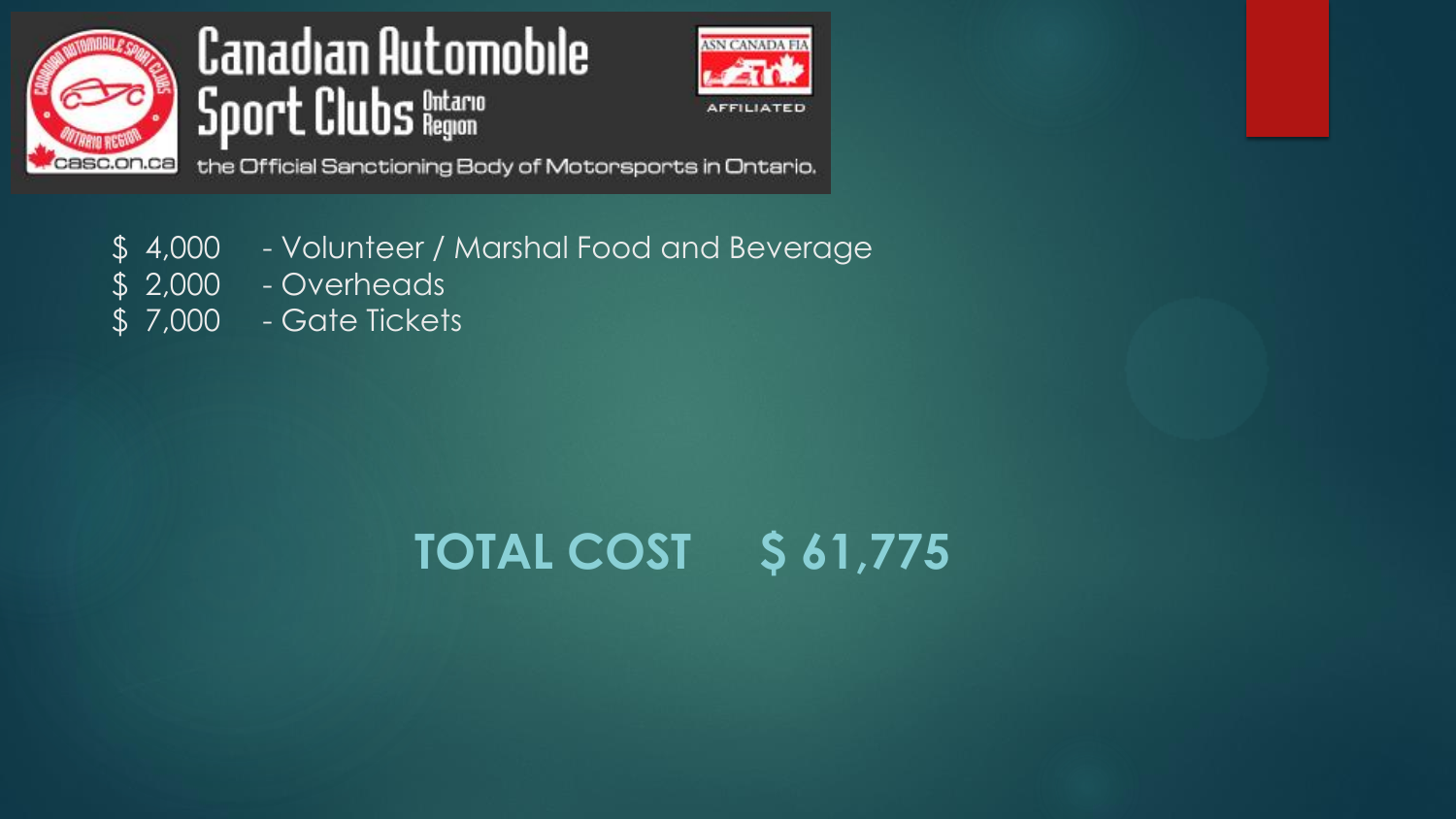



the Official Sanctioning Body of Motorsports in Ontario.

- \$ 4,000 Volunteer / Marshal Food and Beverage
- $\overline{\$$  2,000 Overheads
- \$ 7,000 Gate Tickets

#### **TOTAL COST \$ 61,775**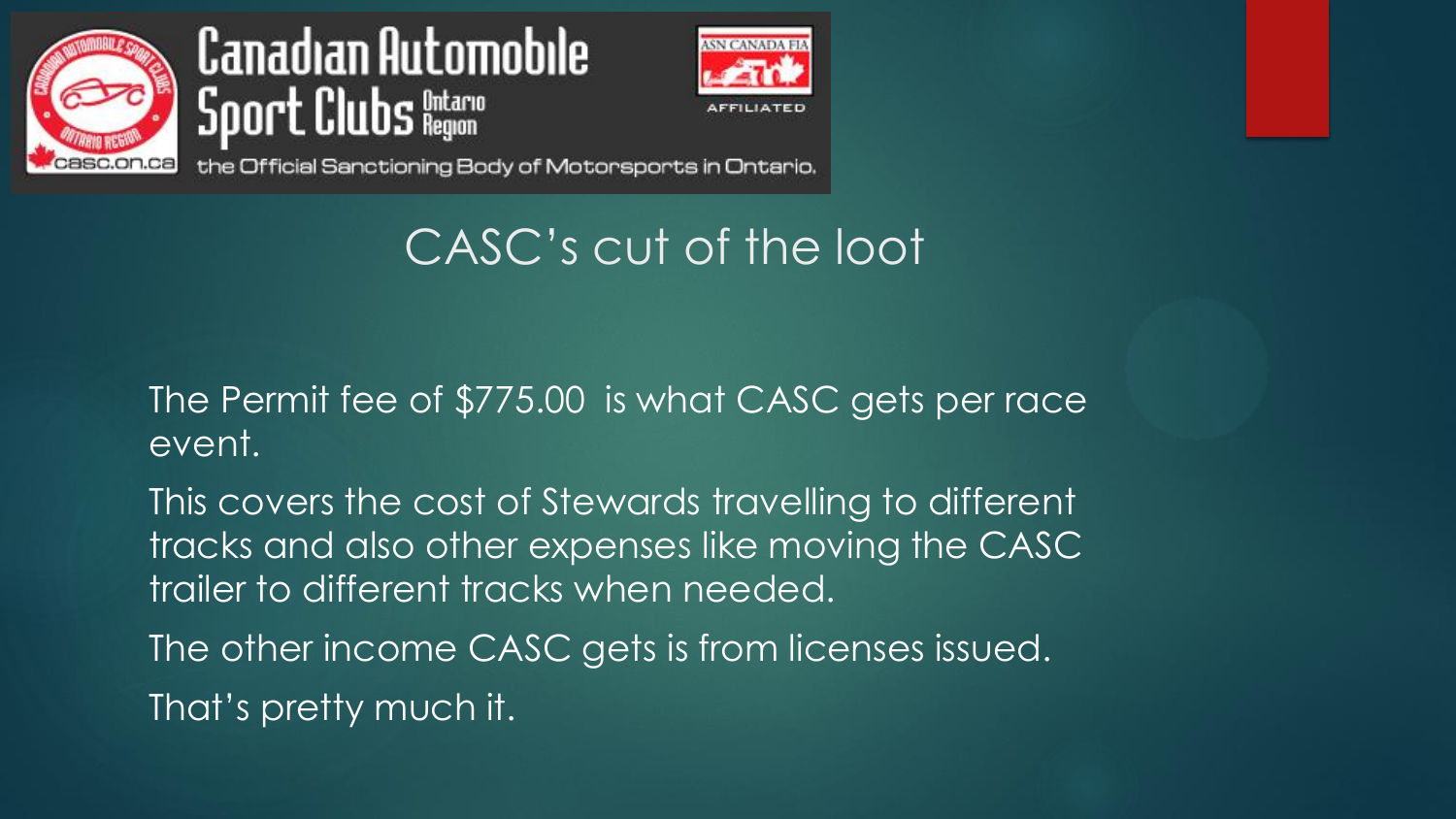





the Official Sanctioning Body of Motorsports in Ontario.

#### CASC's cut of the loot

The Permit fee of \$775.00 is what CASC gets per race event.

This covers the cost of Stewards travelling to different tracks and also other expenses like moving the CASC trailer to different tracks when needed.

The other income CASC gets is from licenses issued. That's pretty much it.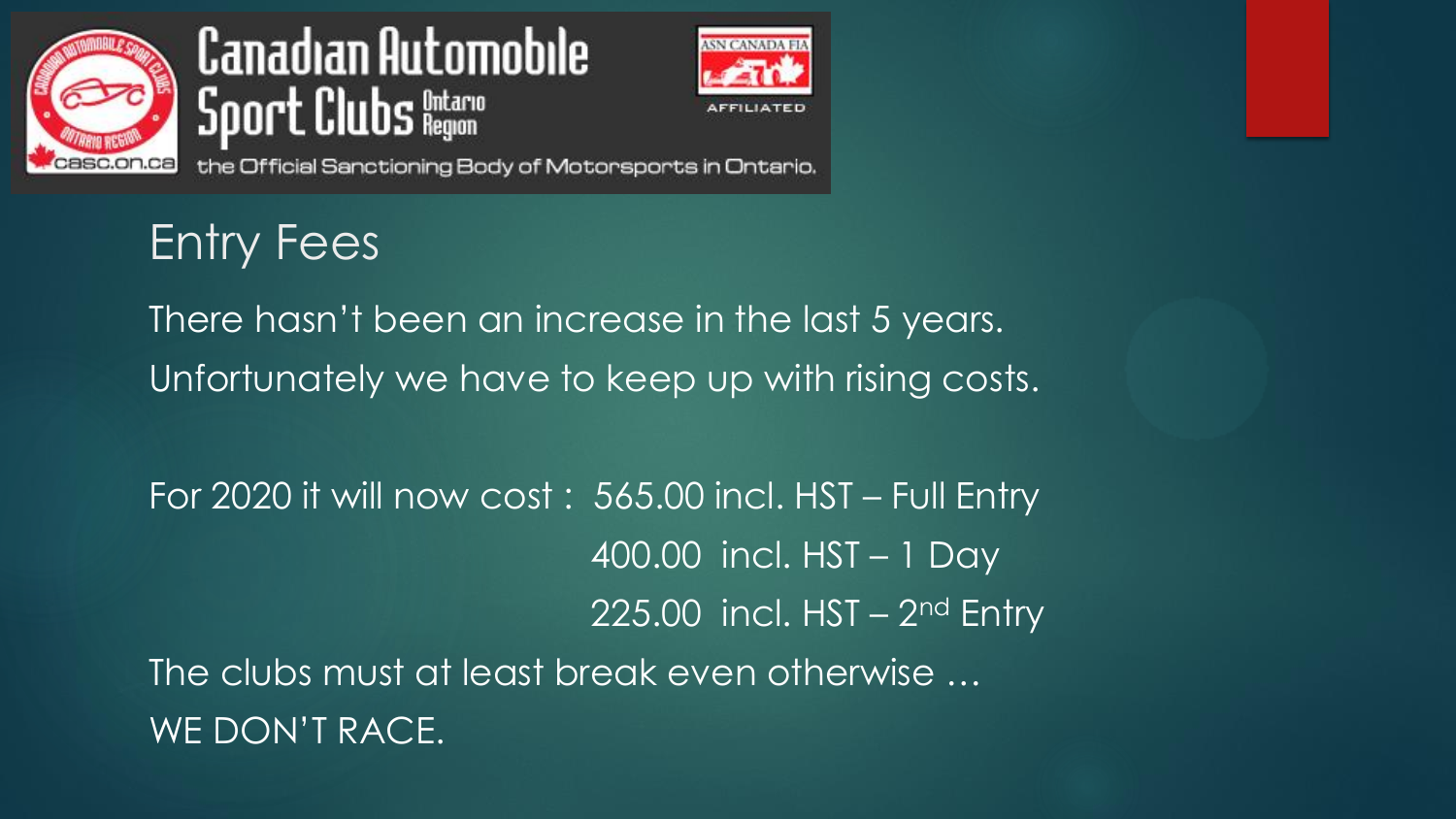



the Official Sanctioning Body of Motorsports in Ontario.

#### Entry Fees

There hasn't been an increase in the last 5 years. Unfortunately we have to keep up with rising costs.

For 2020 it will now cost : 565.00 incl. HST – Full Entry 400.00 incl. HST – 1 Day end the matrix of the 225.00 incl. HST – 2<sup>nd</sup> Entry The clubs must at least break even otherwise … WE DON'T RACE.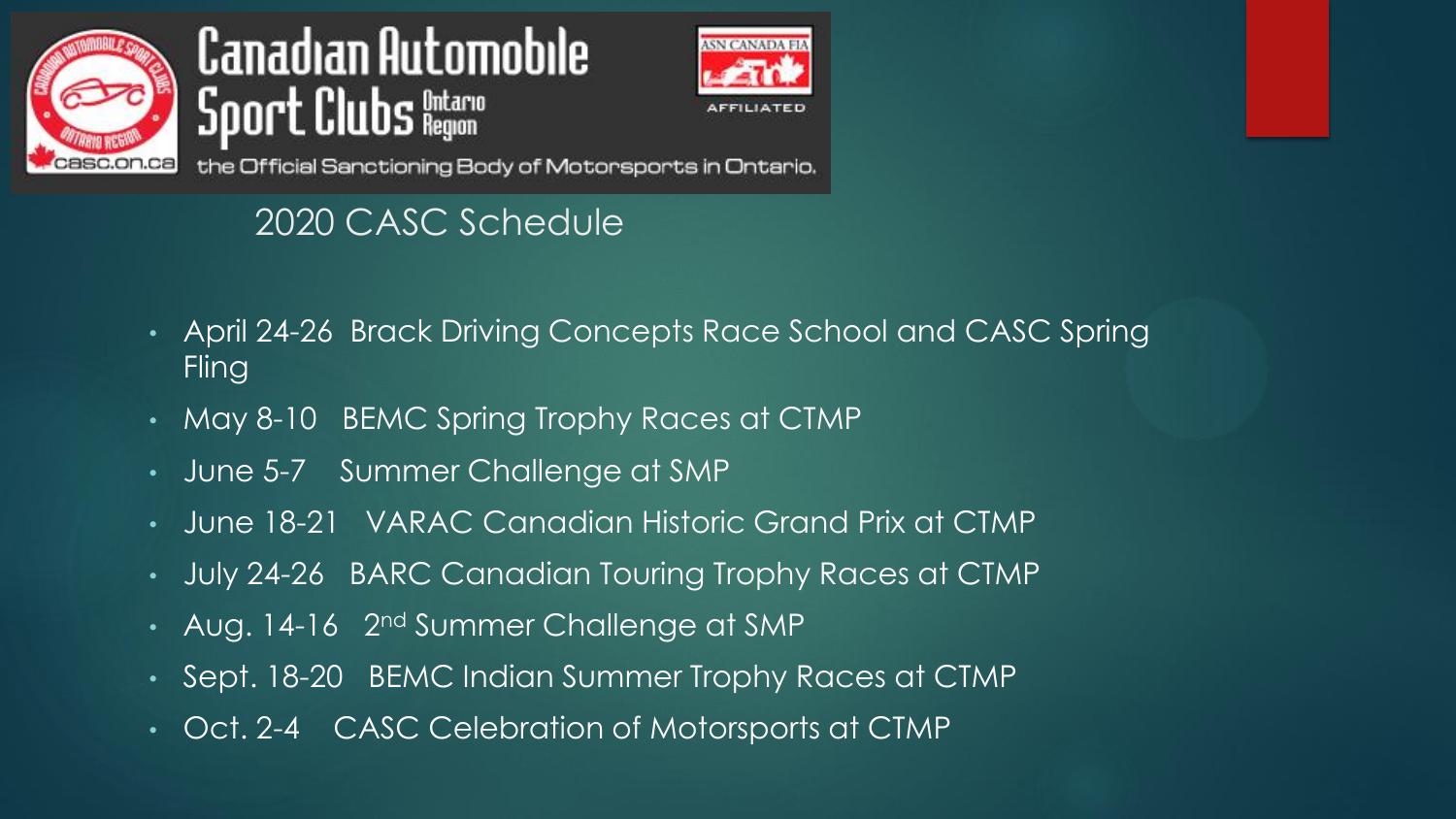

### Canadıan Automobile Sport Clubs



the Official Sanctioning Body of Motorsports in Ontario.

#### 2020 CASC Schedule

- April 24-26 Brack Driving Concepts Race School and CASC Spring **Fling**
- May 8-10 BEMC Spring Trophy Races at CTMP
- June 5-7 Summer Challenge at SMP
- June 18-21 VARAC Canadian Historic Grand Prix at CTMP
- July 24-26 BARC Canadian Touring Trophy Races at CTMP
- Aug. 14-16 2<sup>nd</sup> Summer Challenge at SMP
- Sept. 18-20 BEMC Indian Summer Trophy Races at CTMP
- Oct. 2-4 CASC Celebration of Motorsports at CTMP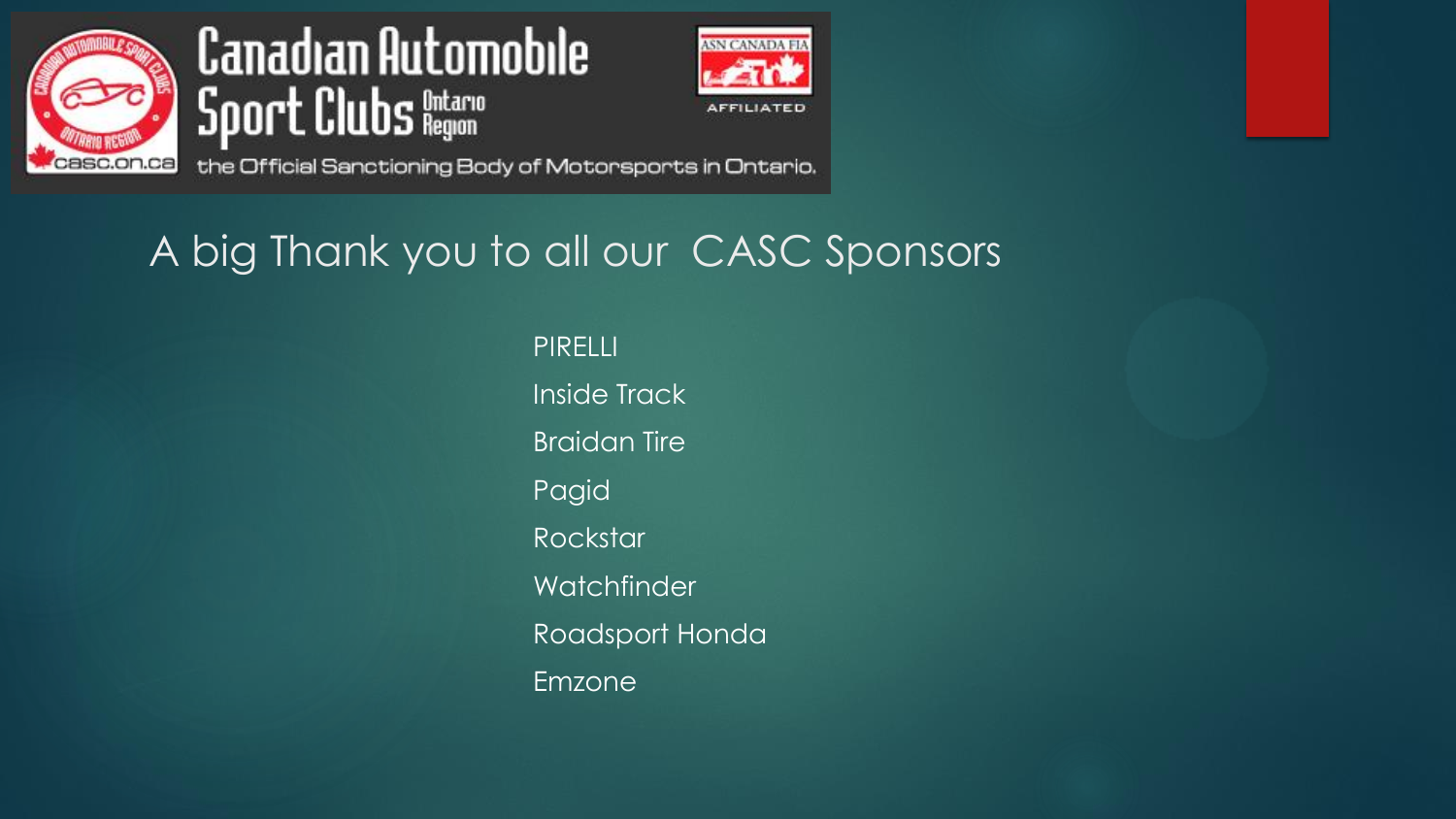



the Official Sanctioning Body of Motorsports in Ontario.

#### A big Thank you to all our CASC Sponsors

PIRELLI **Inside Track Braidan Tire** Pagid Rockstar Watchfinder Roadsport Honda Emzone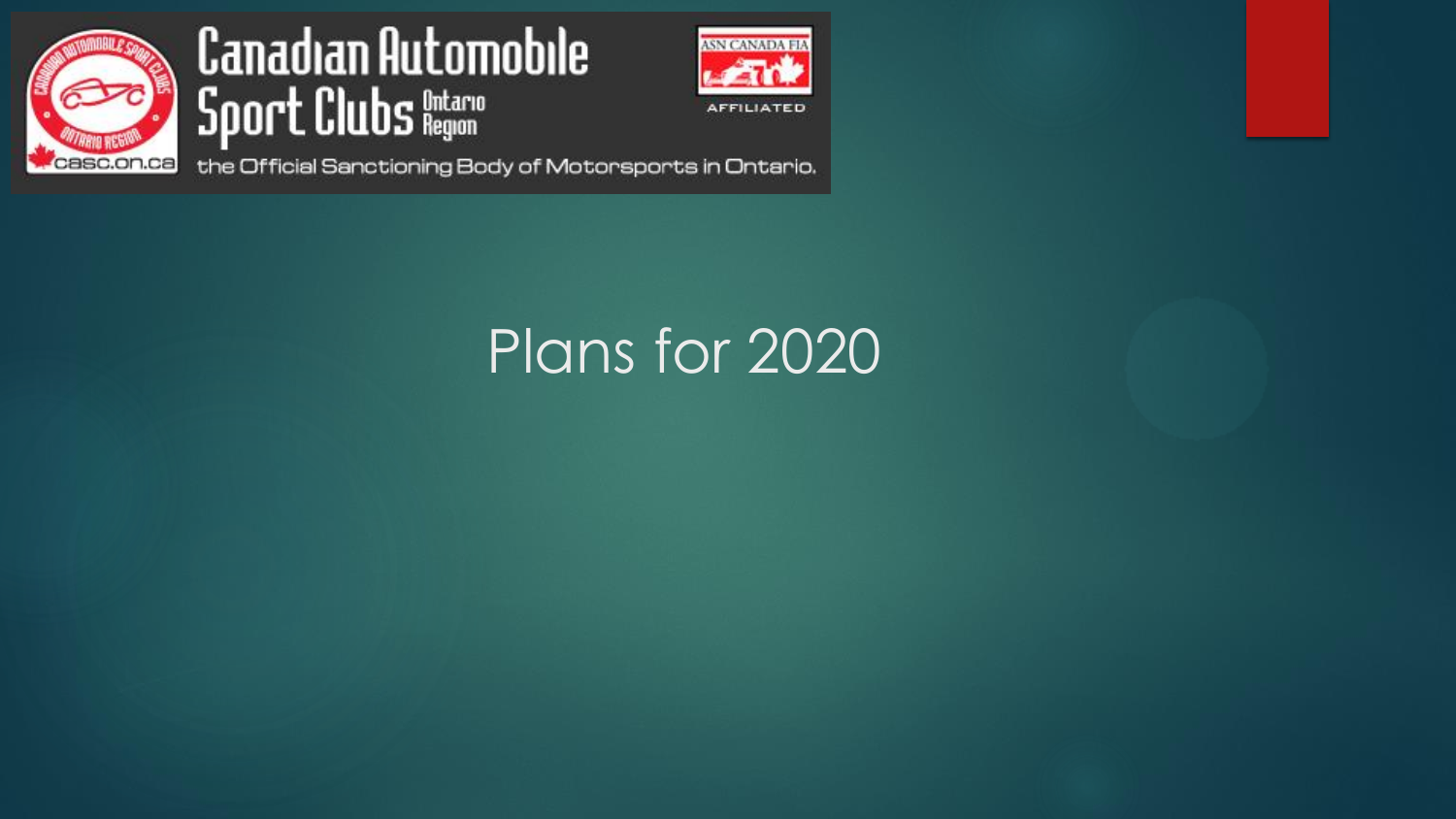

# **Canadian Automobile**<br>Sport Clubs **Autarie**



the Official Sanctioning Body of Motorsports in Ontario.

## Plans for 2020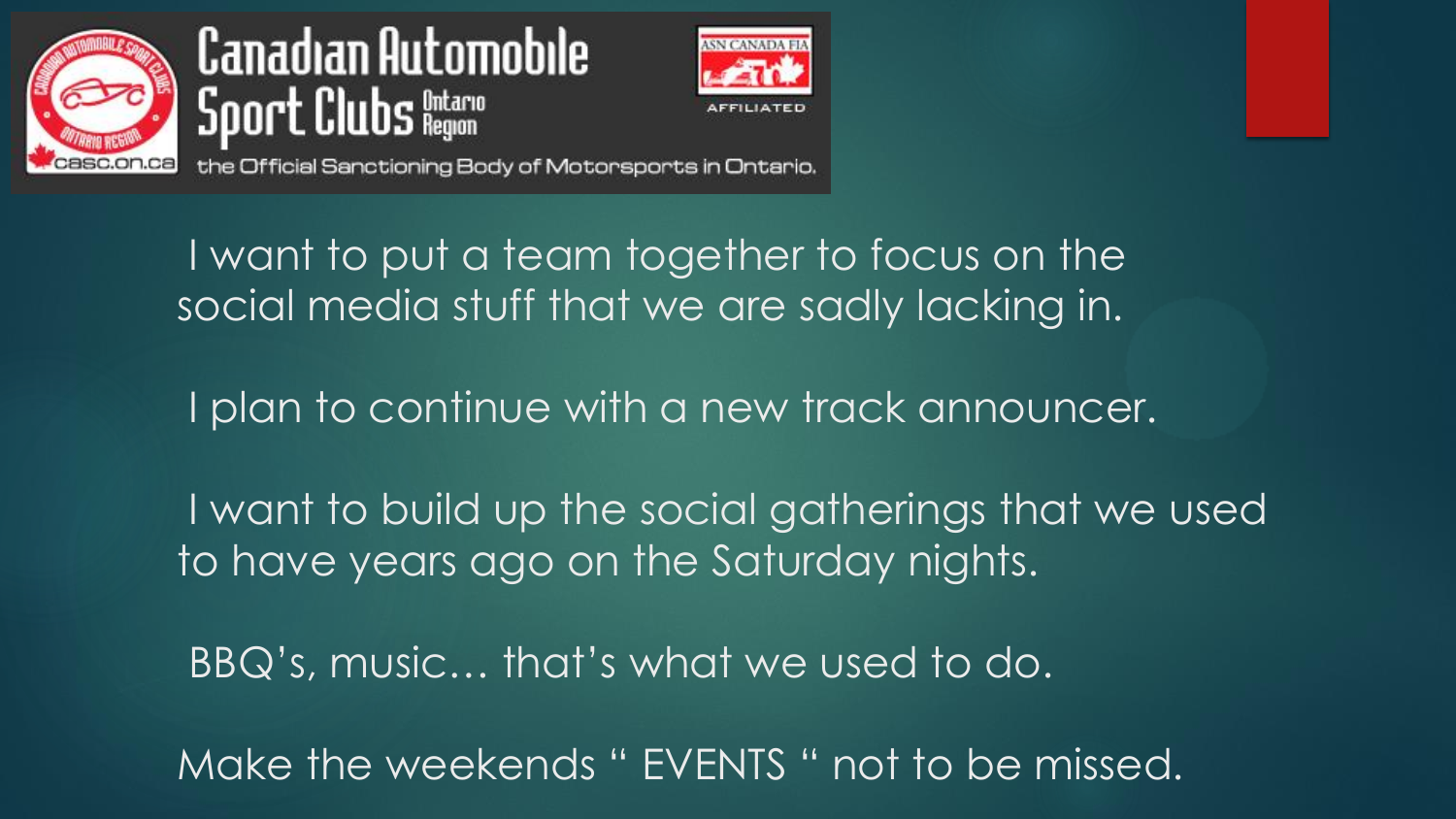





the Official Sanctioning Body of Motorsports in Ontario.

I want to put a team together to focus on the social media stuff that we are sadly lacking in.

I plan to continue with a new track announcer.

I want to build up the social gatherings that we used to have years ago on the Saturday nights.

BBQ's, music… that's what we used to do.

Make the weekends " EVENTS " not to be missed.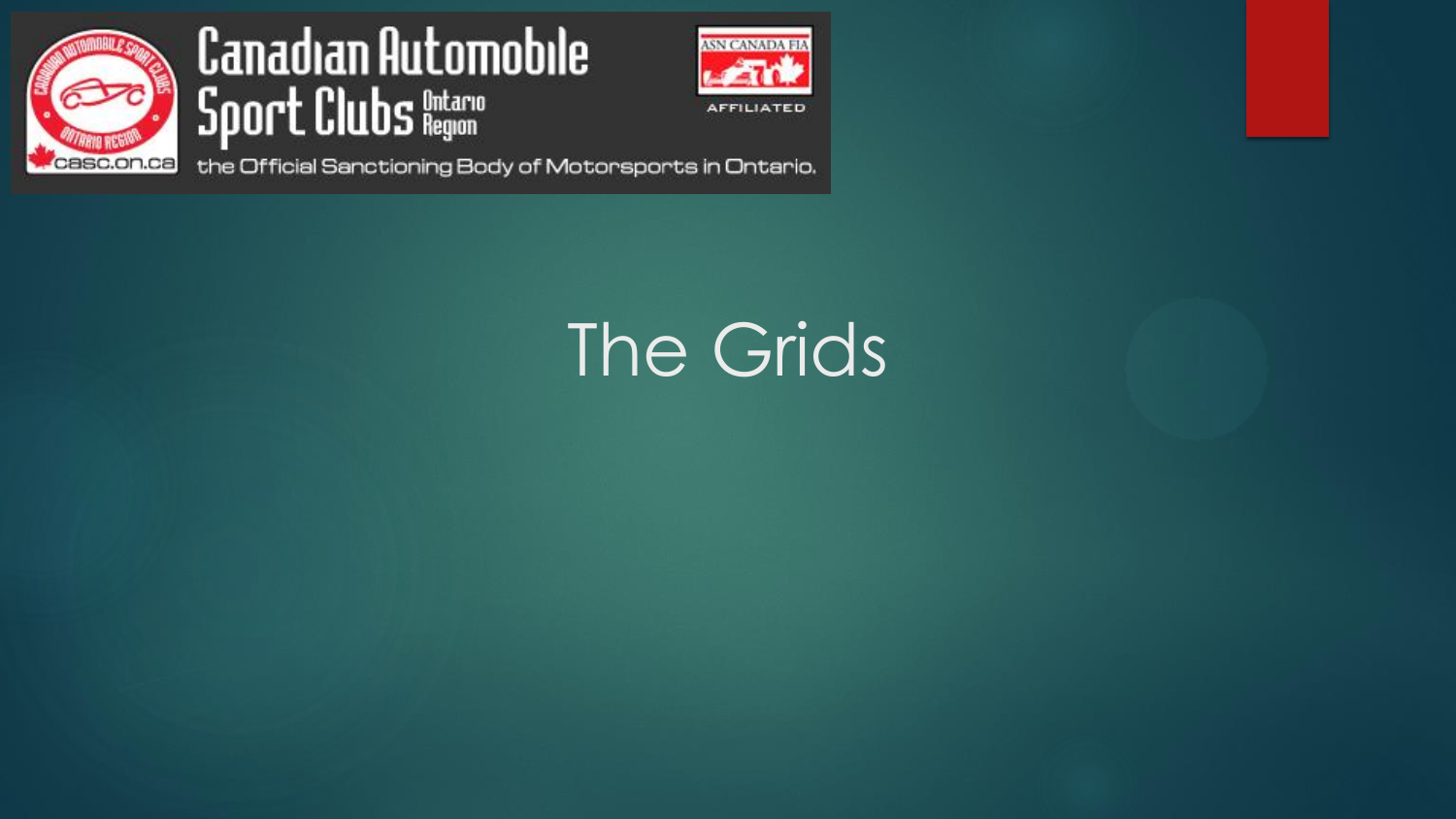

# **Canadian Automobile**<br>Sport Clubs  $\frac{R_{\text{atom}}}{R_{\text{beam}}}$



the Official Sanctioning Body of Motorsports in Ontario.

# The Grids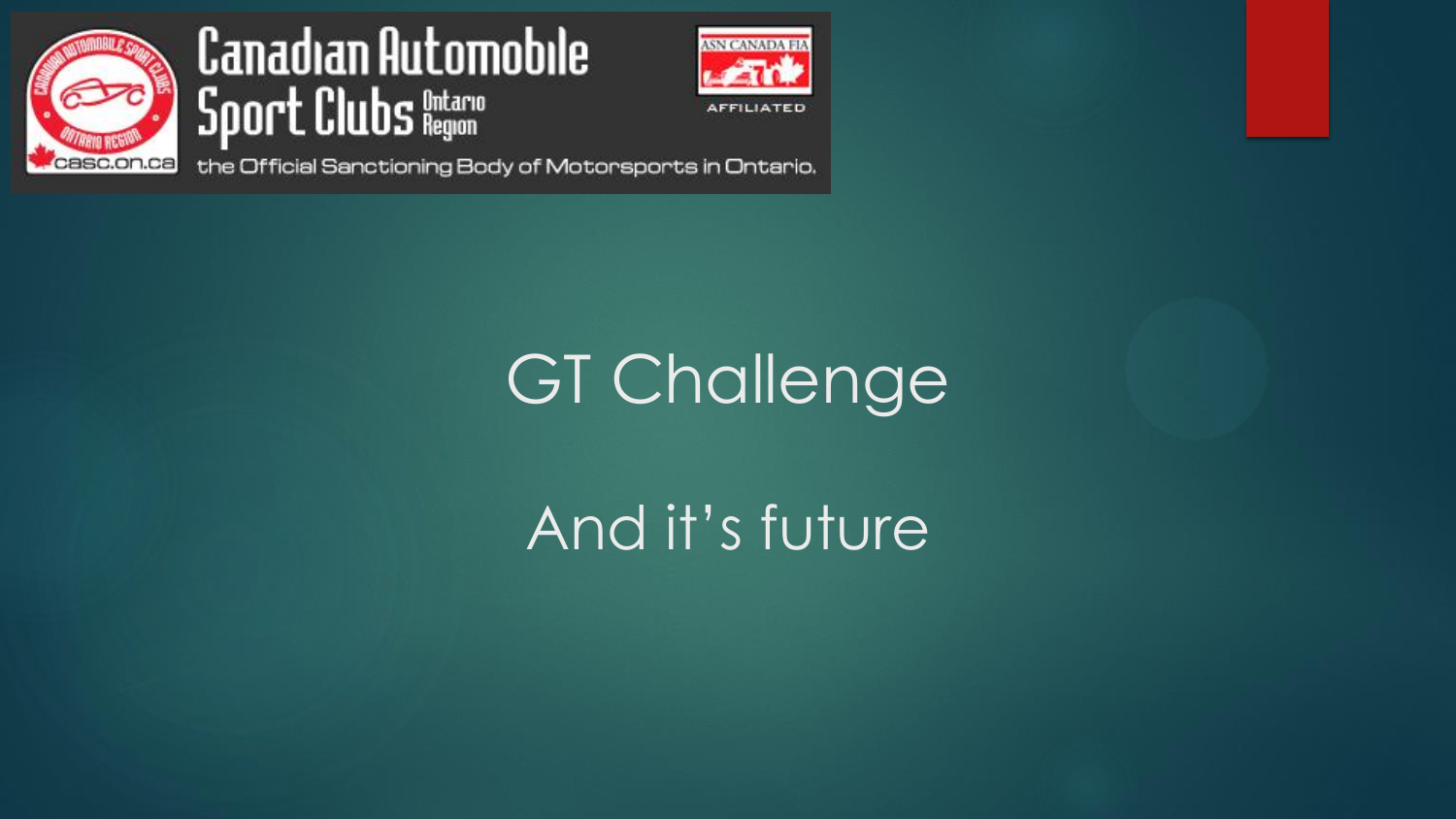



the Official Sanctioning Body of Motorsports in Ontario.

# GT Challenge

## And it's future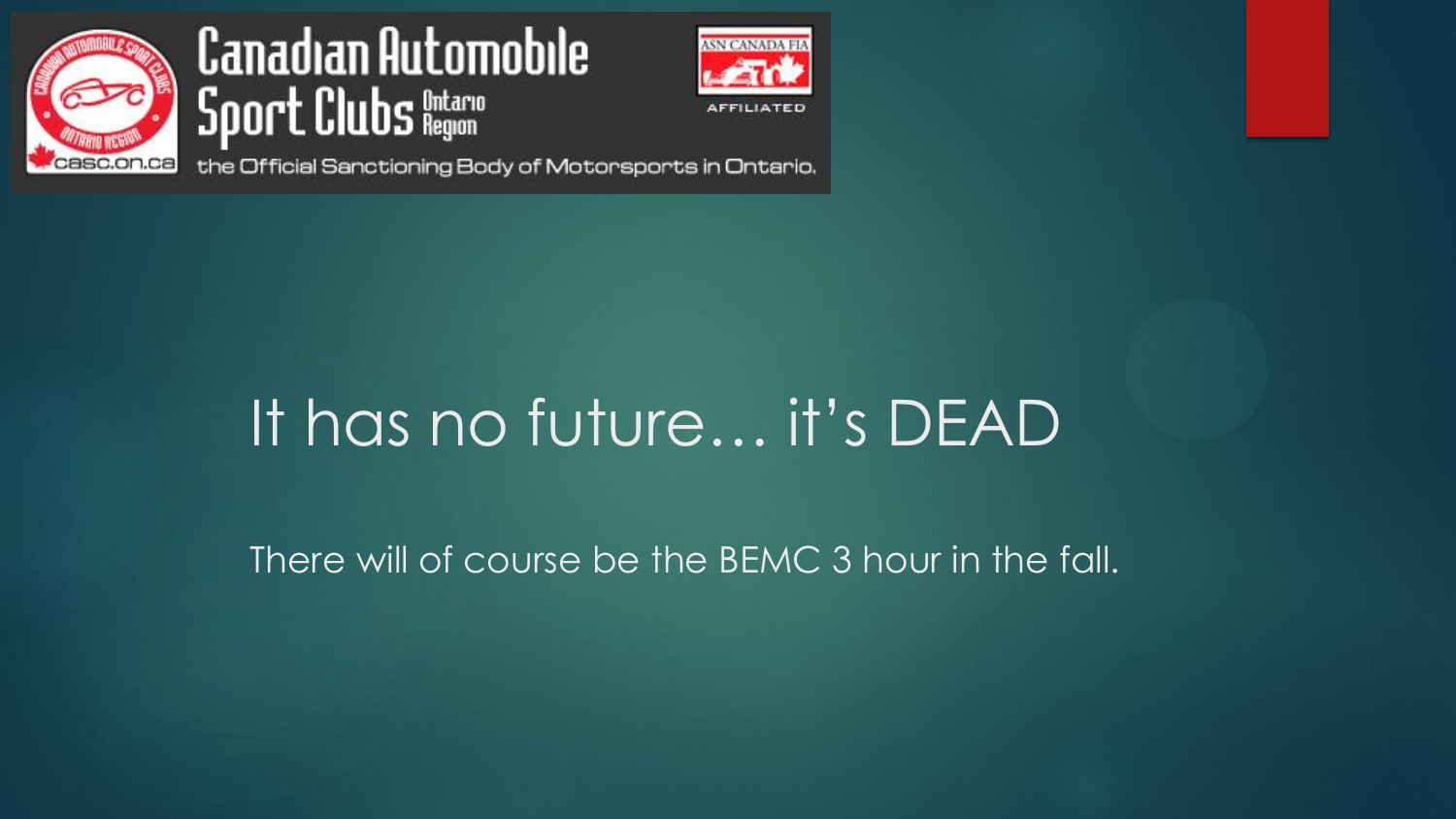



the Official Sanctioning Body of Motorsports in Ontario.

## It has no future… it's DEAD

There will of course be the BEMC 3 hour in the fall.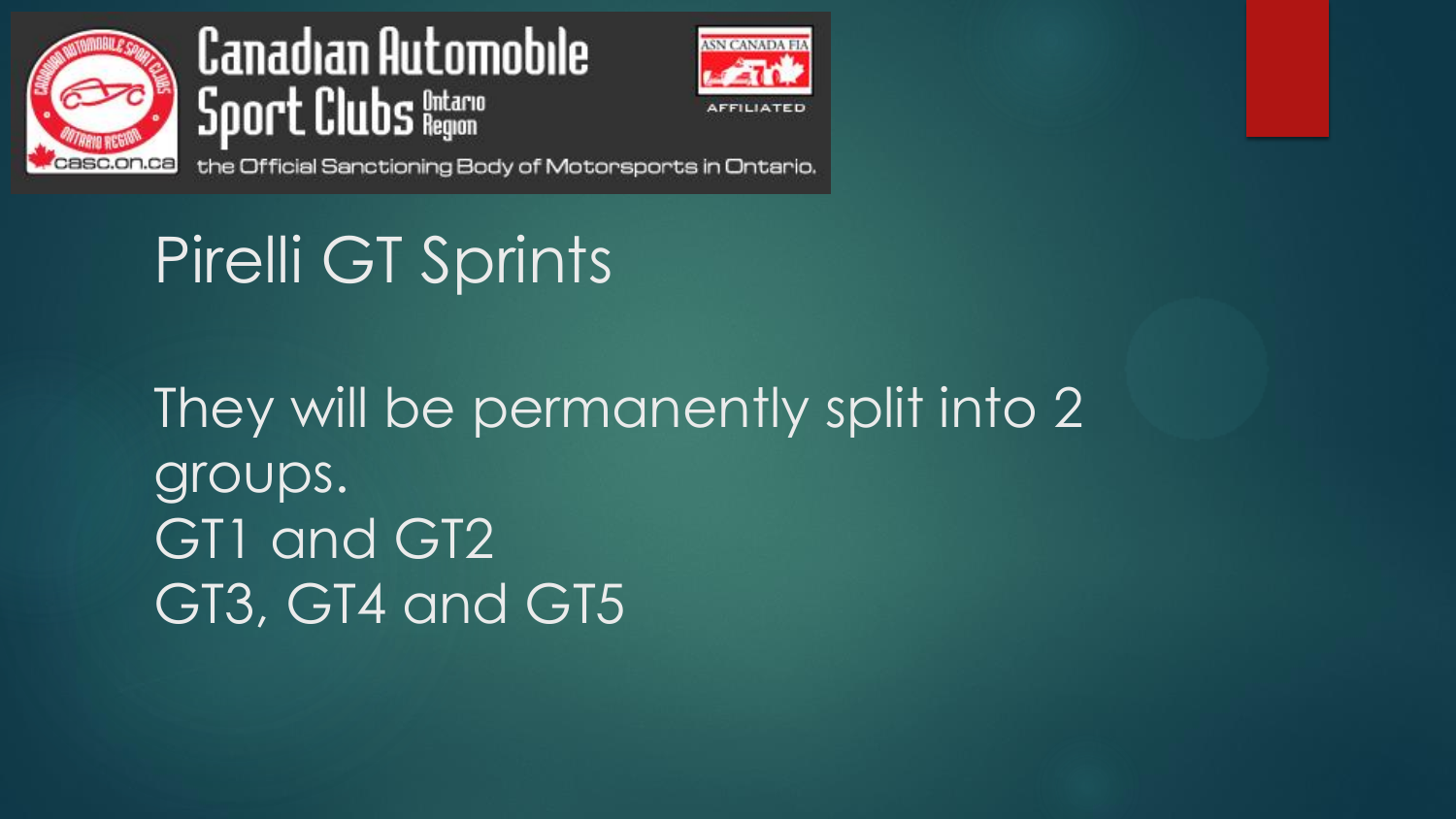





the Official Sanctioning Body of Motorsports in Ontario.

# Pirelli GT Sprints

They will be permanently split into 2 groups. GT1 and GT2 GT3, GT4 and GT5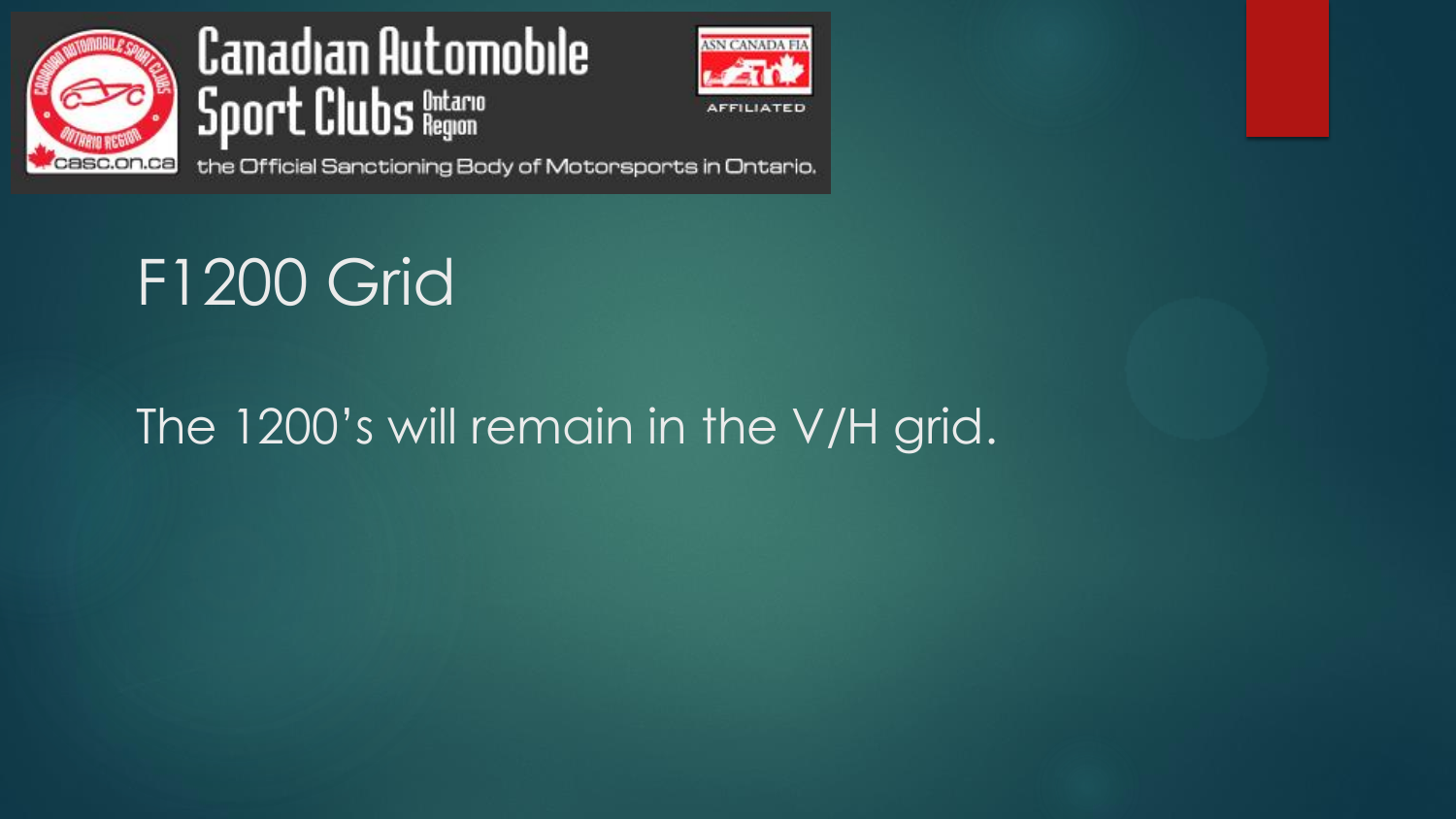



the Official Sanctioning Body of Motorsports in Ontario.

## F1200 Grid

#### The 1200's will remain in the V/H grid.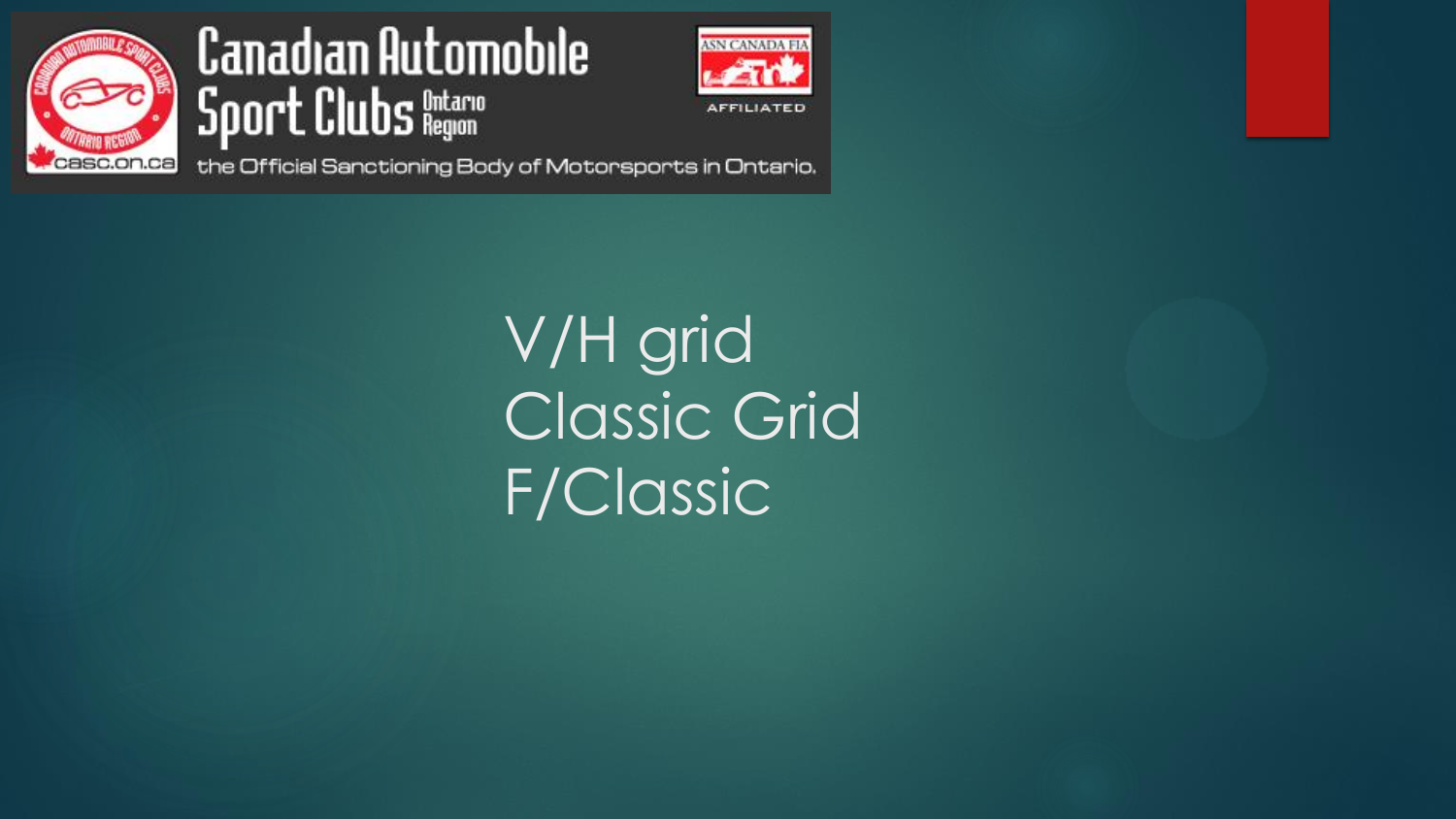



the Official Sanctioning Body of Motorsports in Ontario.

V/H grid Classic Grid F/Classic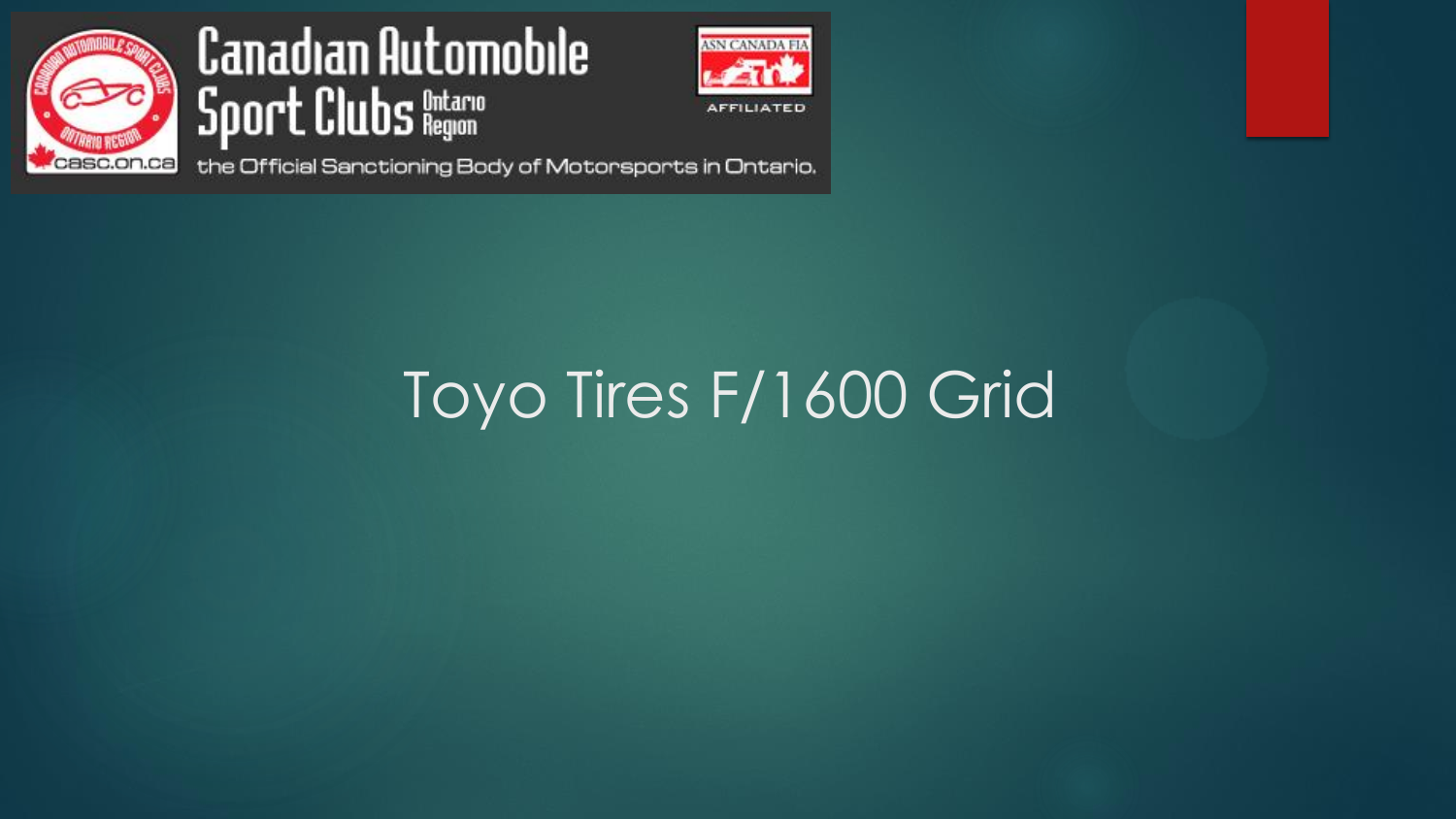

# **Canadian Automobile**<br>Sport Clubs **Autarie**



the Official Sanctioning Body of Motorsports in Ontario.

# Toyo Tires F/1600 Grid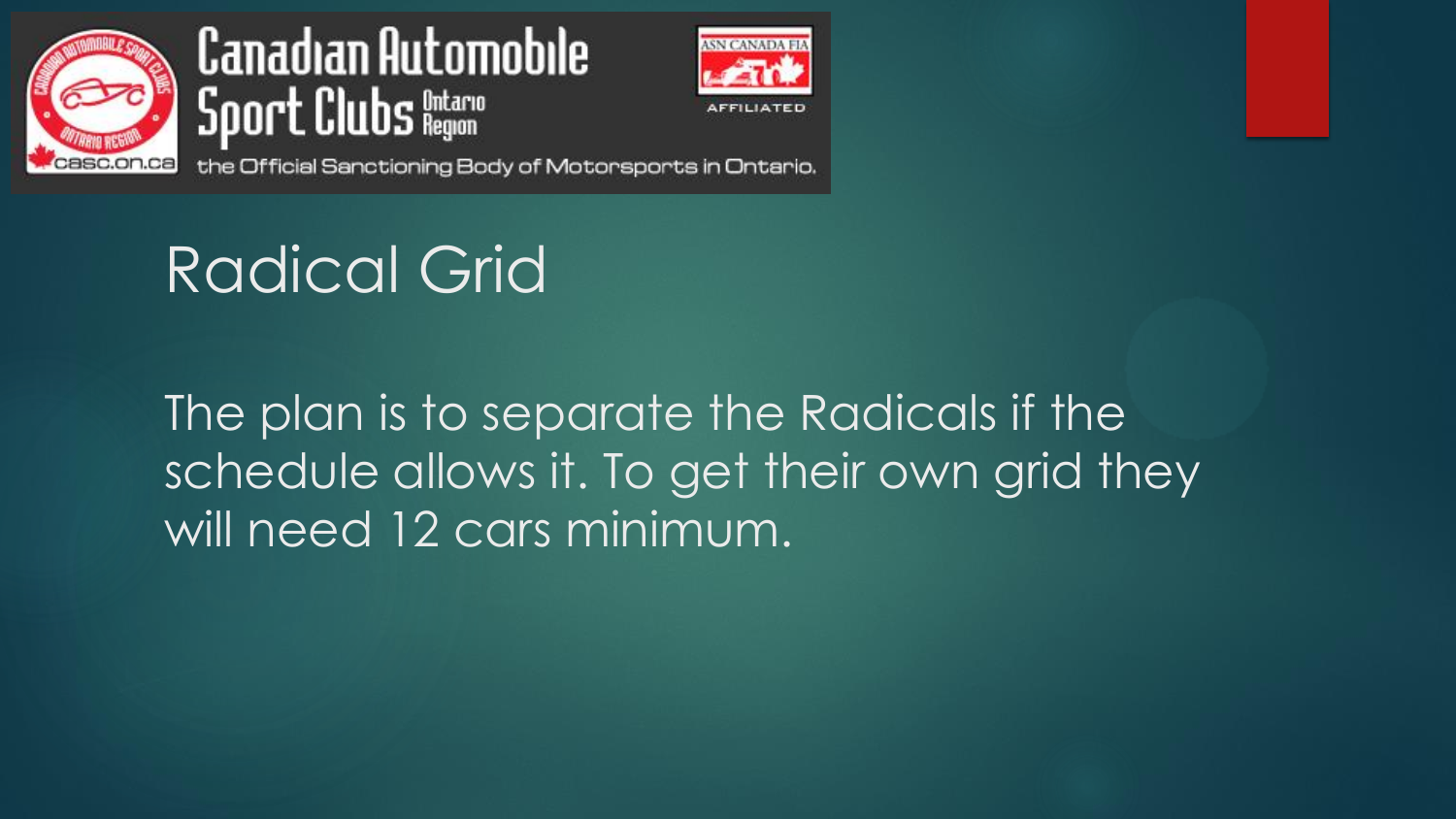



the Official Sanctioning Body of Motorsports in Ontario.

# Radical Grid

The plan is to separate the Radicals if the schedule allows it. To get their own grid they will need 12 cars minimum.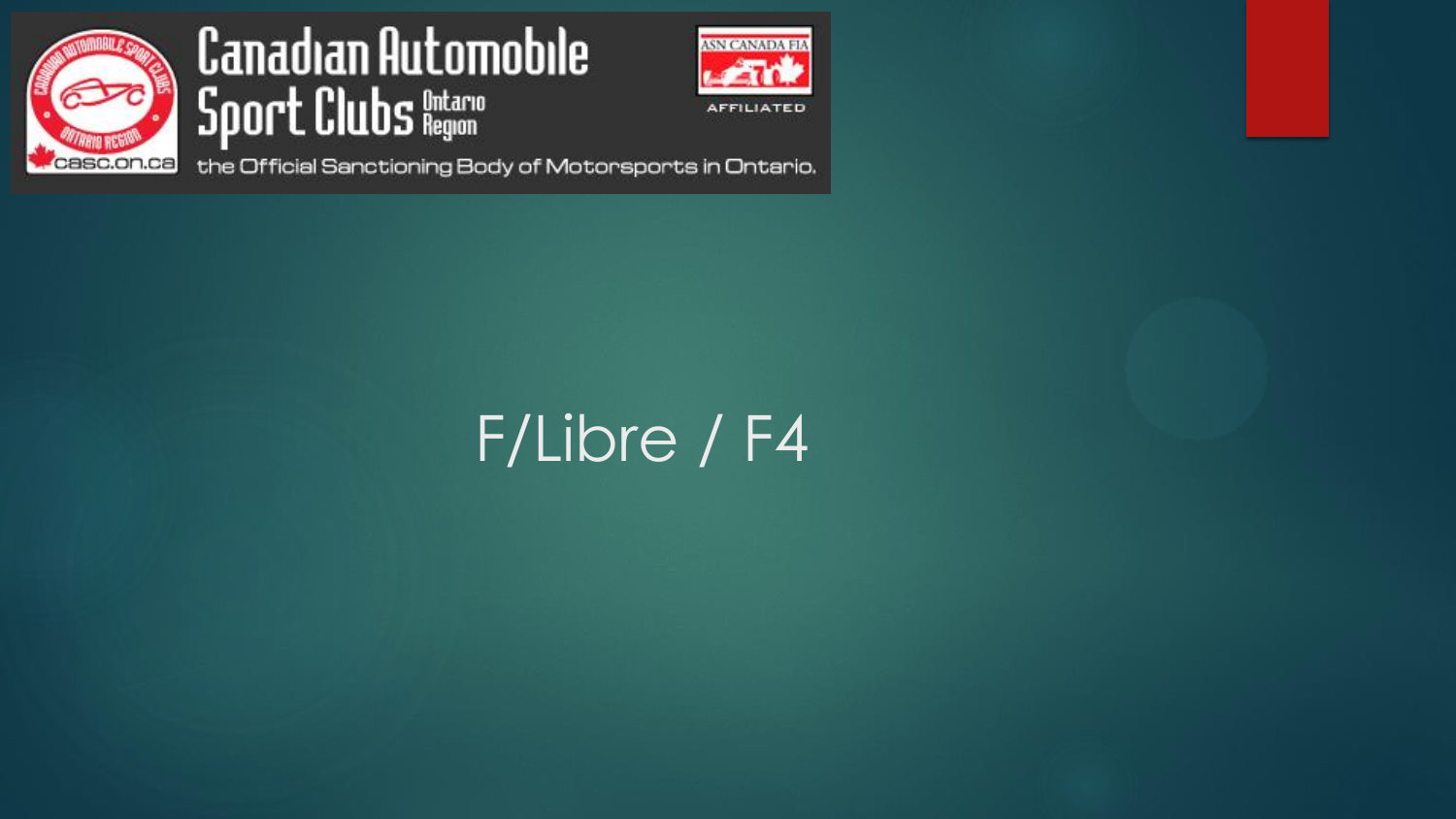

# Canadian Automobile



the Official Sanctioning Body of Motorsports in Ontario.

# F/Libre / F4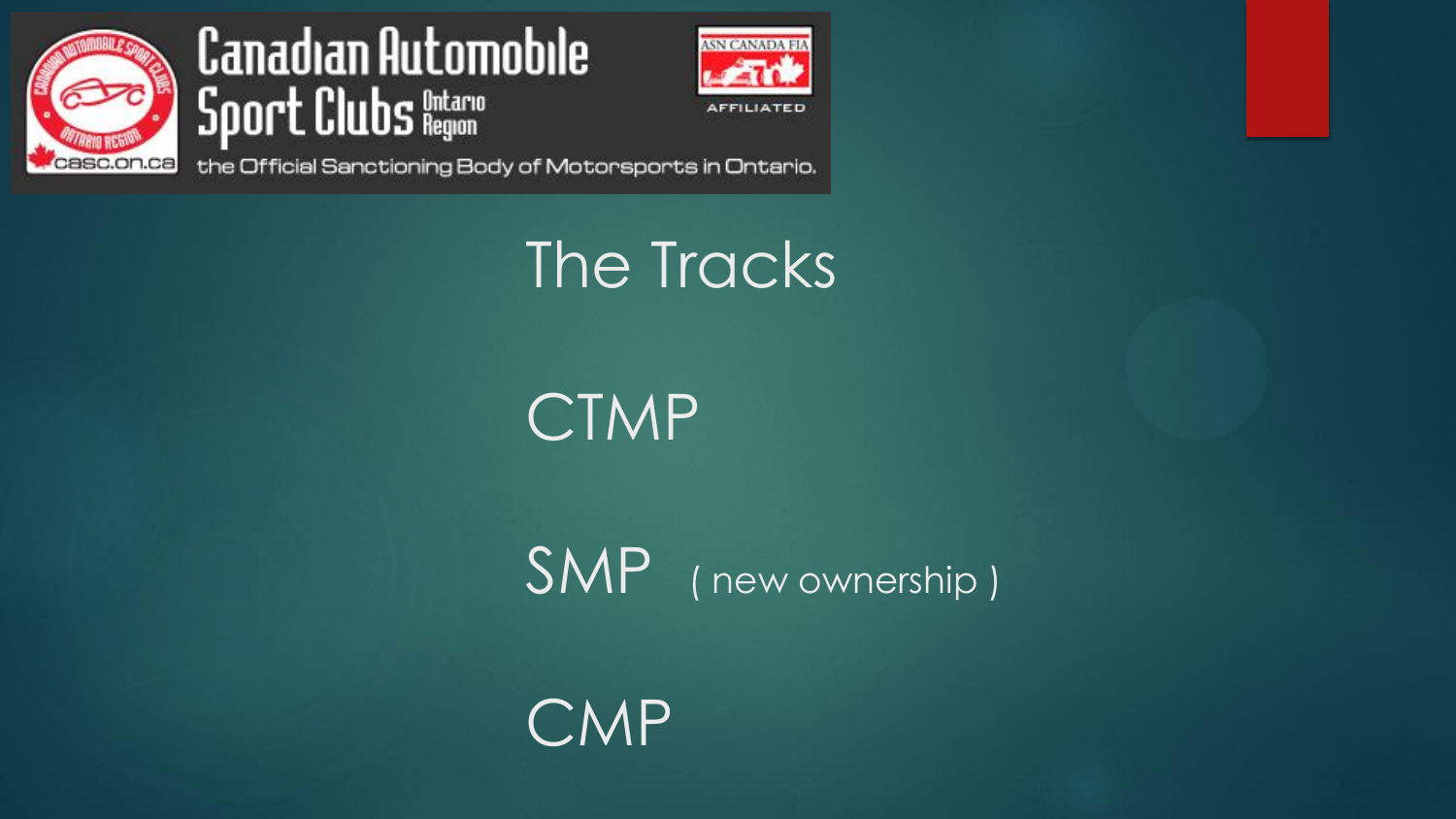



the Official Sanctioning Body of Motorsports in Ontario.

# **The Tracks**

## CTMP

## SMP (new ownership)

## CMP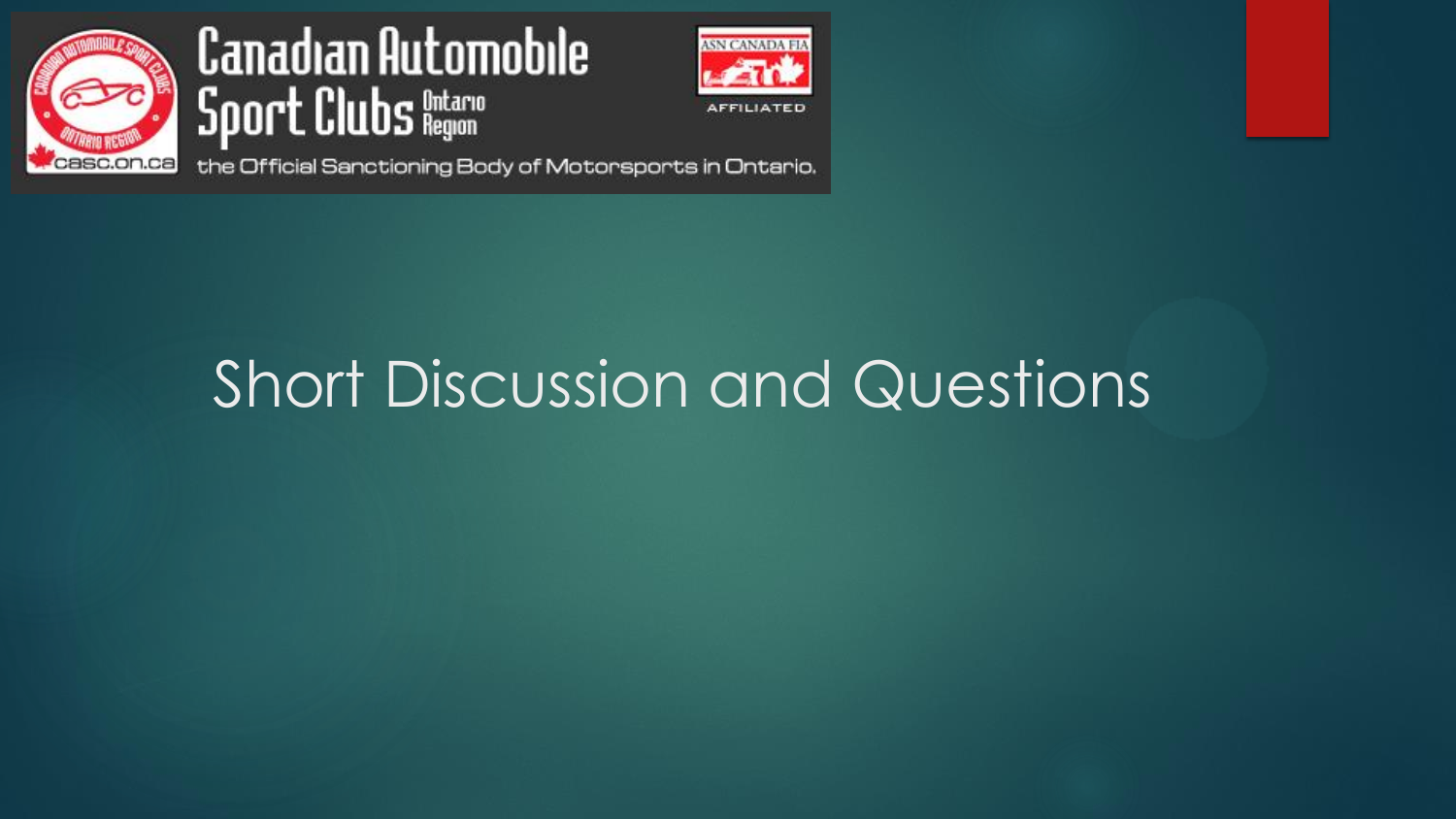



the Official Sanctioning Body of Motorsports in Ontario.

## Short Discussion and Questions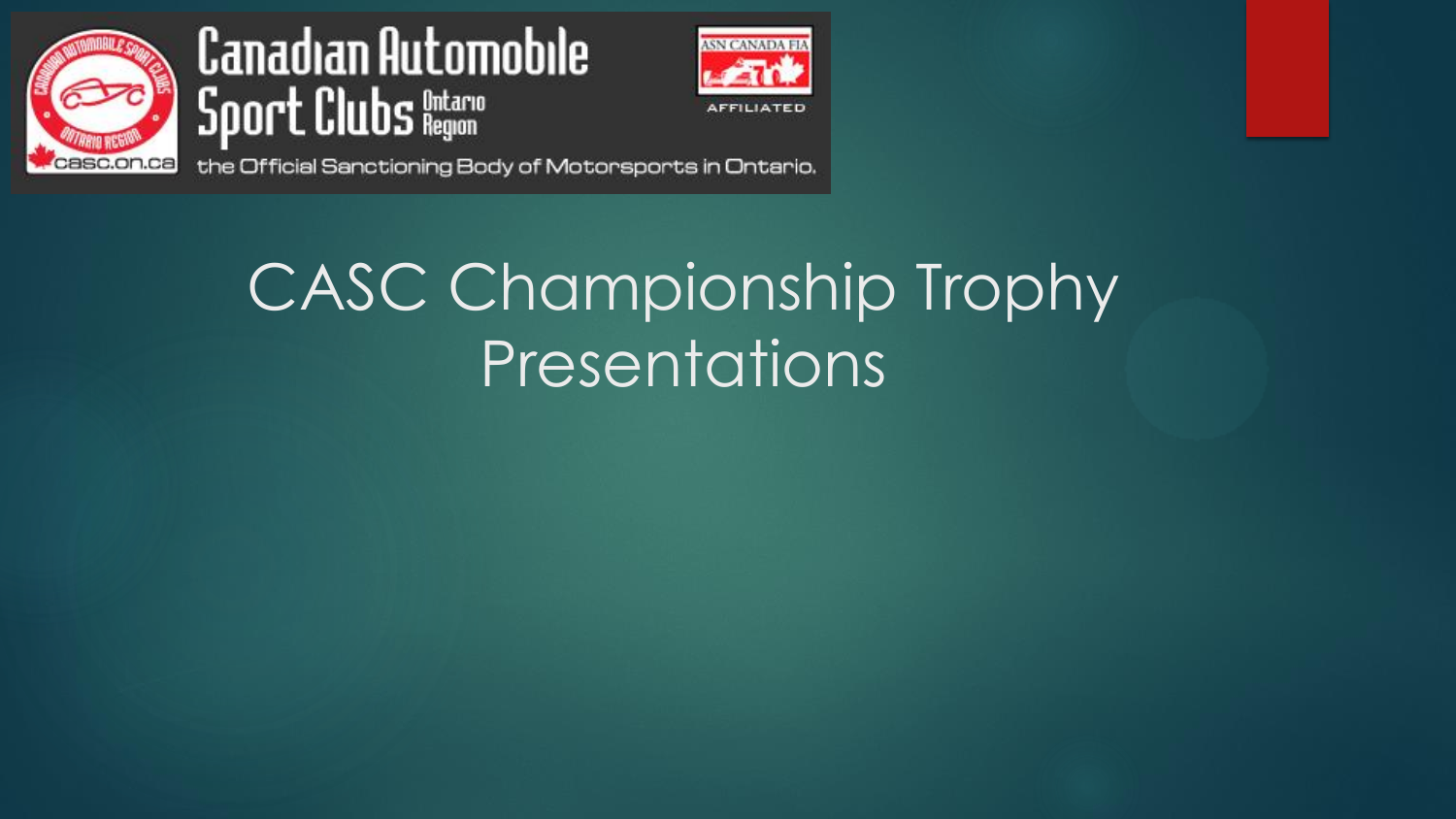



the Official Sanctioning Body of Motorsports in Ontario.

# CASC Championship Trophy **Presentations**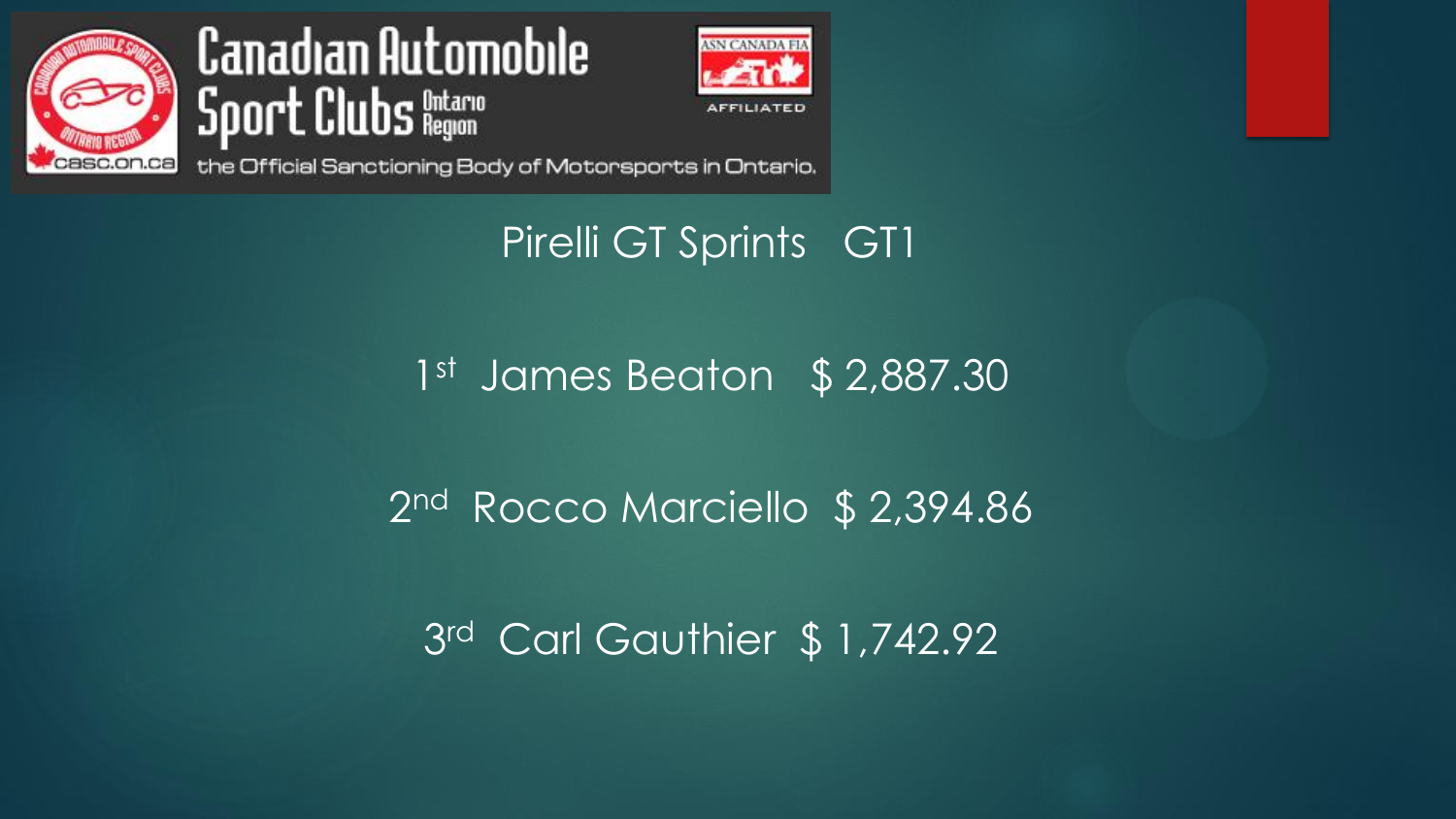





the Official Sanctioning Body of Motorsports in Ontario.

#### Pirelli GT Sprints GT1

#### 1 st James Beaton \$ 2,887.30

#### 2<sup>nd</sup> Rocco Marciello \$2,394.86

#### 3 rd Carl Gauthier \$ 1,742.92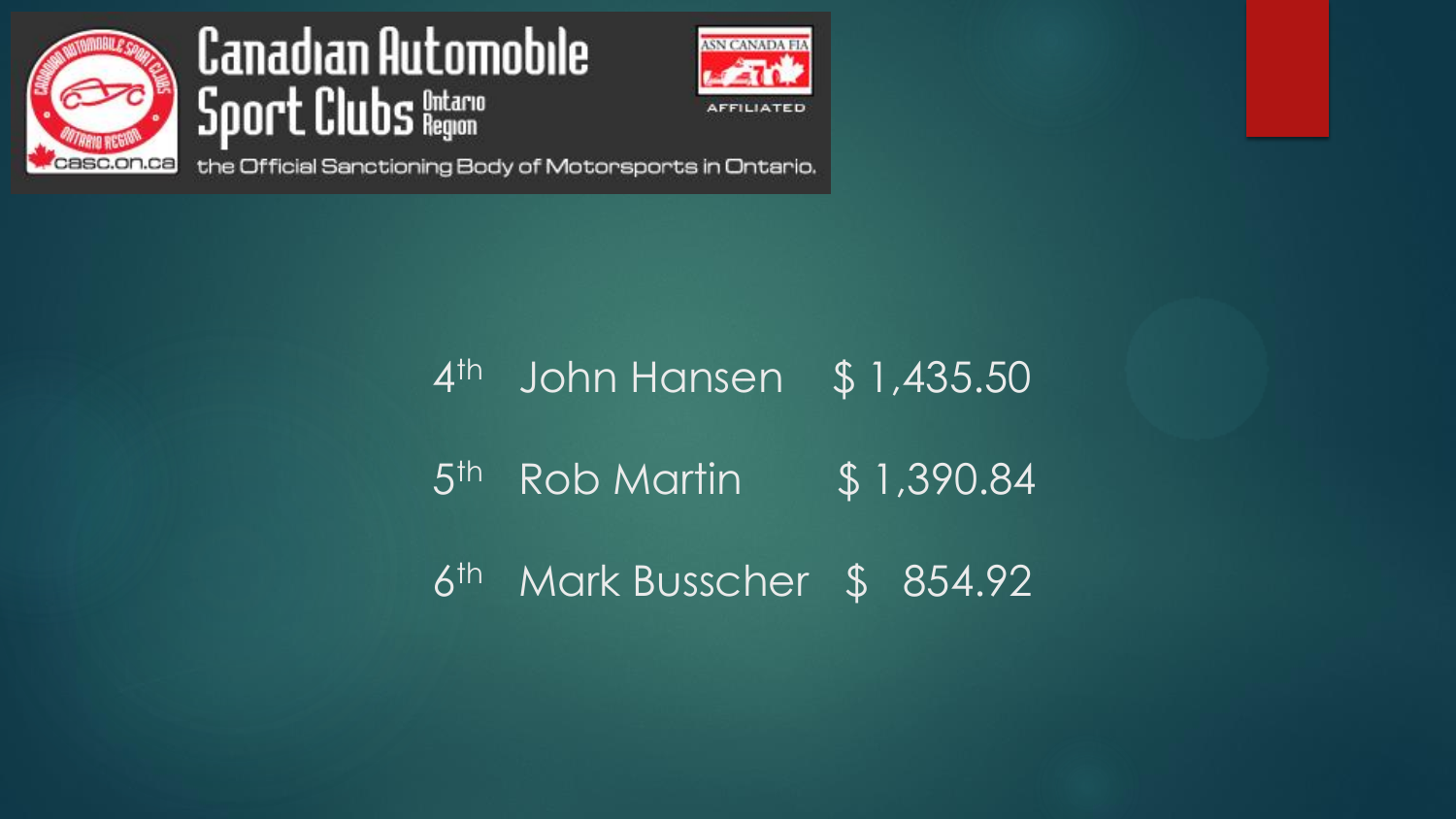



the Official Sanctioning Body of Motorsports in Ontario.

#### $4<sup>th</sup>$ John Hansen \$ 1,435.50  $5<sup>th</sup>$ Rob Martin \$ 1,390.84  $6<sup>th</sup>$ Mark Busscher \$ 854.92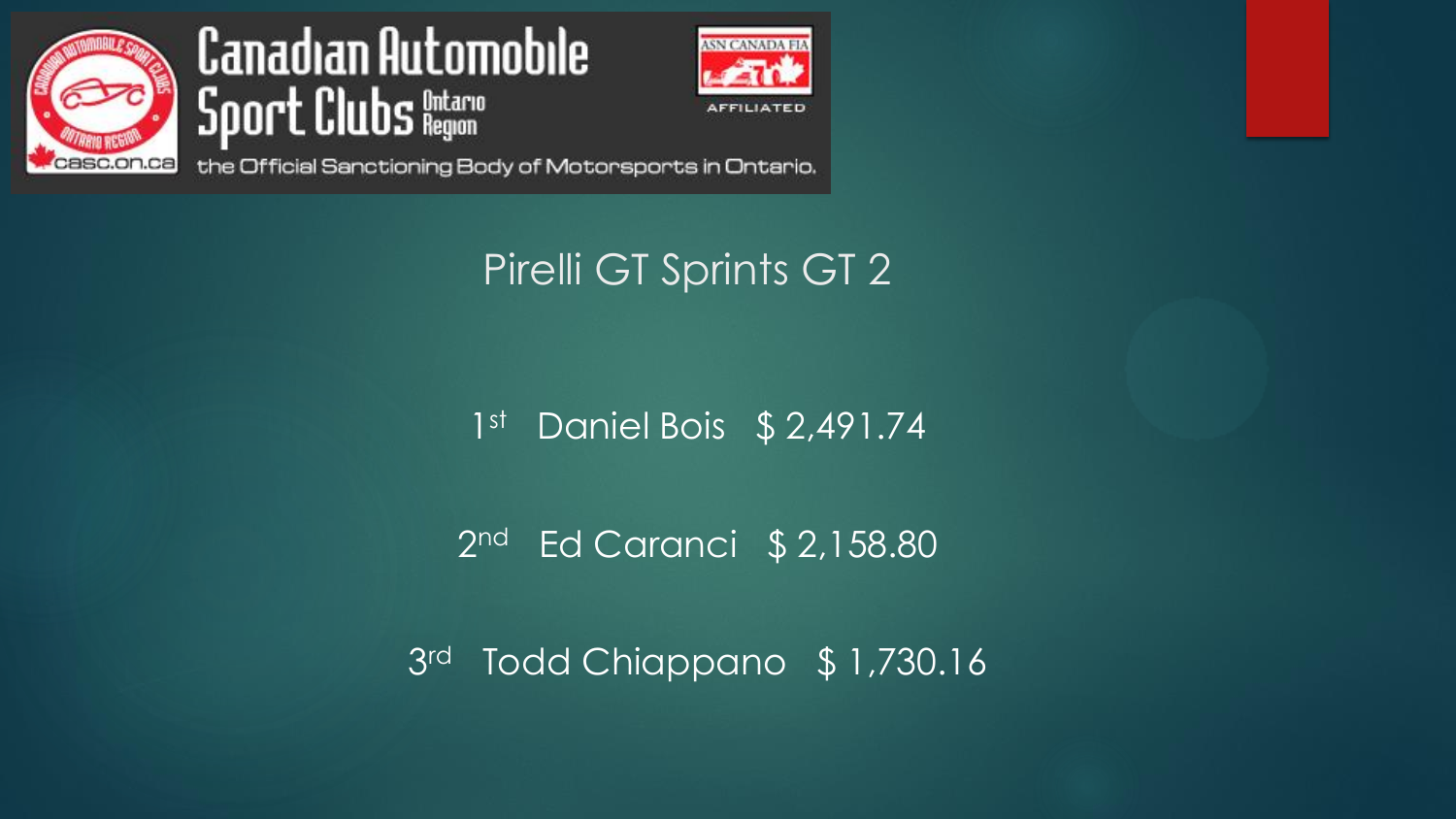



the Official Sanctioning Body of Motorsports in Ontario.

#### Pirelli GT Sprints GT 2

1 st Daniel Bois \$ 2,491.74

2<sup>nd</sup> Ed Caranci \$2,158.80

3 rd Todd Chiappano \$ 1,730.16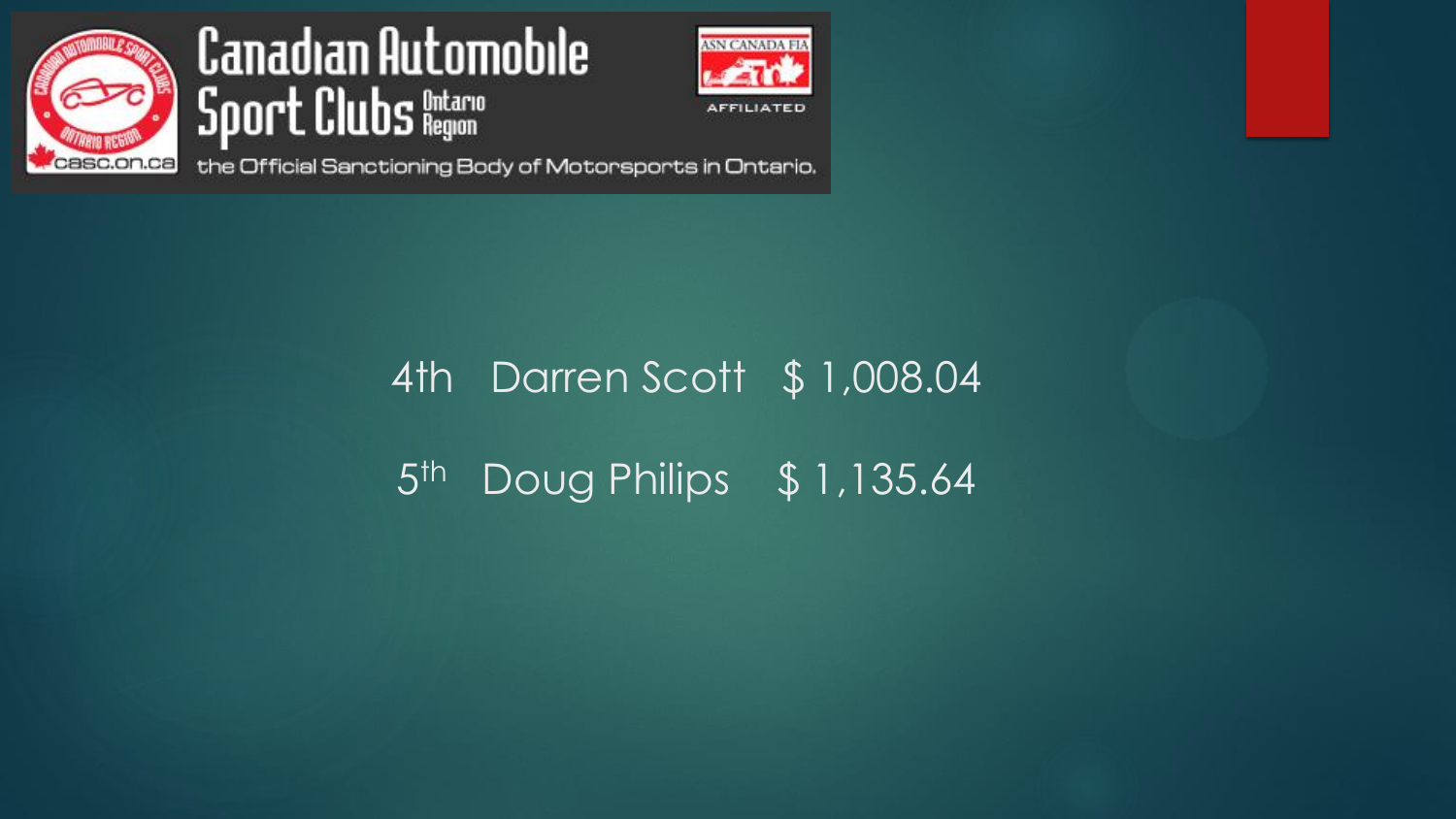



the Official Sanctioning Body of Motorsports in Ontario.

# 4th Darren Scott \$ 1,008.04 5<sup>th</sup> Doug Philips \$ 1,135.64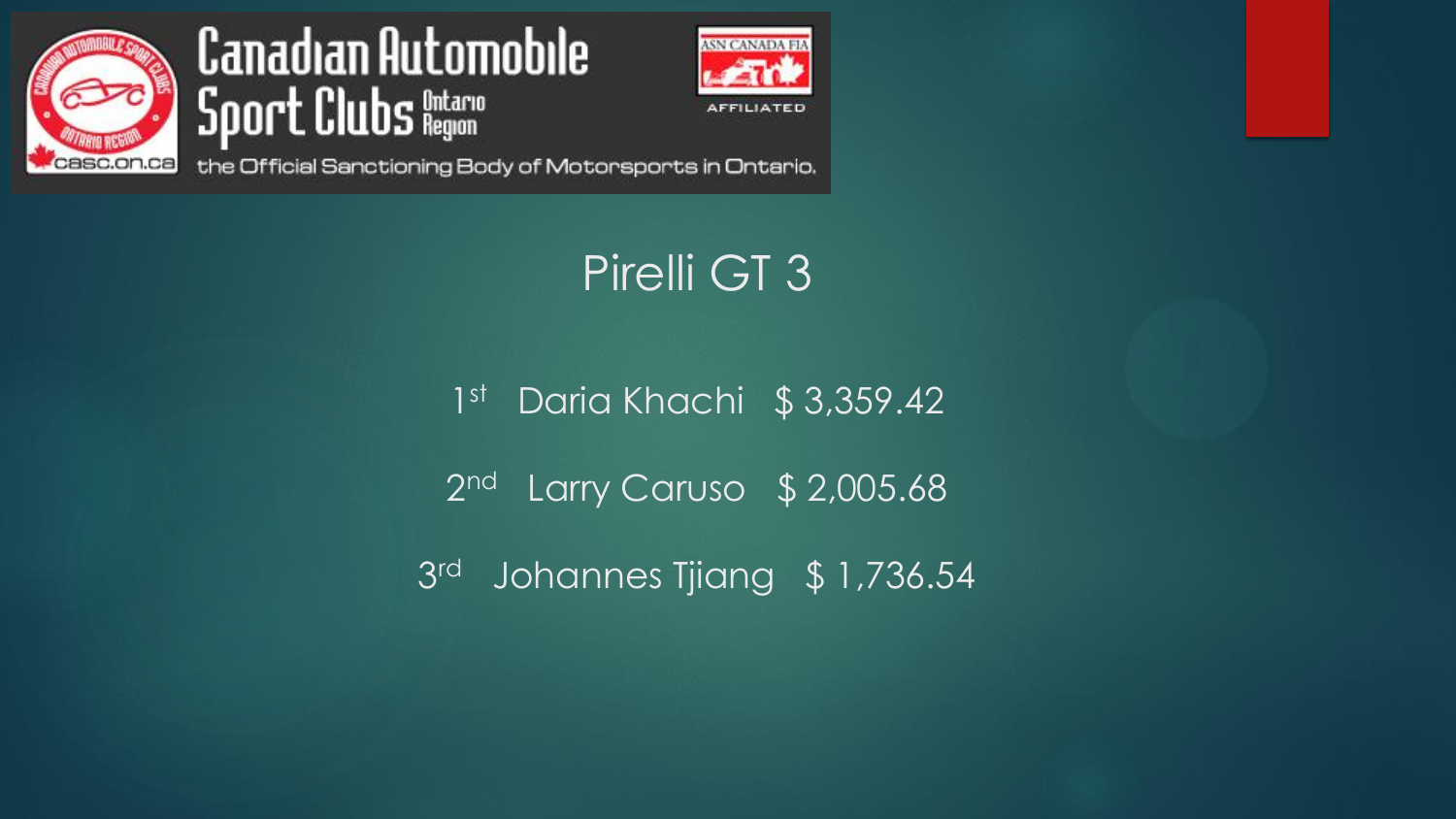



the Official Sanctioning Body of Motorsports in Ontario.

#### Pirelli GT 3

1st Daria Khachi \$3,359.42  $2<sub>nd</sub>$ Larry Caruso \$ 2,005.68 **3rd** Johannes Tjiang \$ 1,736.54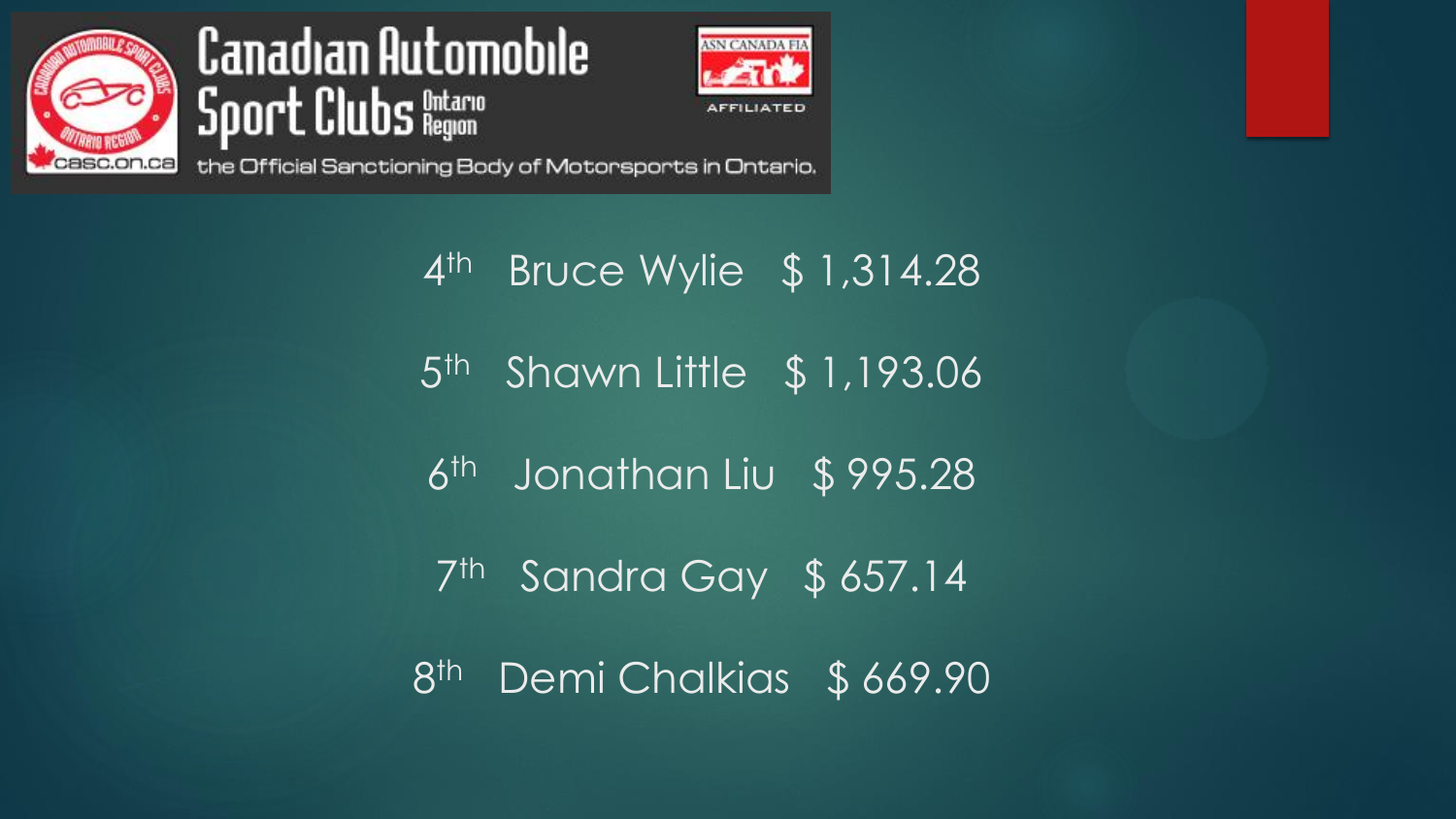



the Official Sanctioning Body of Motorsports in Ontario.

 $4<sup>th</sup>$ Bruce Wylie \$ 1,314.28 5<sup>th</sup> Shawn Little \$1,193.06 6 th Jonathan Liu \$ 995.28 7 th Sandra Gay \$ 657.14 8 th Demi Chalkias \$ 669.90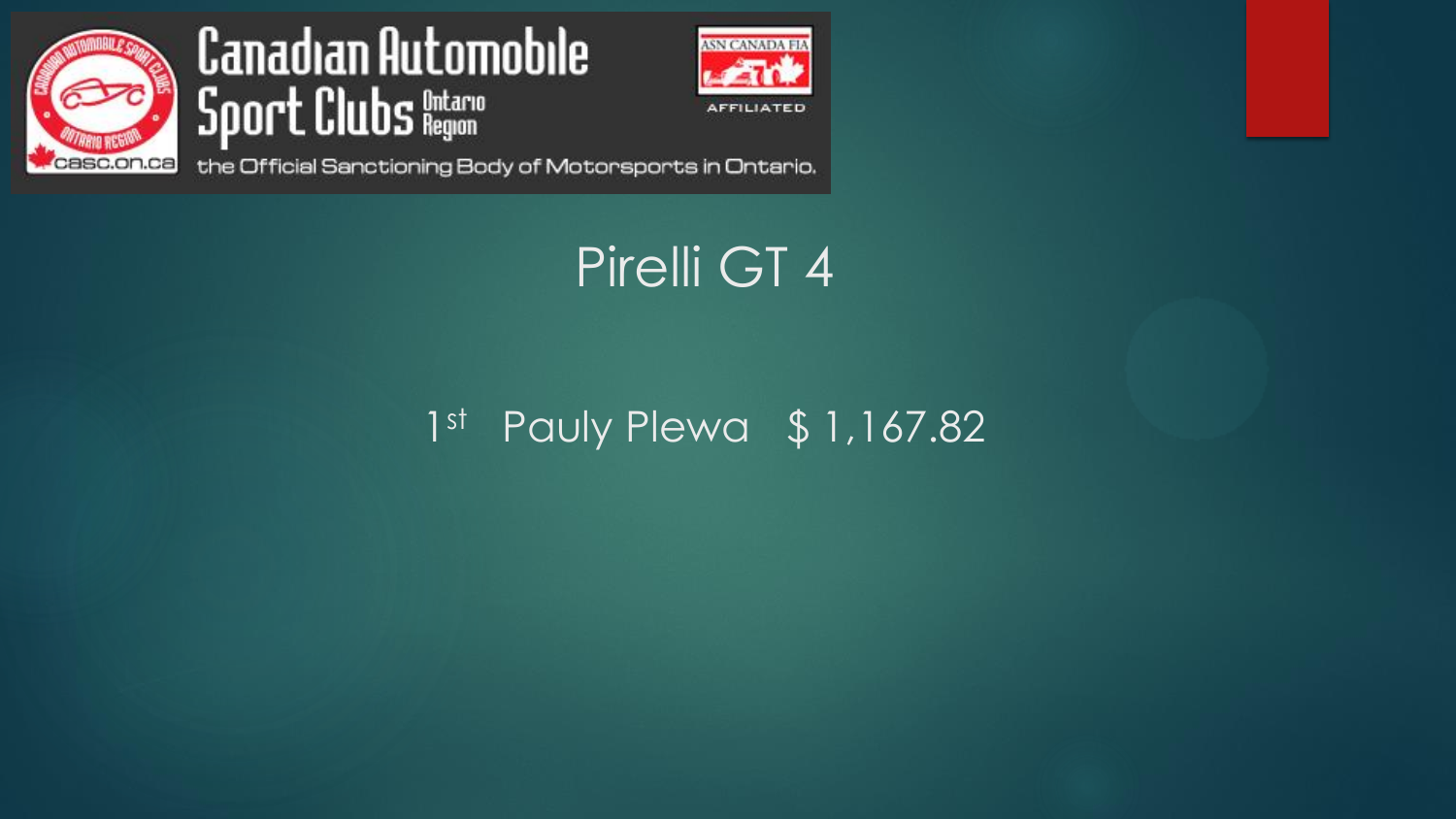



the Official Sanctioning Body of Motorsports in Ontario.

## Pirelli GT 4

#### 1st Pauly Plewa \$1,167.82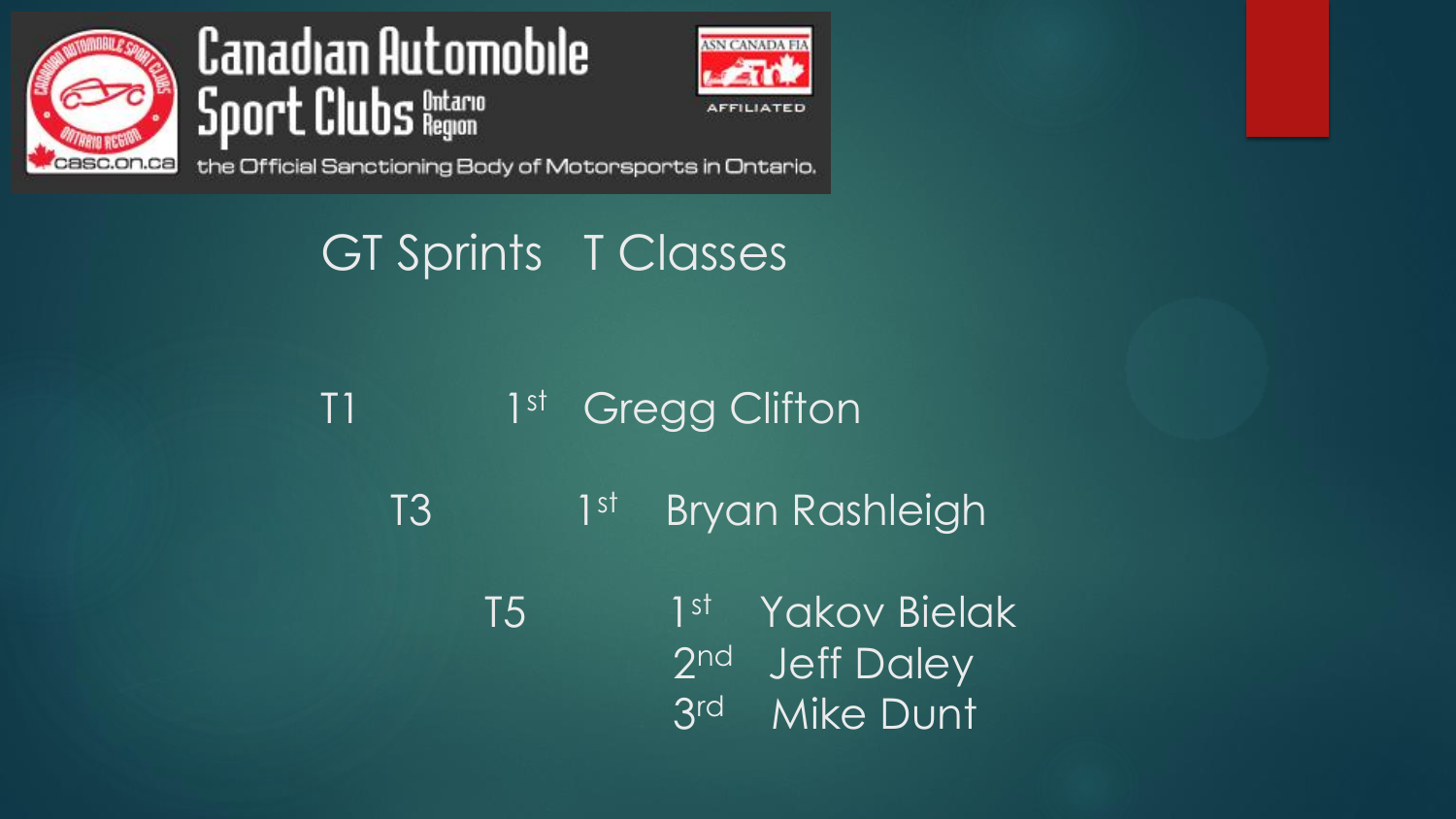



the Official Sanctioning Body of Motorsports in Ontario.

### GT Sprints T Classes

- $T1$  1st Gregg Clifton
	- T3 1st Bryan Rashleigh

T5 1st Yakov Bielak 2 2<sup>nd</sup> Jeff Daley 3 3rd Mike Dunt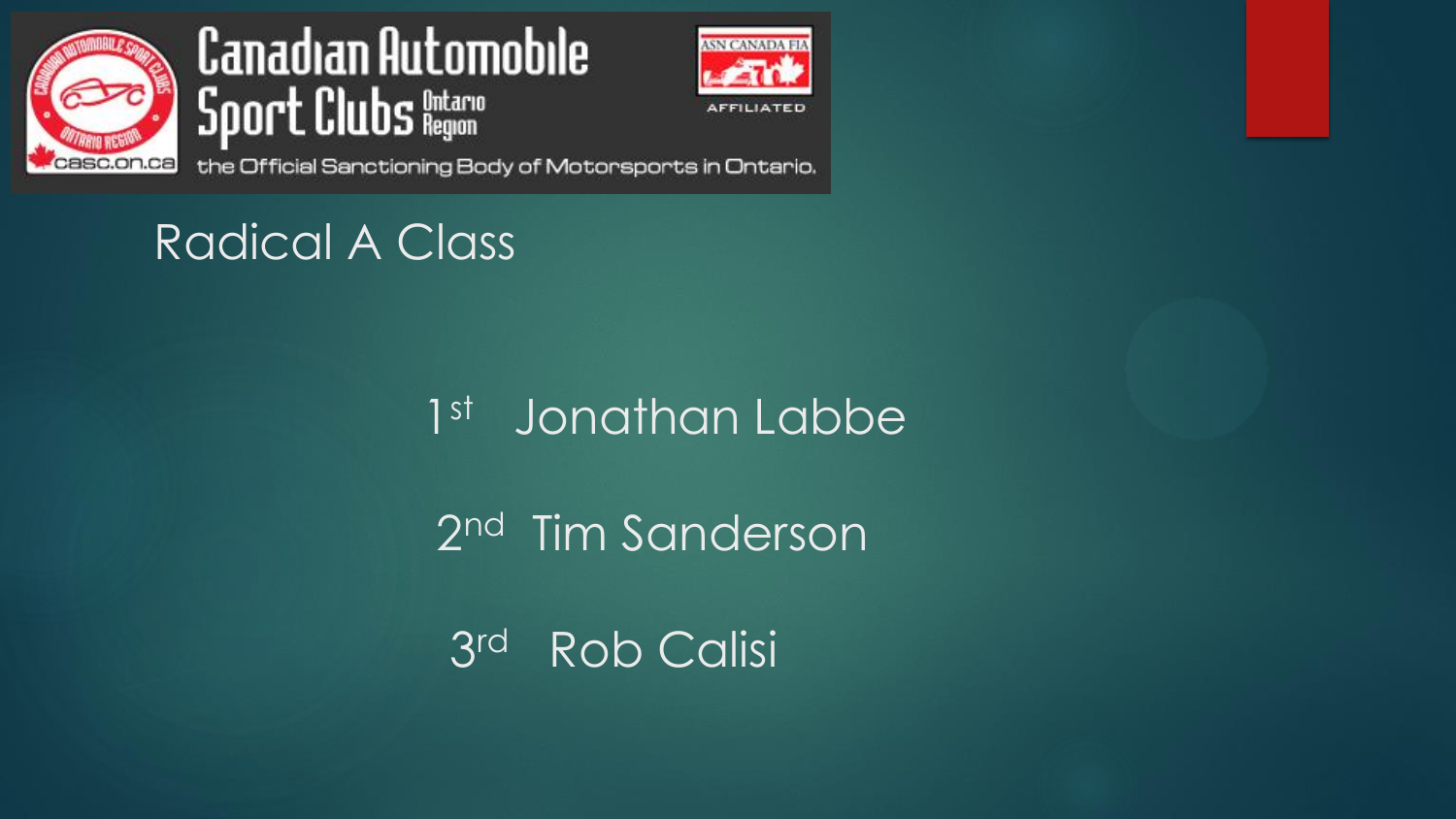



the Official Sanctioning Body of Motorsports in Ontario.

#### Radical A Class

#### 1 st Jonathan Labbe

 $\sim$  2 2<sup>nd</sup> Tim Sanderson

 3 3rd Rob Calisi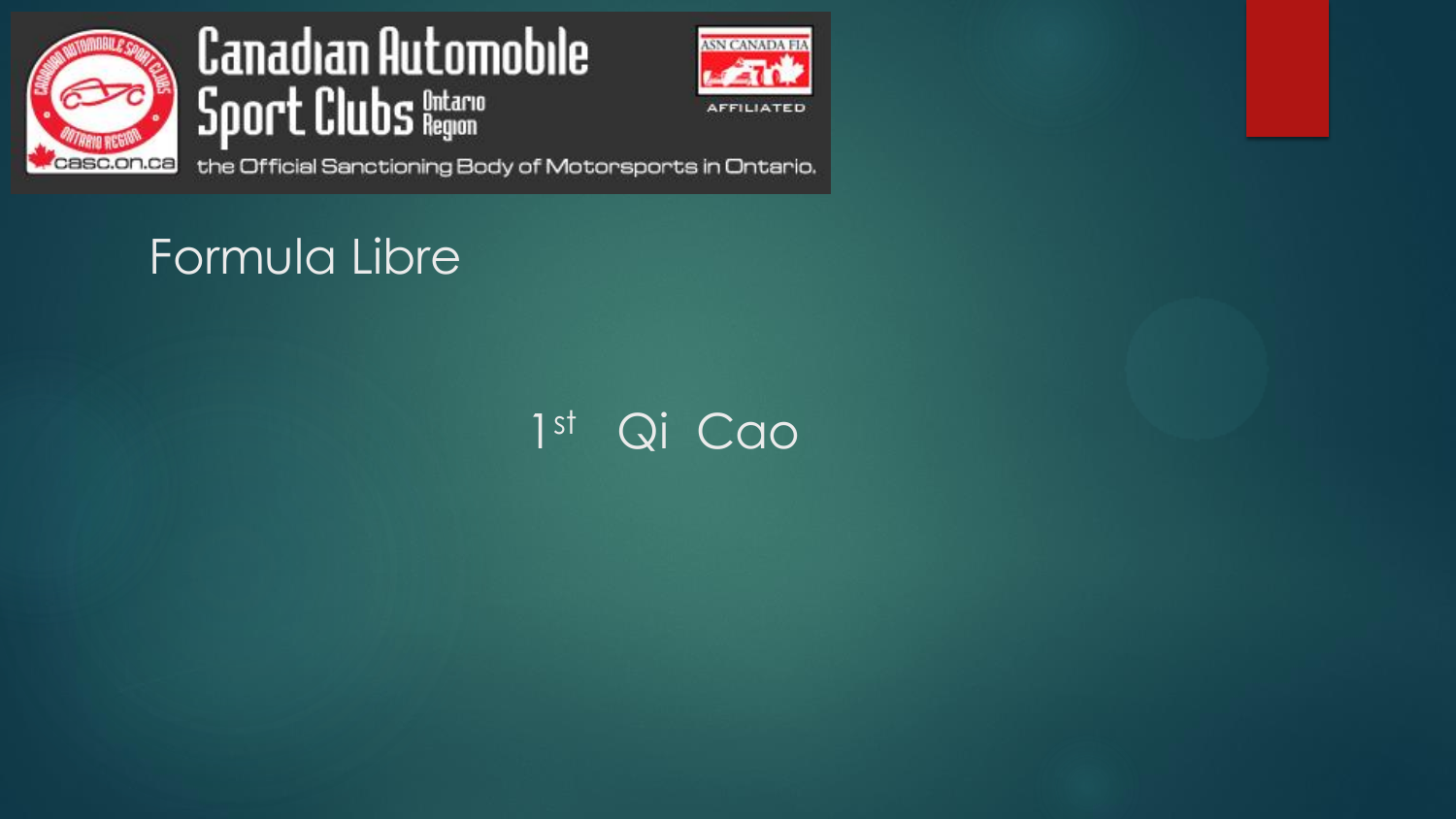

# Canadian Automobile



the Official Sanctioning Body of Motorsports in Ontario.

#### Formula Libre

#### 1st Qi Cao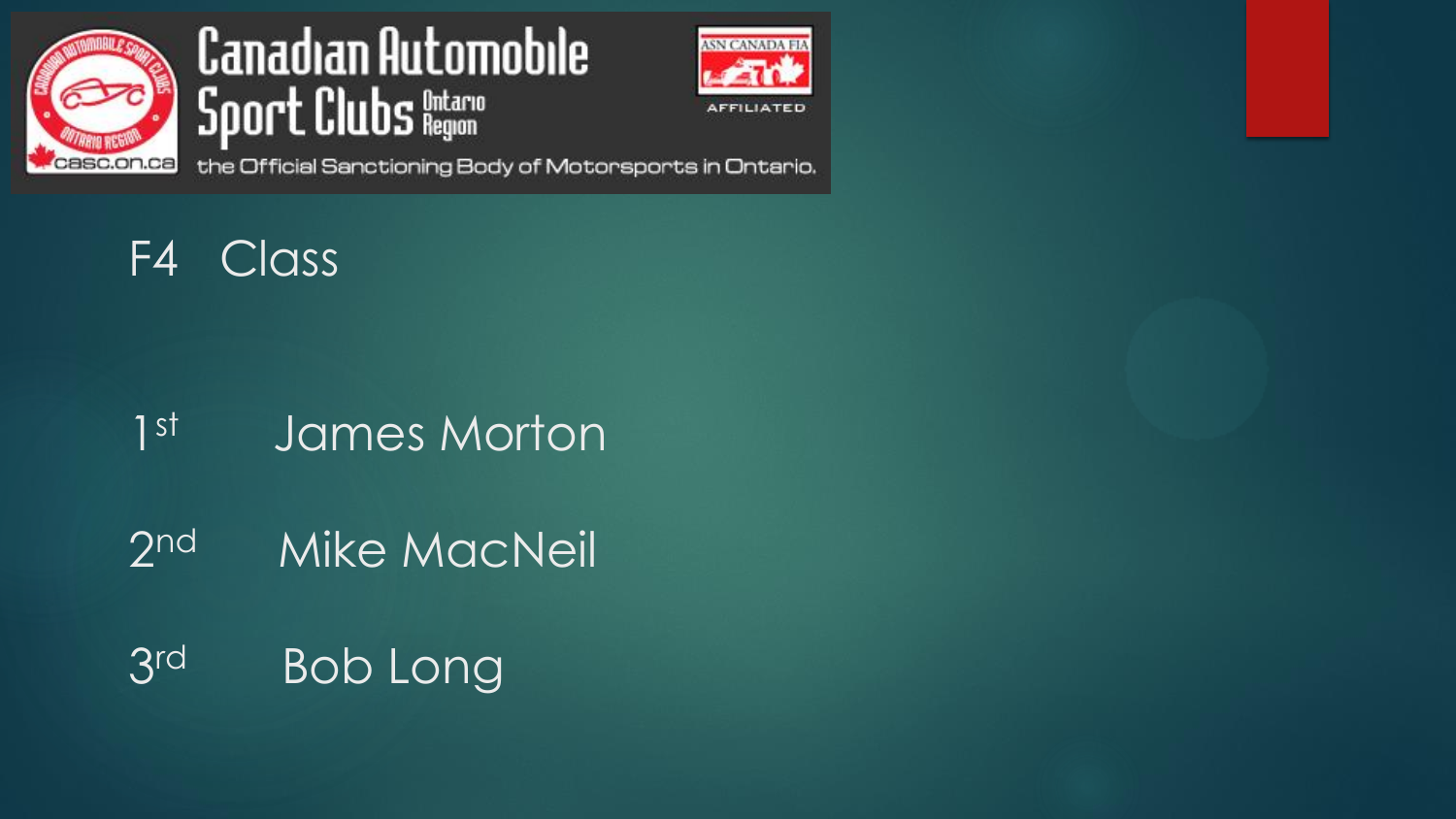



the Official Sanctioning Body of Motorsports in Ontario.

### F4 Class

### 1 st James Morton

 $2<sub>nd</sub>$ Mike MacNeil

**3rd Bob Long**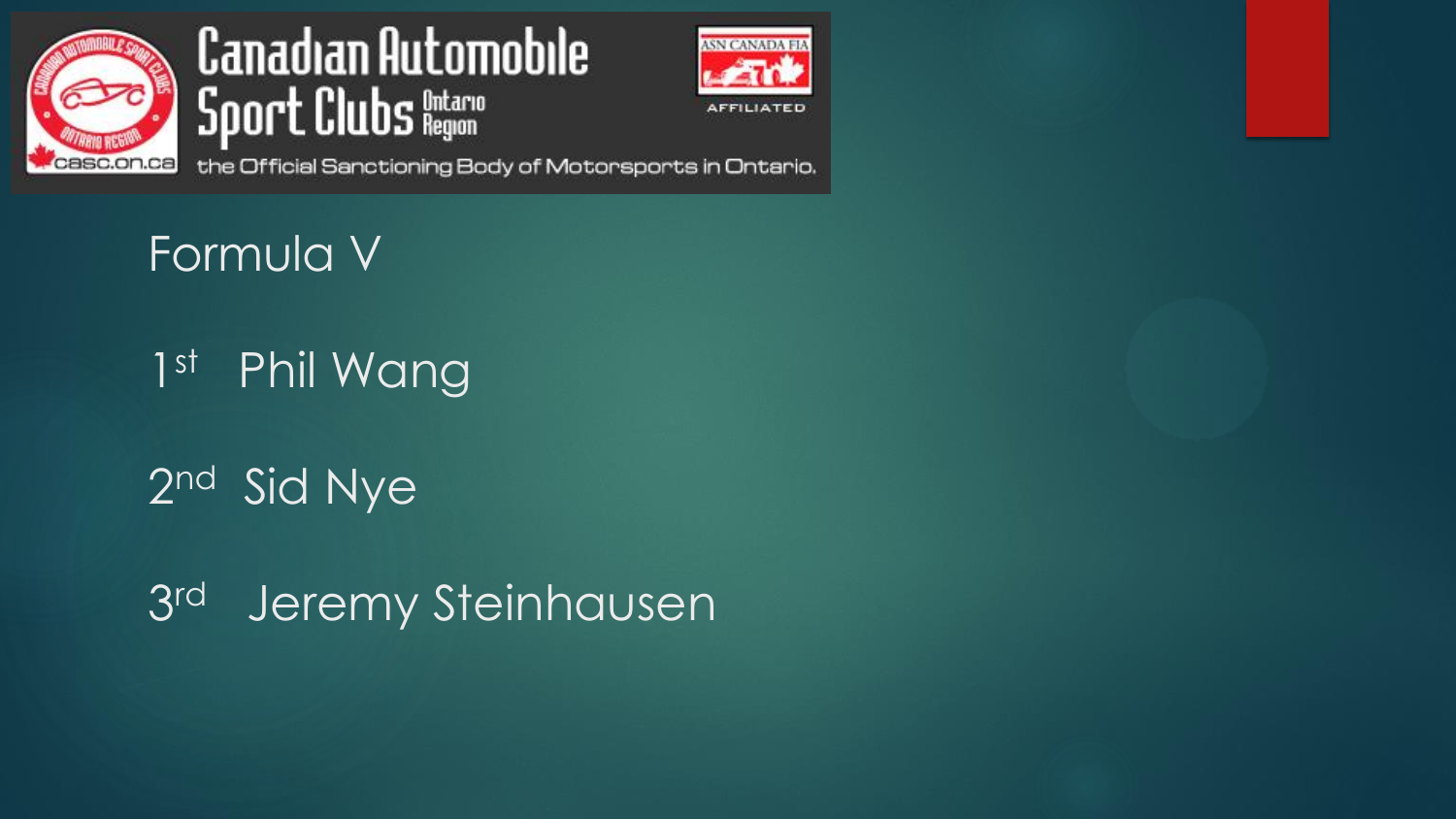



the Official Sanctioning Body of Motorsports in Ontario.

Formula V

1 st Phil Wang

2<sup>nd</sup> Sid Nye

3rd Jeremy Steinhausen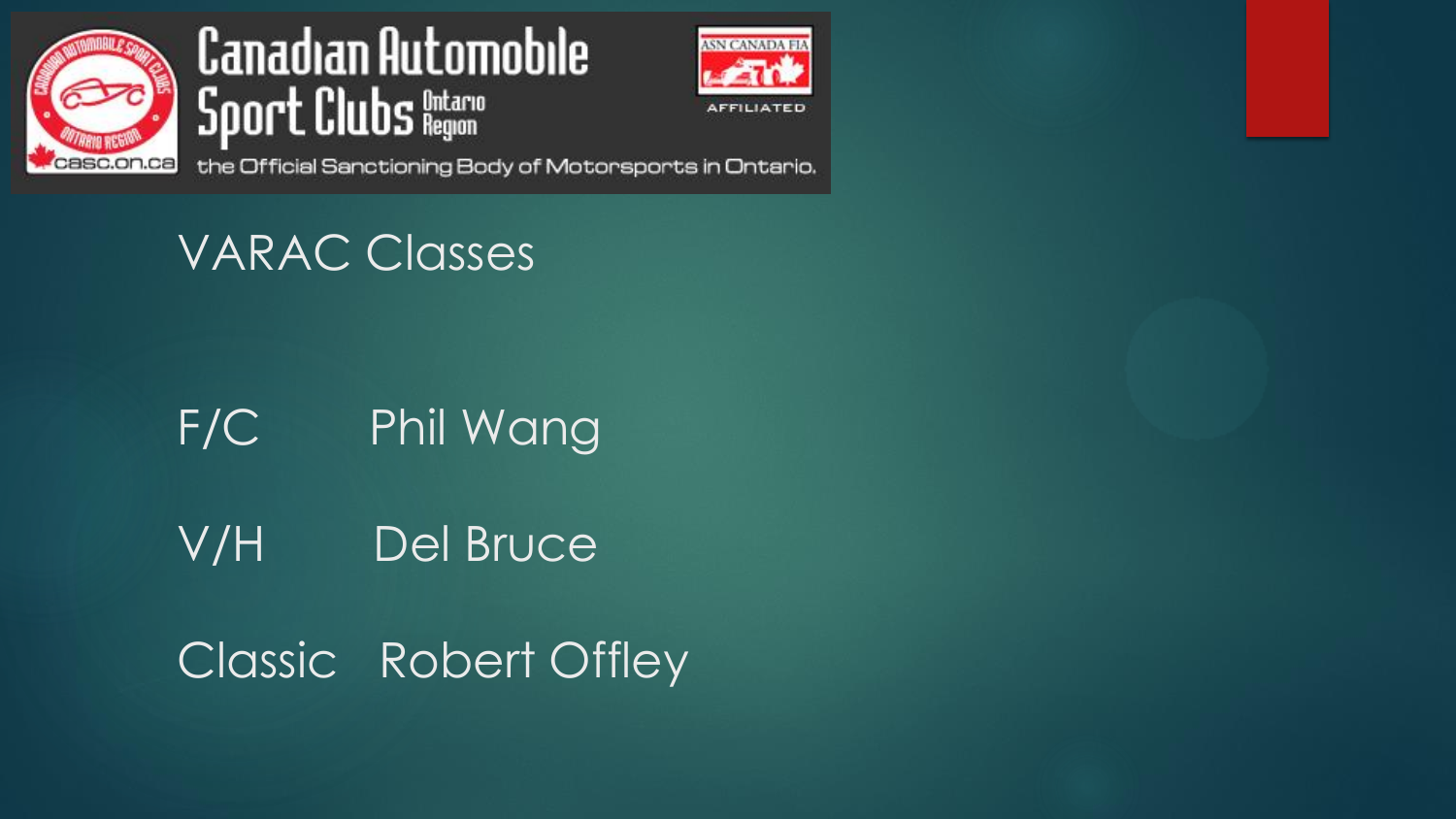



the Official Sanctioning Body of Motorsports in Ontario.

### VARAC Classes

## F/C Phil Wang V/H Del Bruce Classic Robert Offley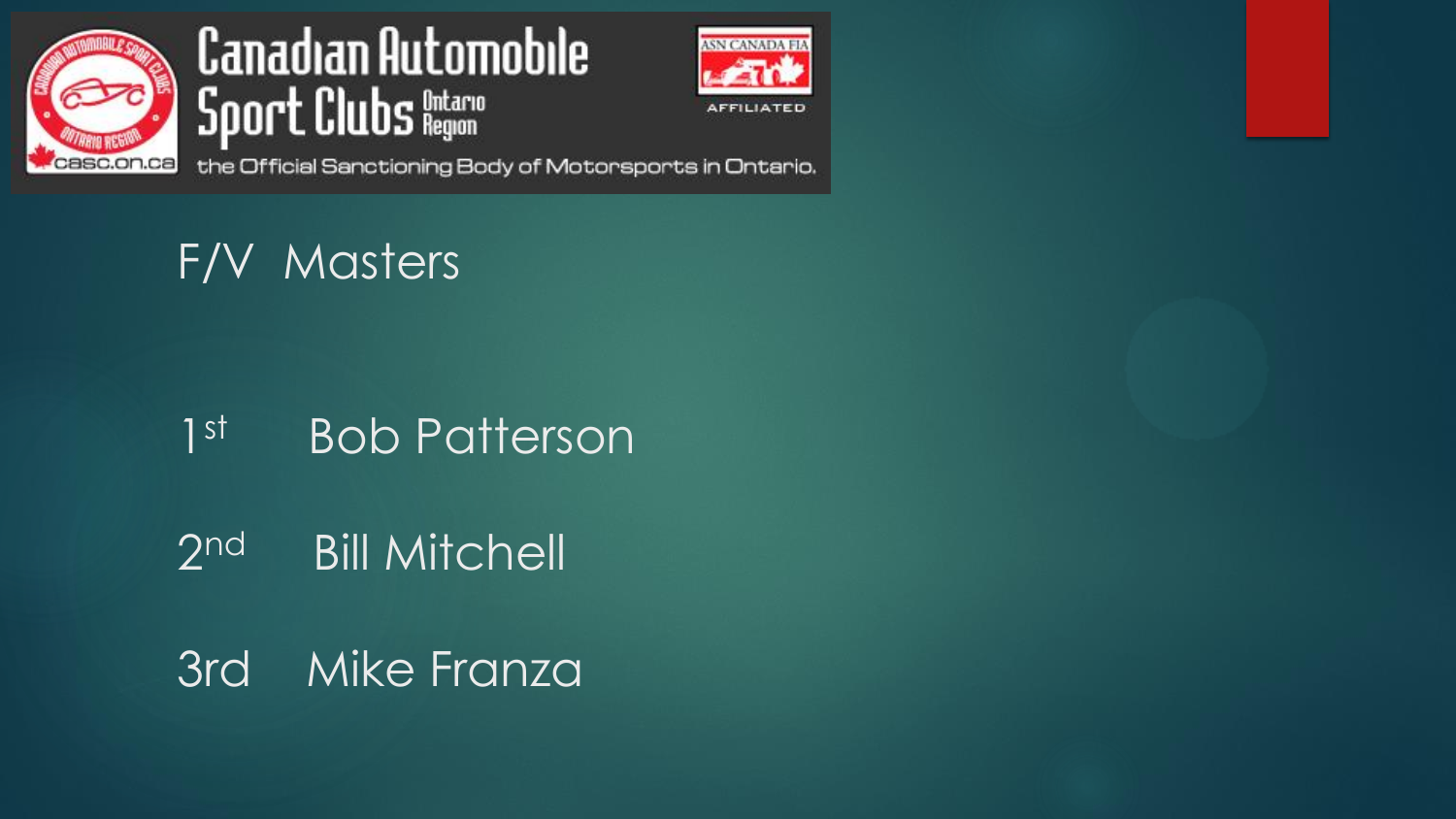



the Official Sanctioning Body of Motorsports in Ontario.

### F/V Masters

### 1 st Bob Patterson

 $2<sub>nd</sub>$ **Bill Mitchell** 

3rd Mike Franza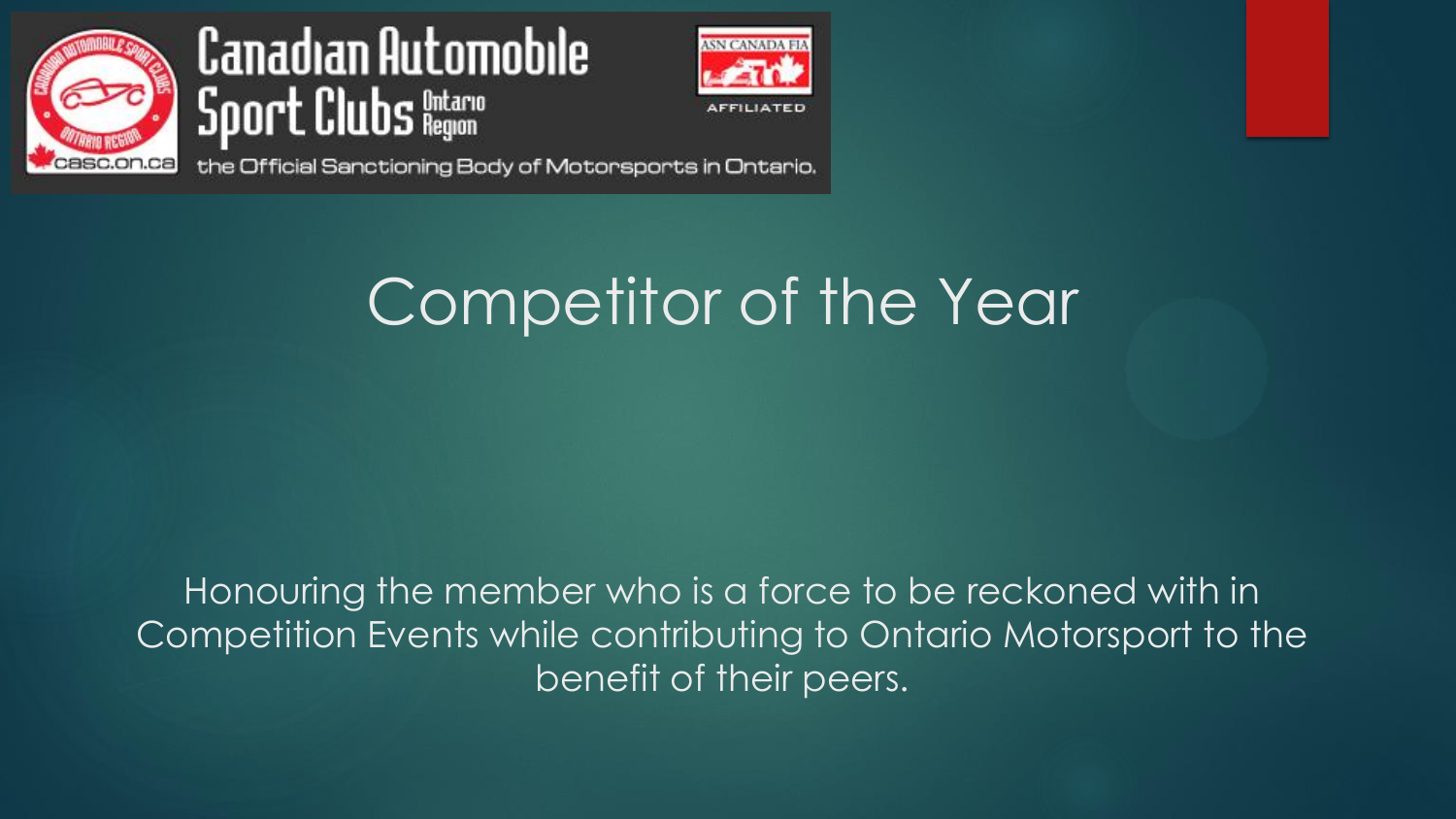



the Official Sanctioning Body of Motorsports in Ontario.

### Competitor of the Year

Honouring the member who is a force to be reckoned with in Competition Events while contributing to Ontario Motorsport to the benefit of their peers.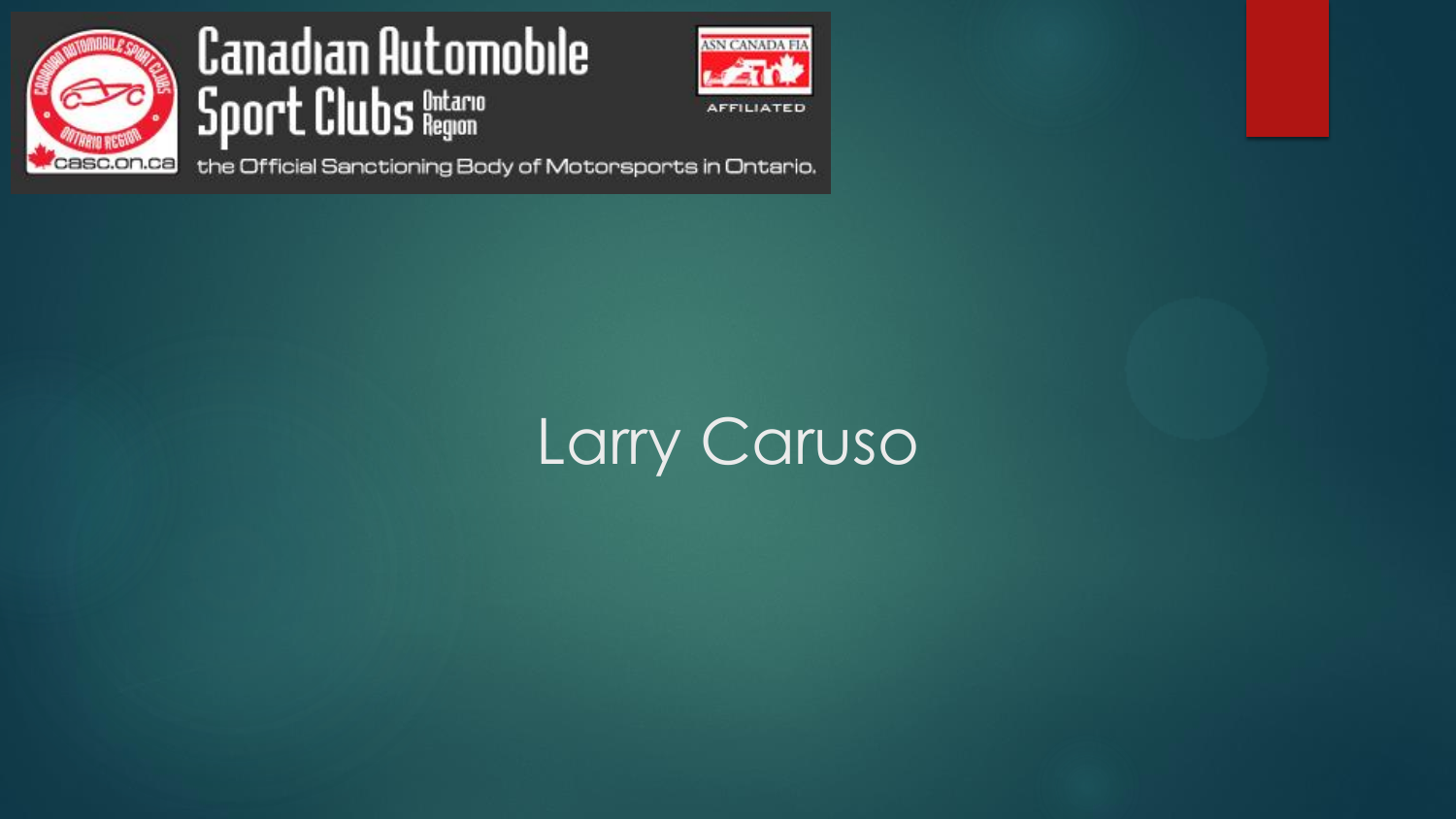

# **Canadian Automobile**<br>Sport Clubs **Autarie**



the Official Sanctioning Body of Motorsports in Ontario.

### Larry Caruso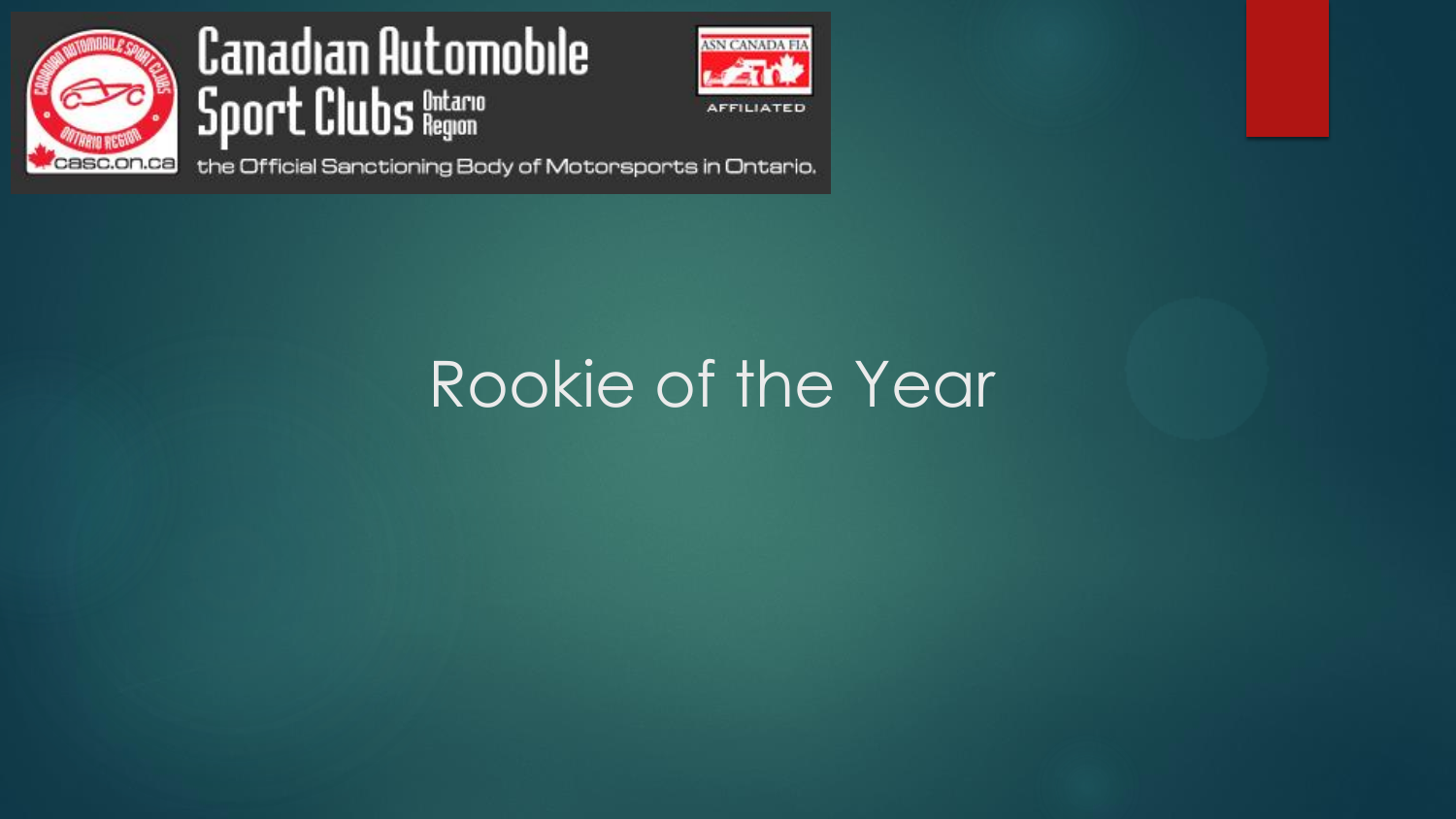



the Official Sanctioning Body of Motorsports in Ontario.

### Rookie of the Year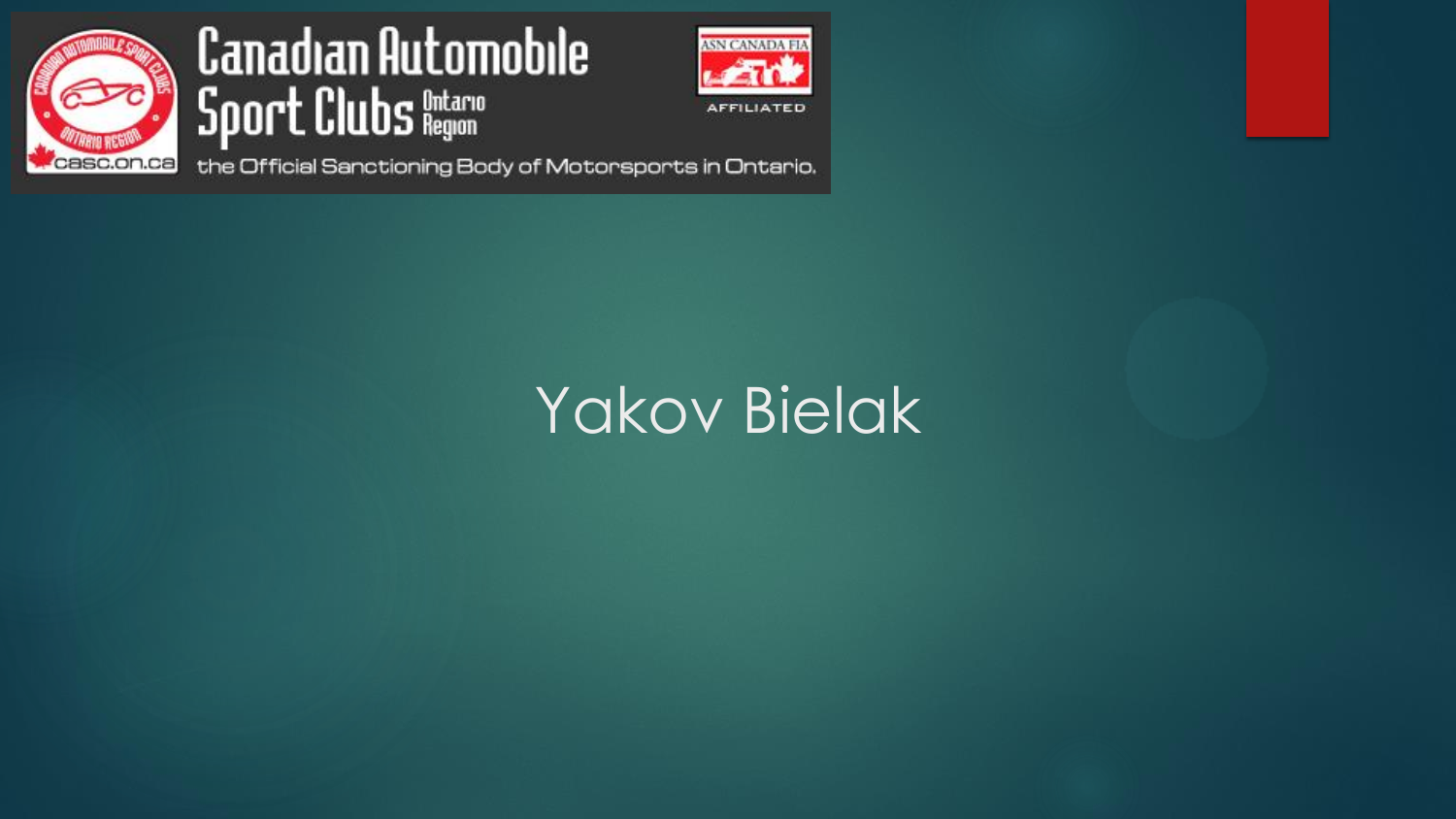

# **Canadian Automobile**<br>Sport Clubs **Automo**



the Official Sanctioning Body of Motorsports in Ontario.

### Yakov Bielak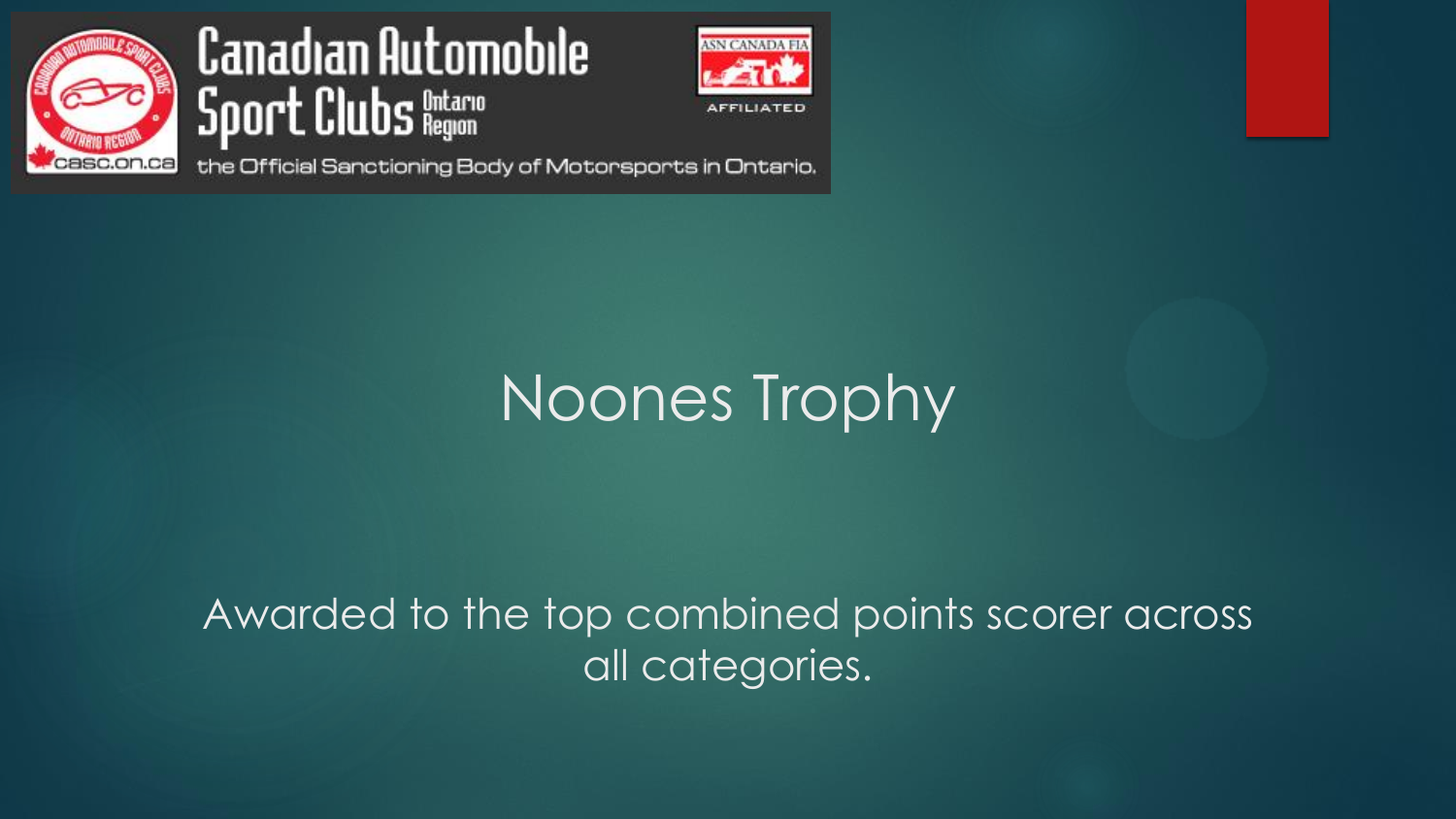



the Official Sanctioning Body of Motorsports in Ontario.

### Noones Trophy

Awarded to the top combined points scorer across all categories.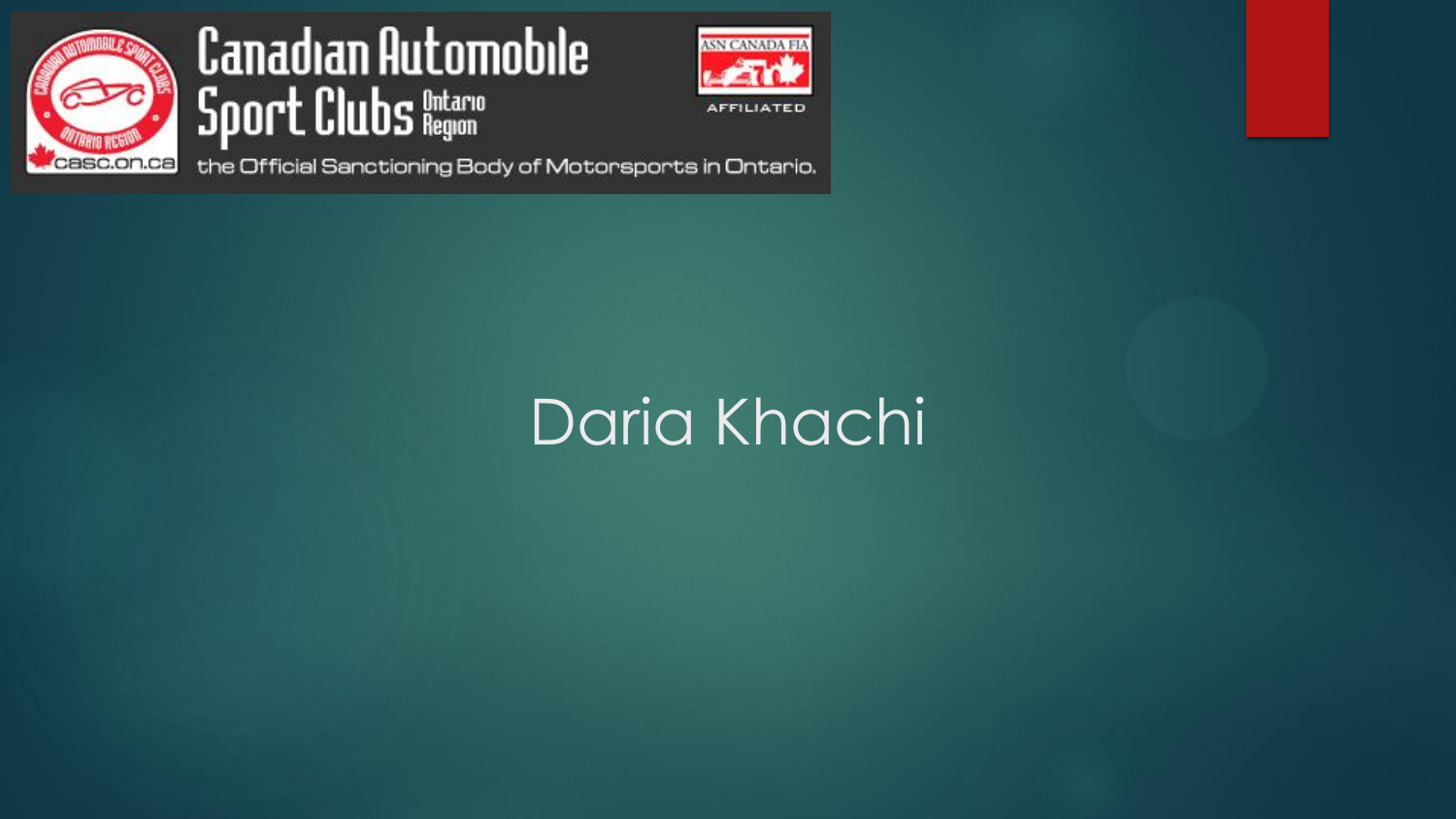

# **Canadian Automobile**<br>Sport Clubs **Autarie**



the Official Sanctioning Body of Motorsports in Ontario.

### Daria Khachi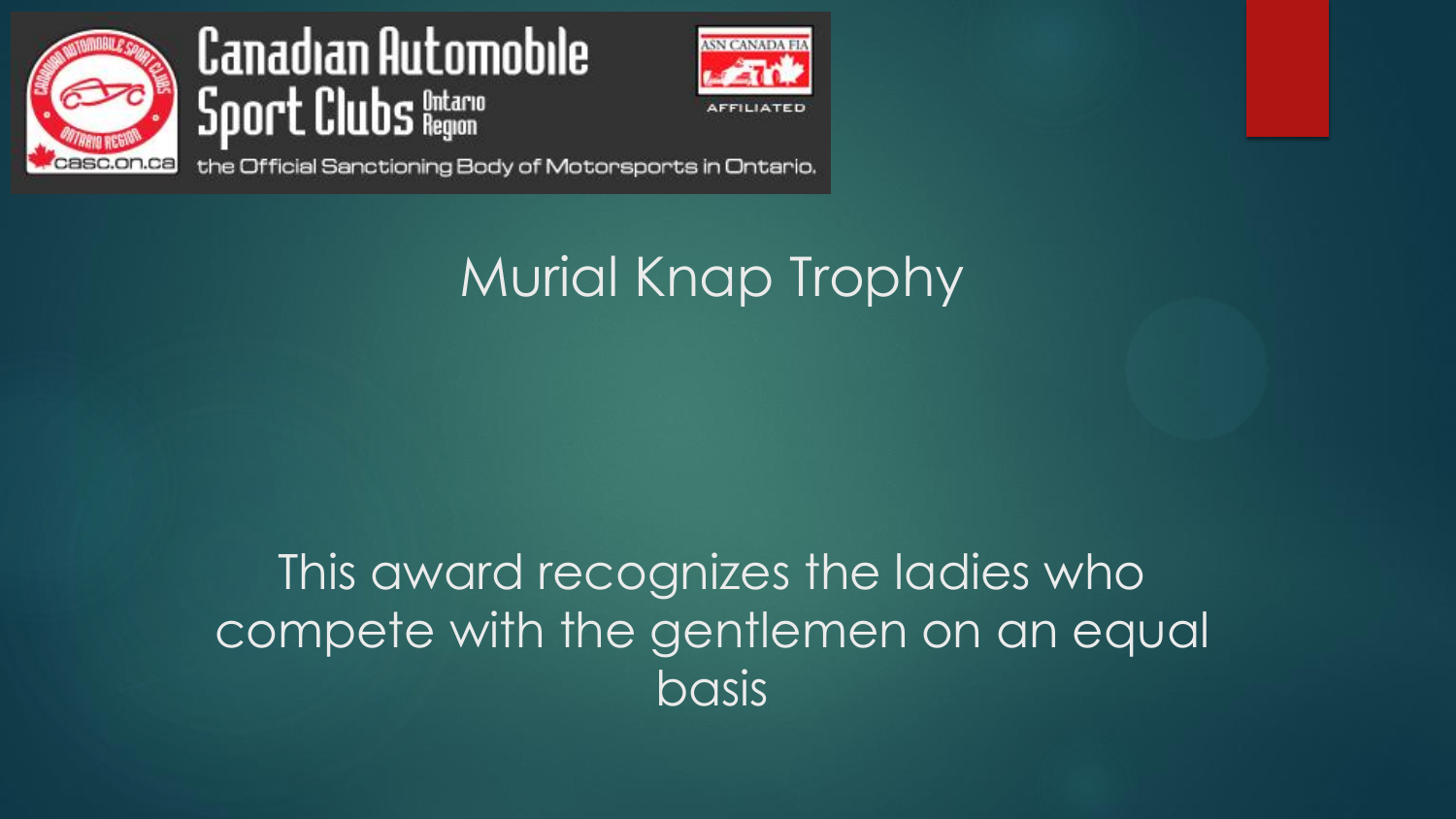



the Official Sanctioning Body of Motorsports in Ontario.

### Murial Knap Trophy

### This award recognizes the ladies who compete with the gentlemen on an equal basis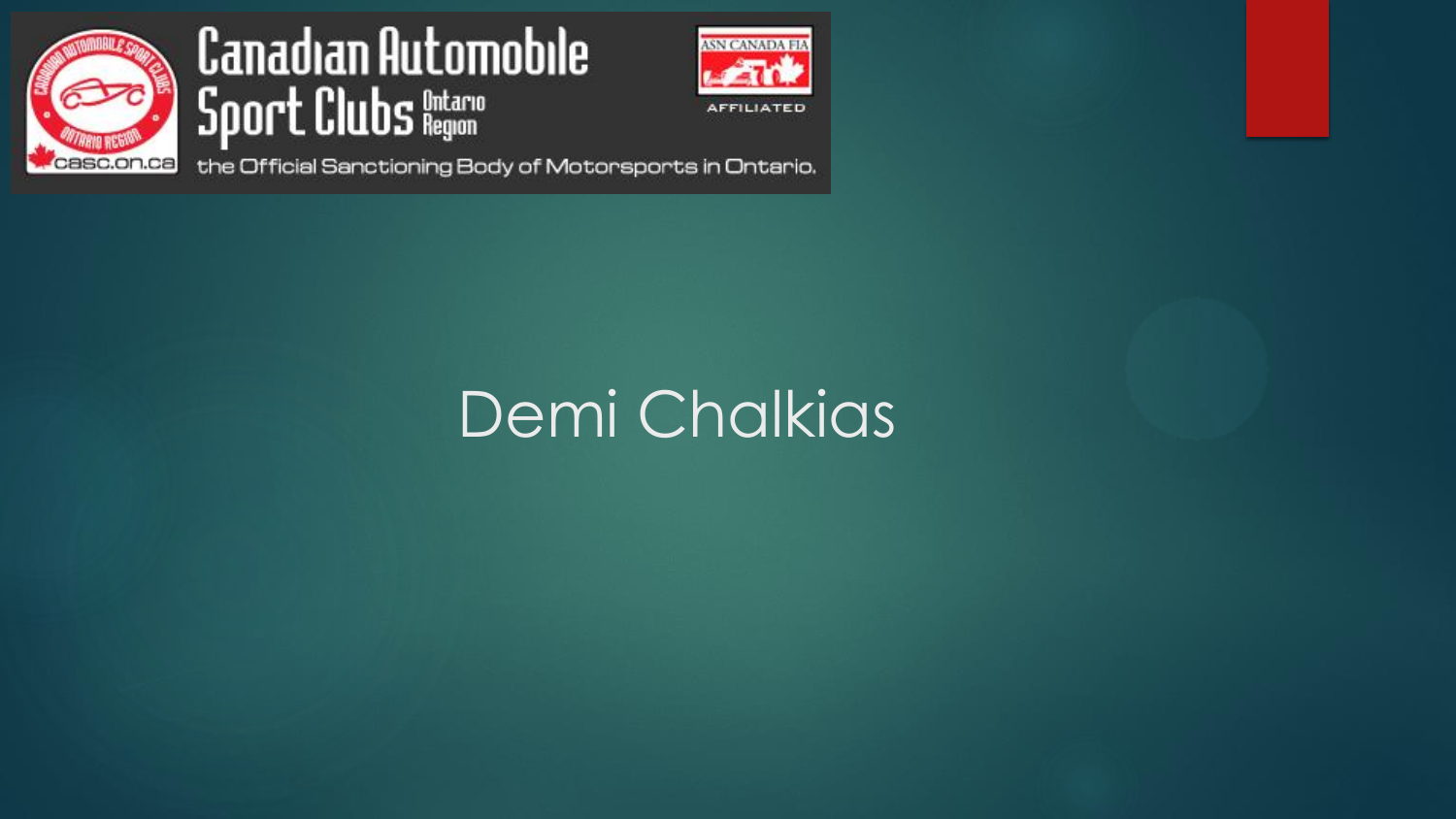

# **Canadian Automobile**<br>Sport Clubs **Autarie**



the Official Sanctioning Body of Motorsports in Ontario.

### Demi Chalkias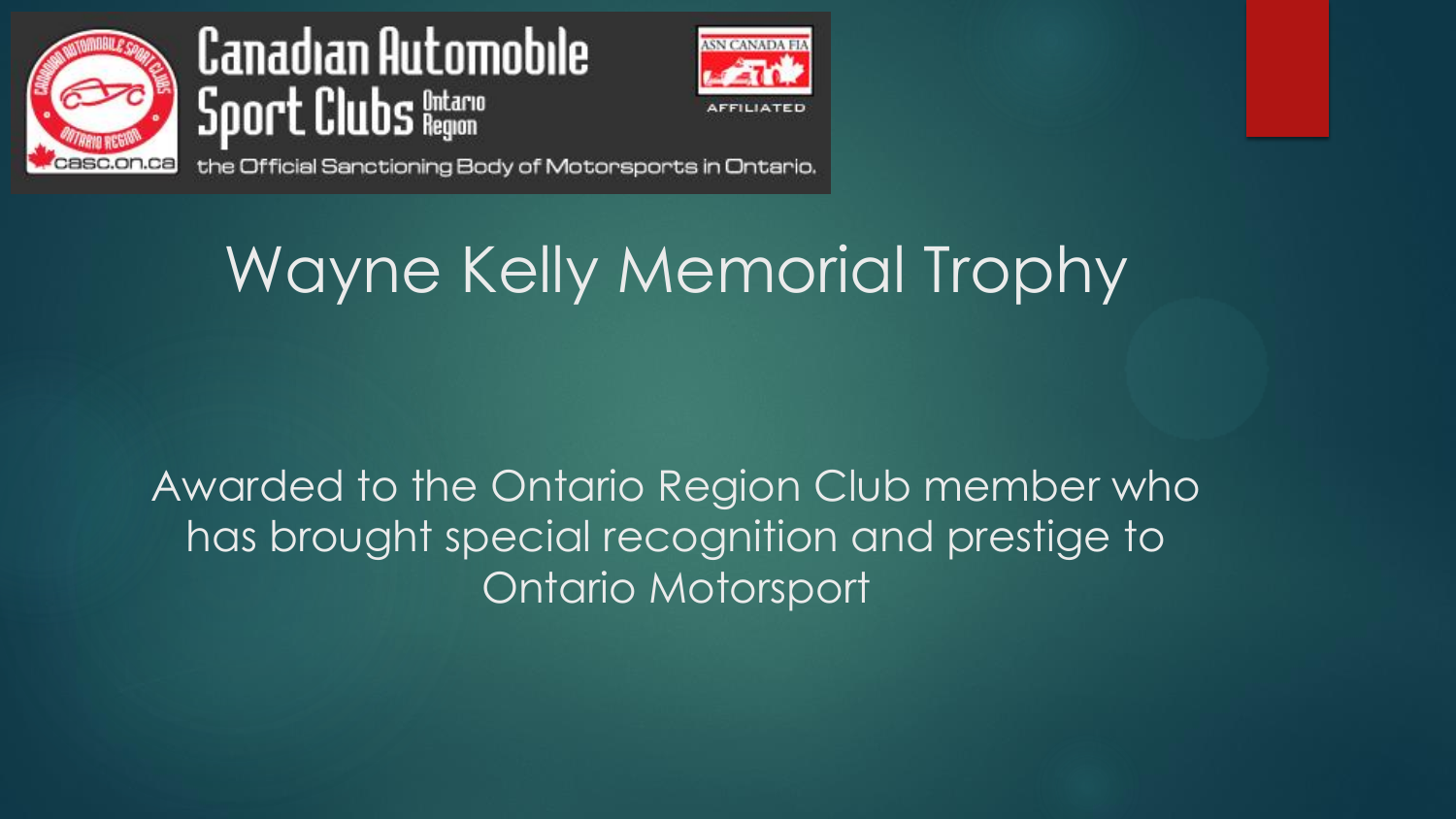



the Official Sanctioning Body of Motorsports in Ontario.

### Wayne Kelly Memorial Trophy

Awarded to the Ontario Region Club member who has brought special recognition and prestige to Ontario Motorsport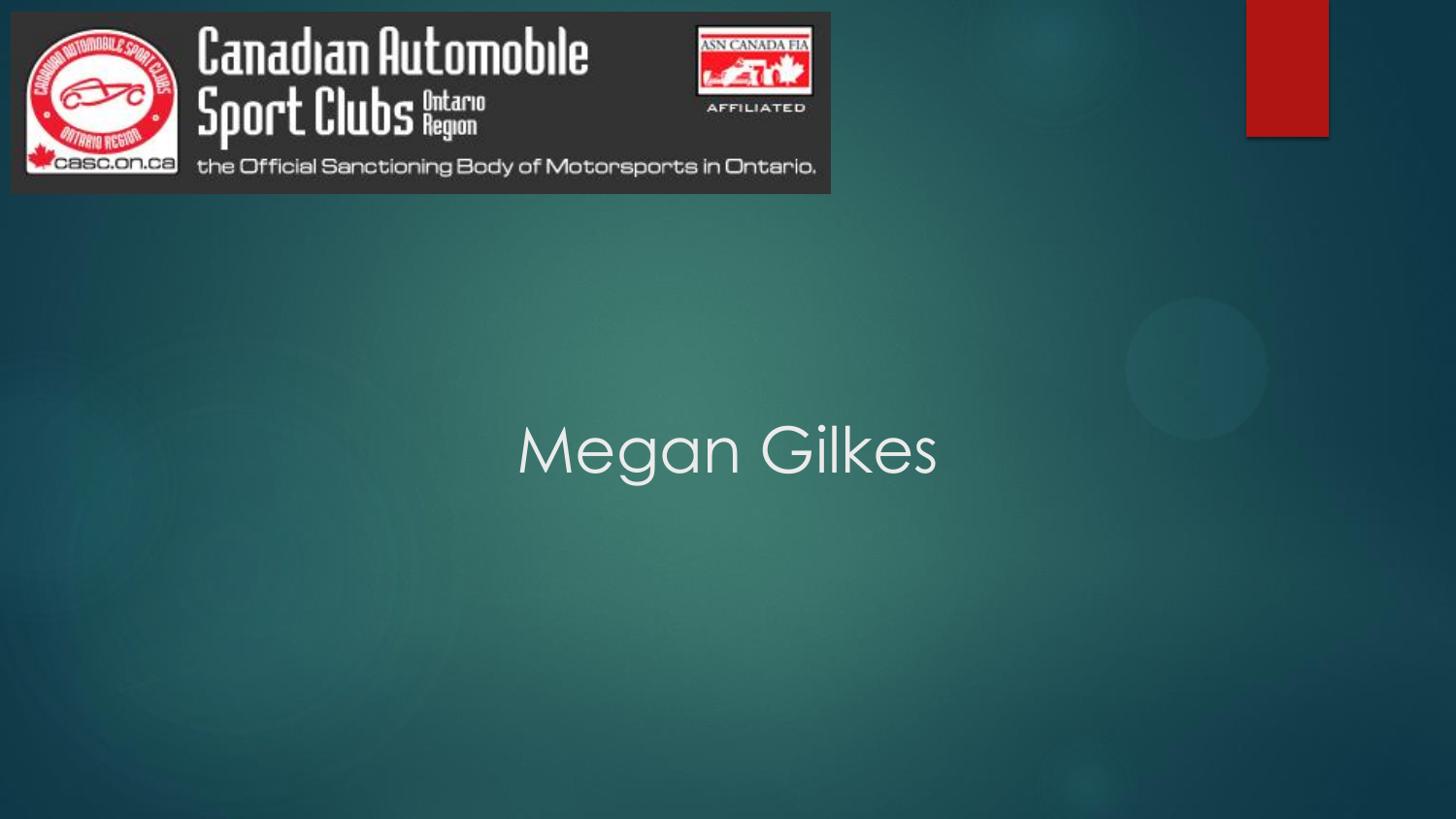

# **Canadian Automobile**<br>Sport Clubs **Automo**



the Official Sanctioning Body of Motorsports in Ontario.

### Megan Gilkes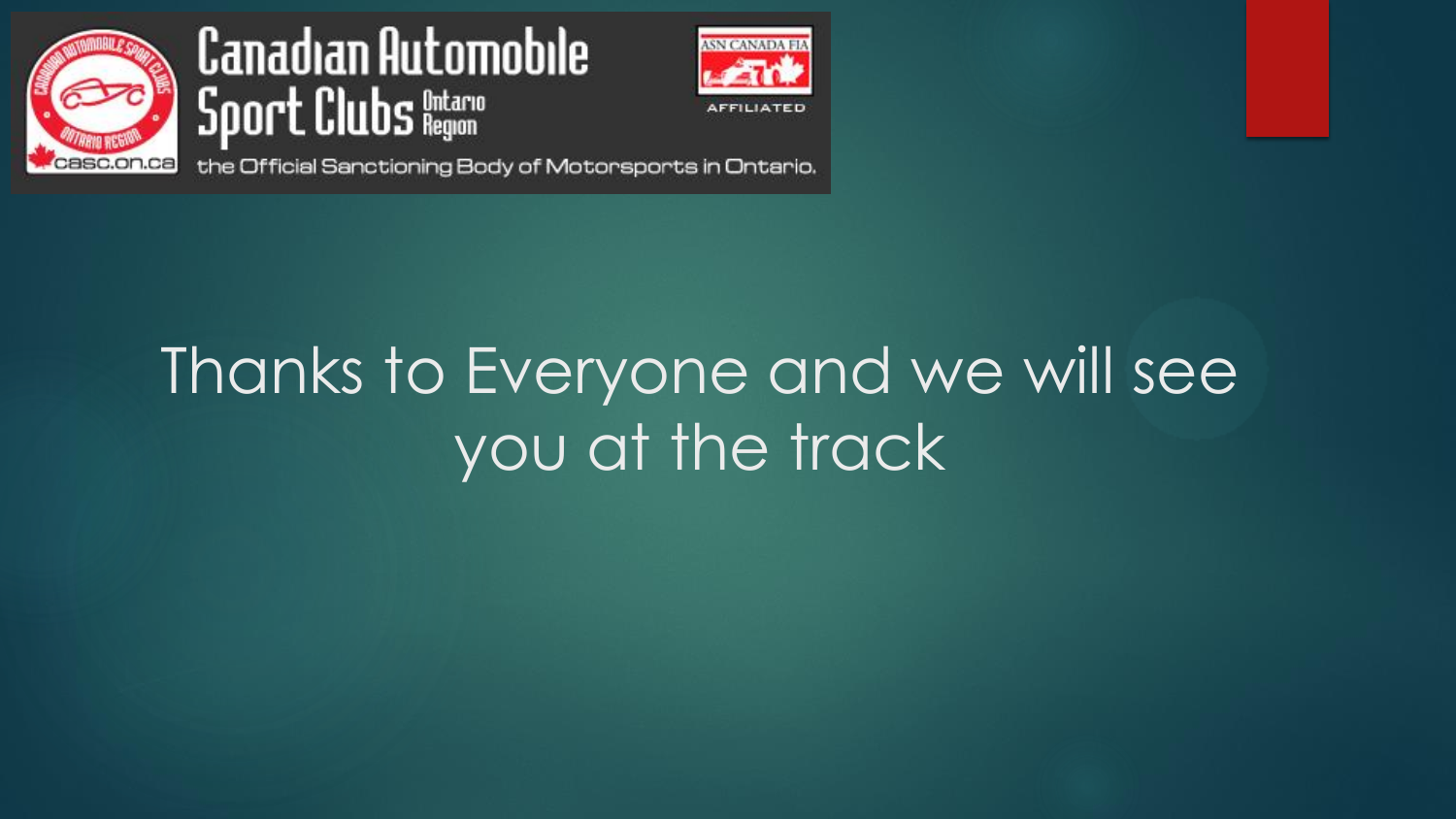



the Official Sanctioning Body of Motorsports in Ontario.

## Thanks to Everyone and we will see you at the track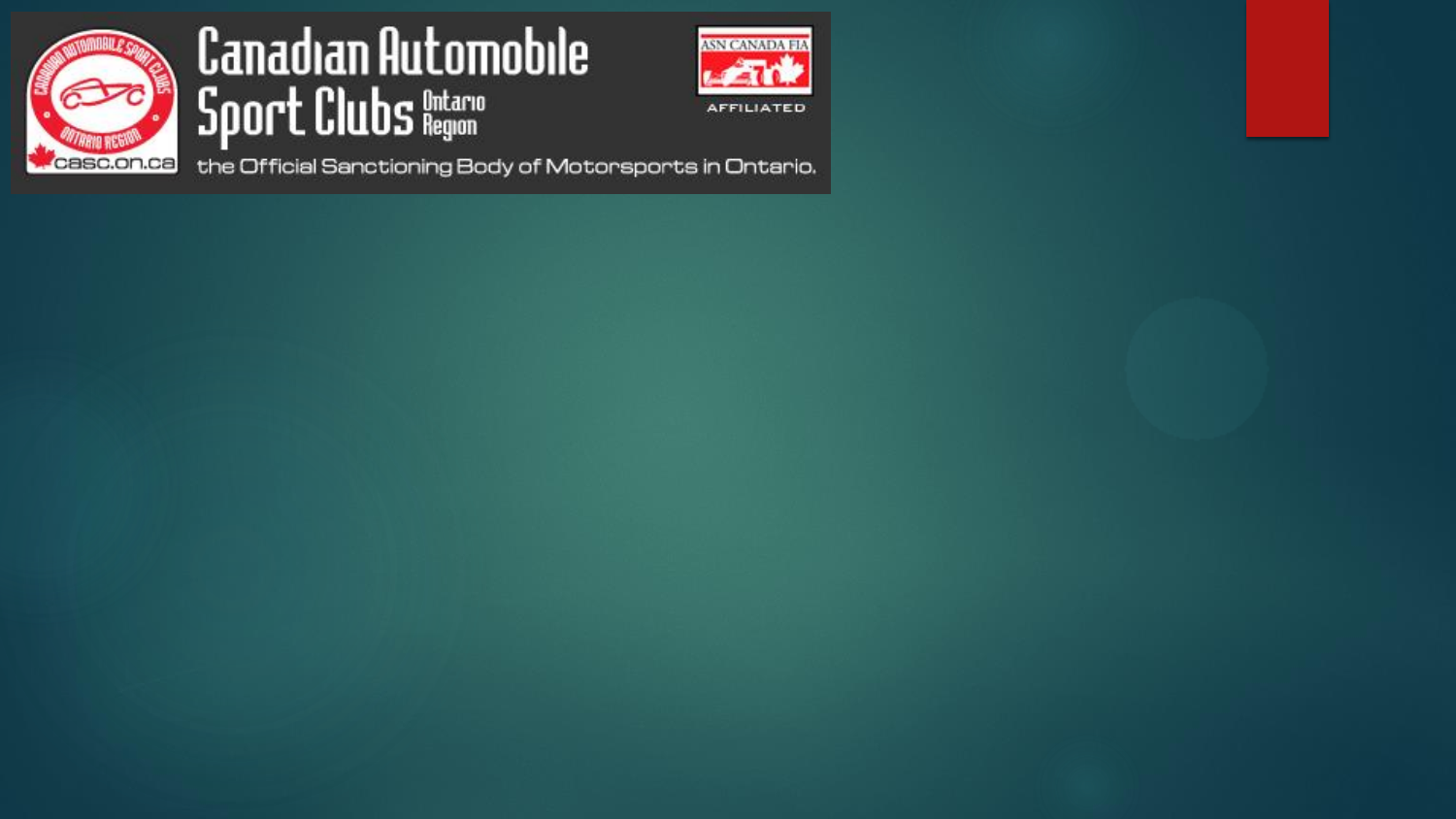

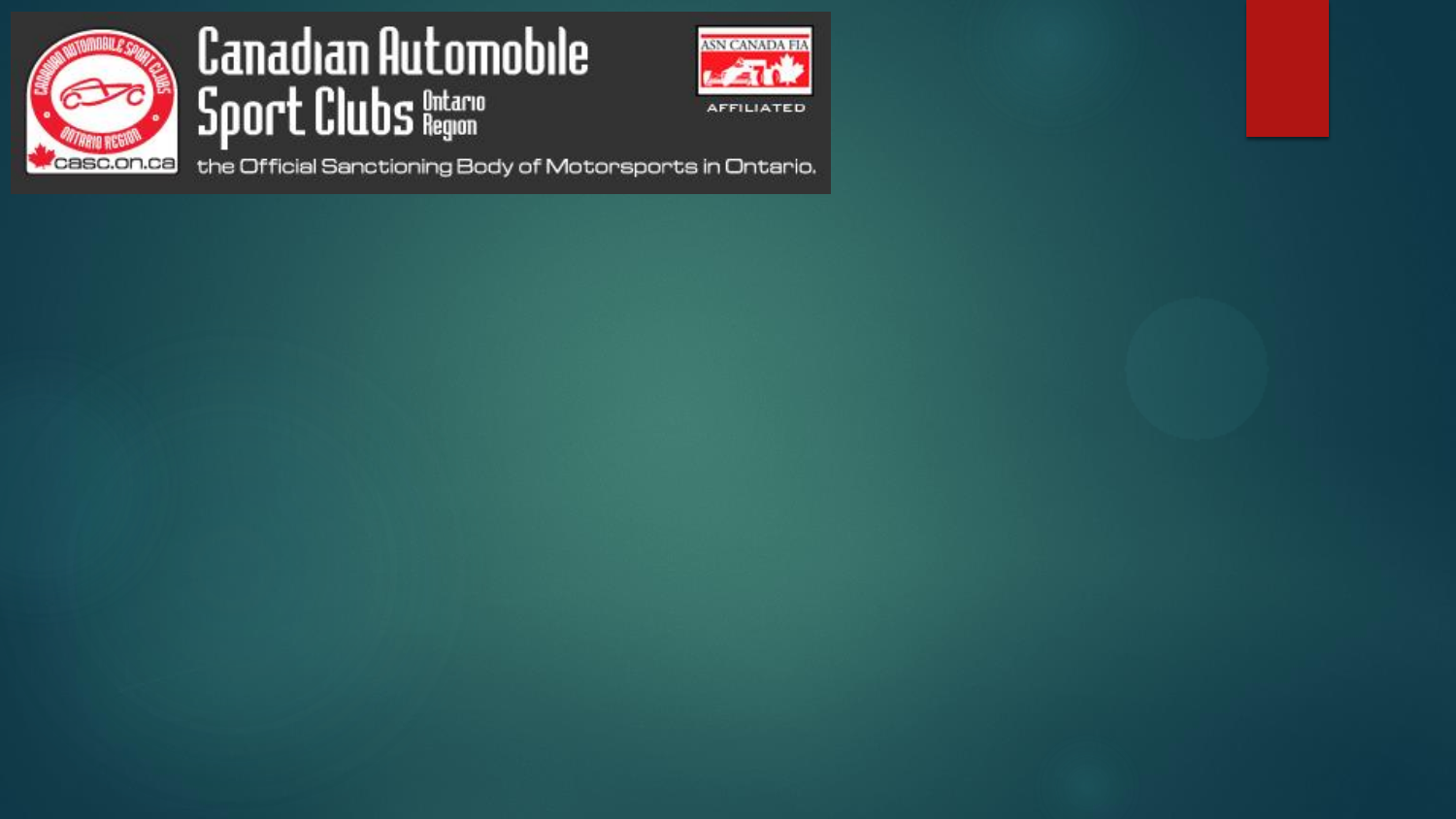

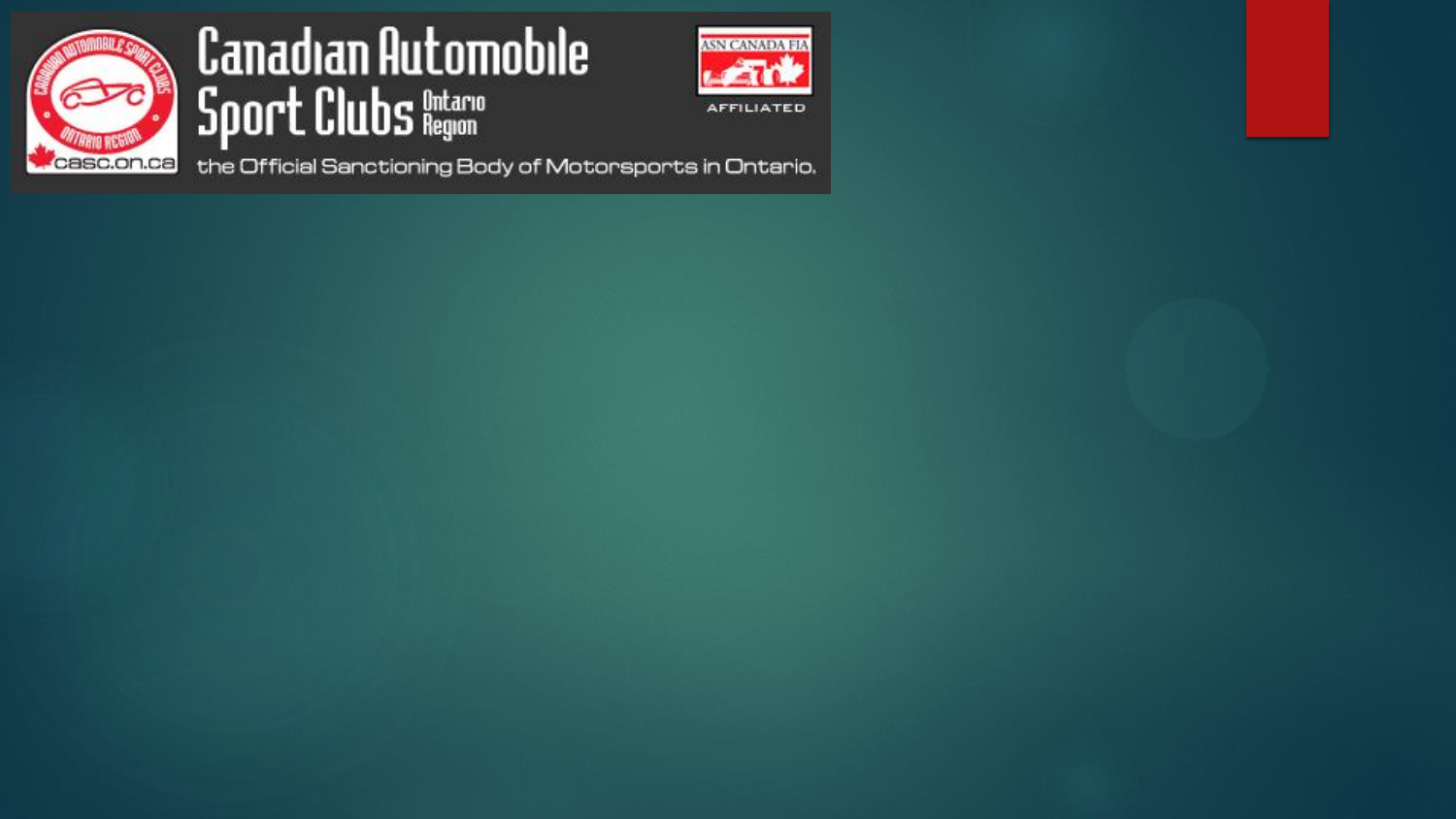

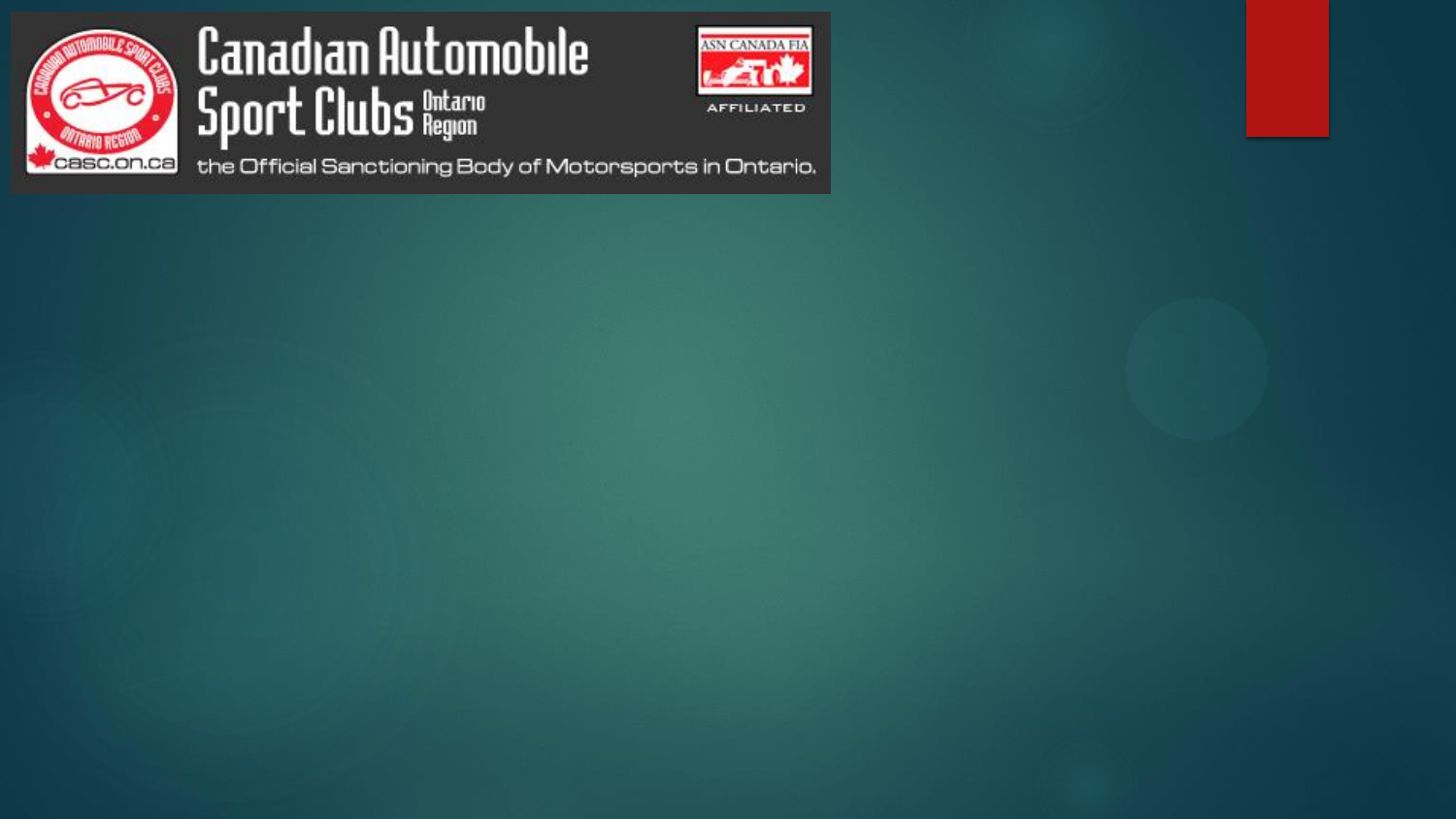

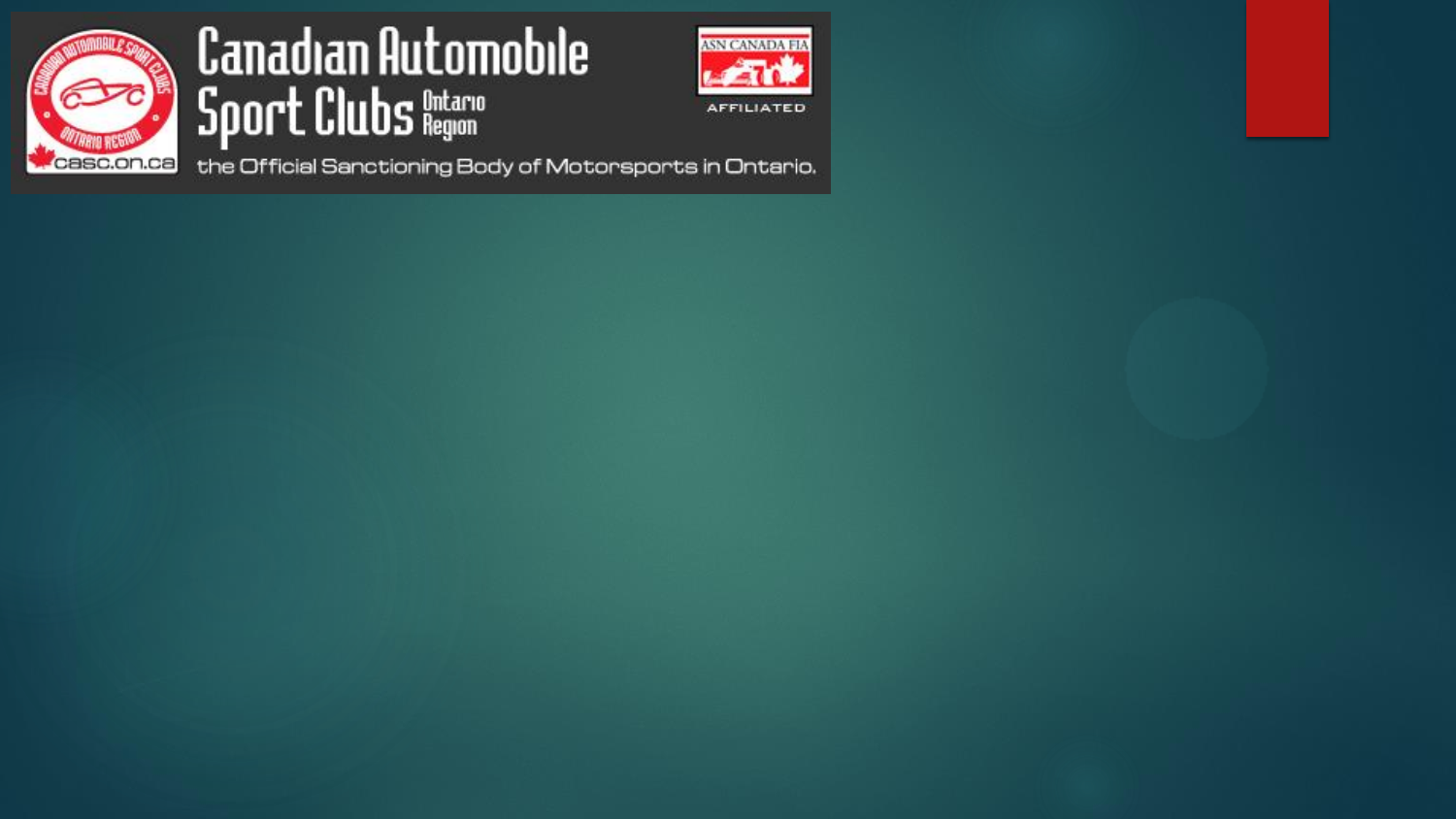

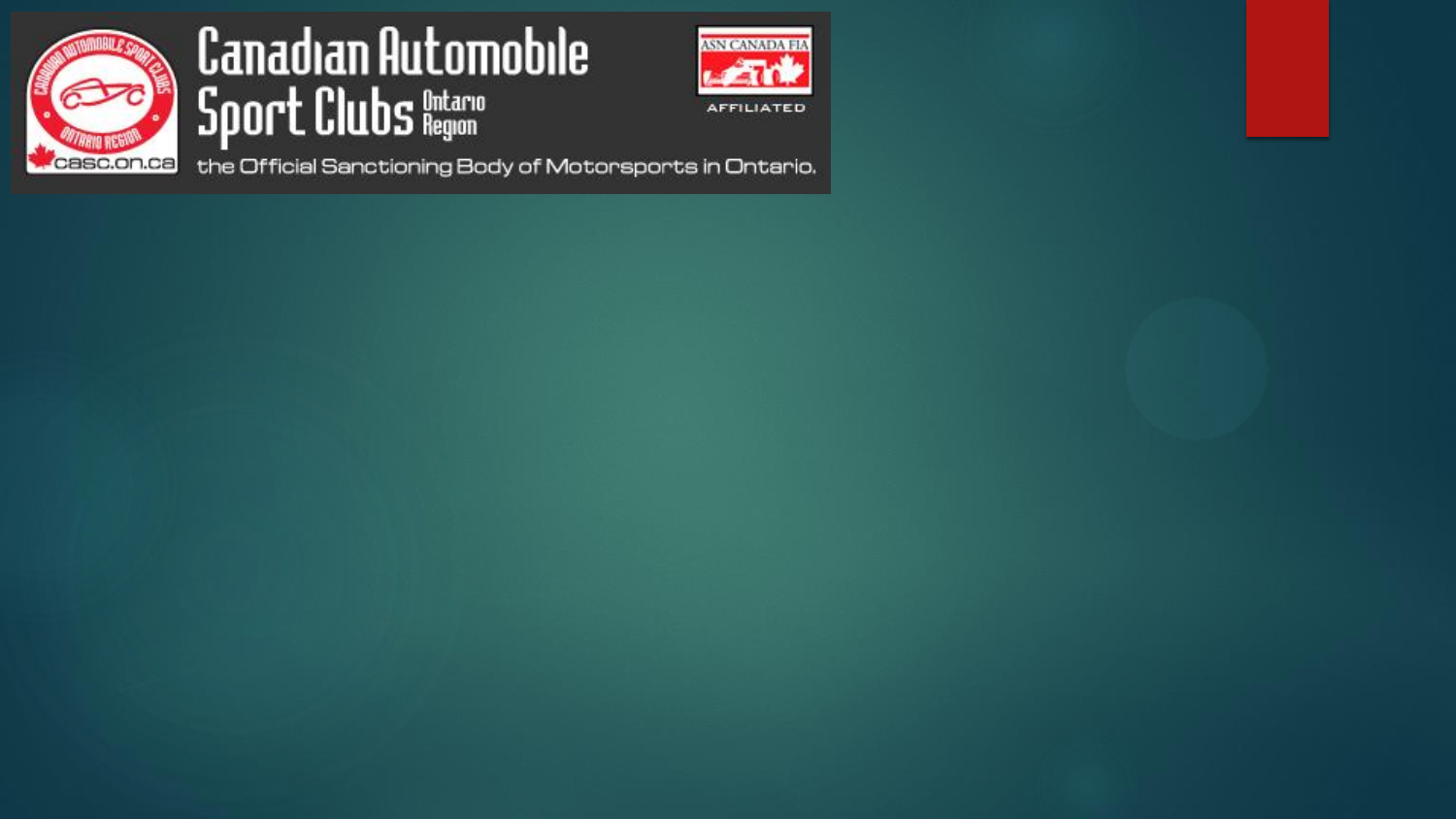

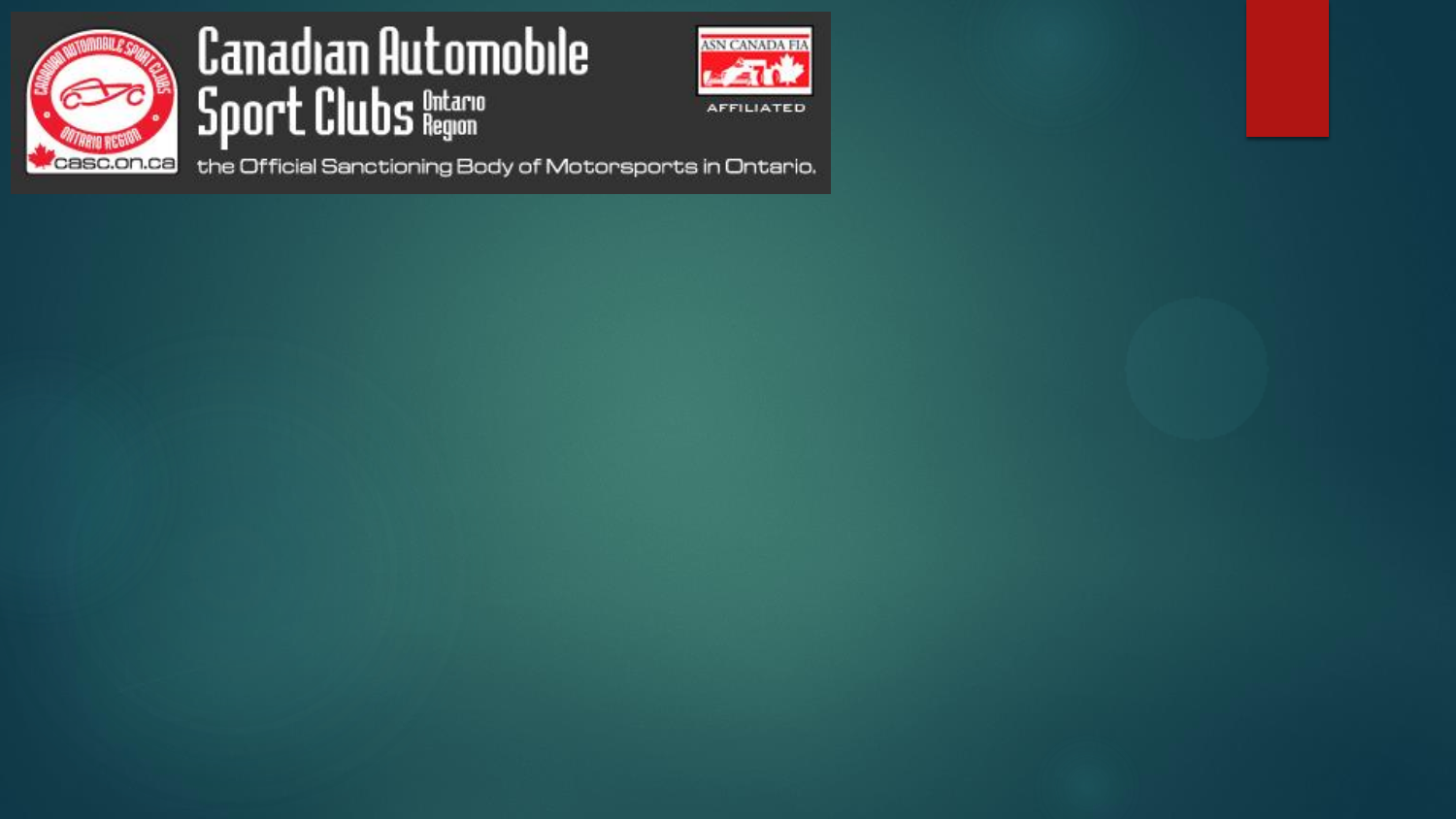

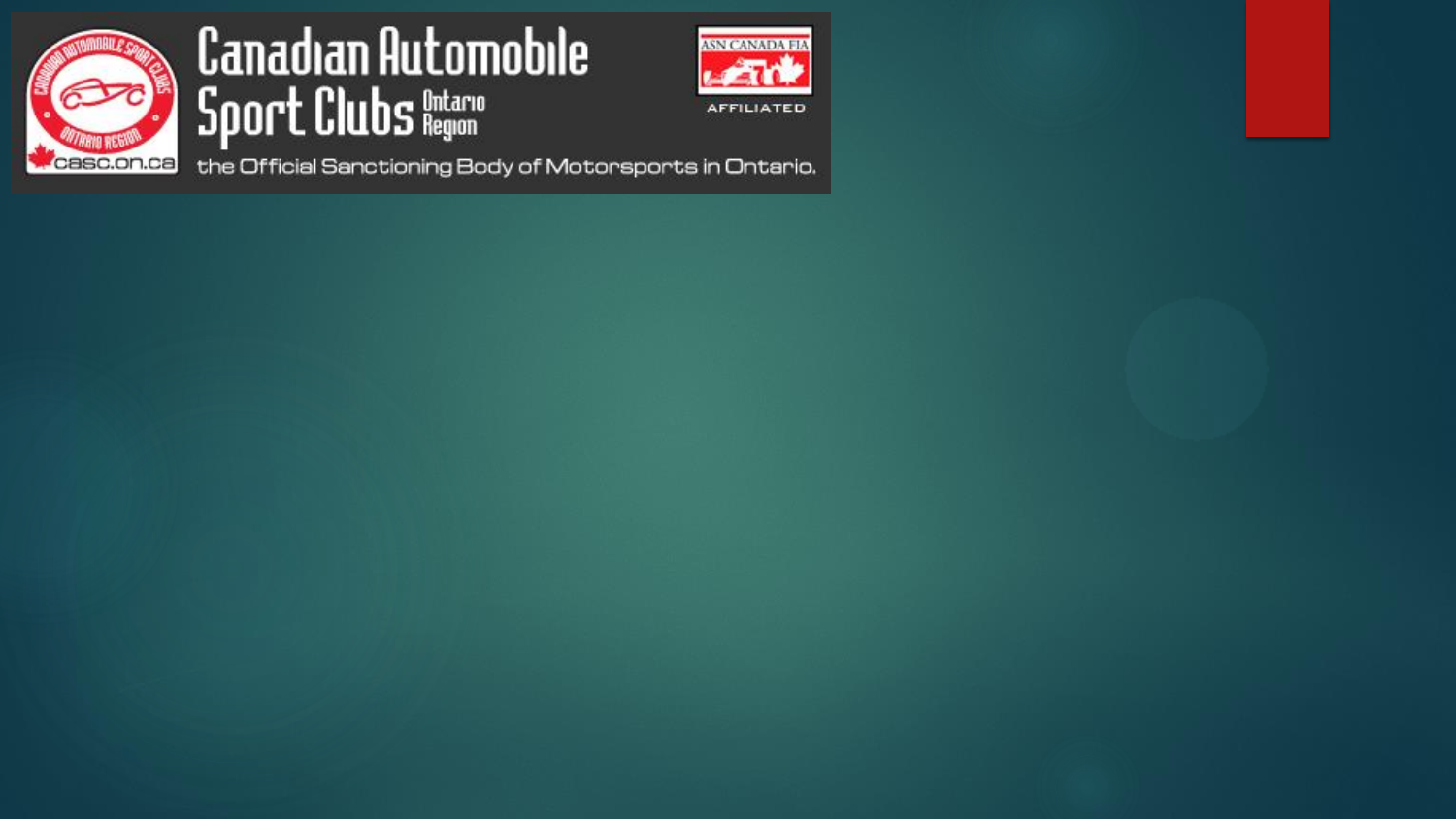

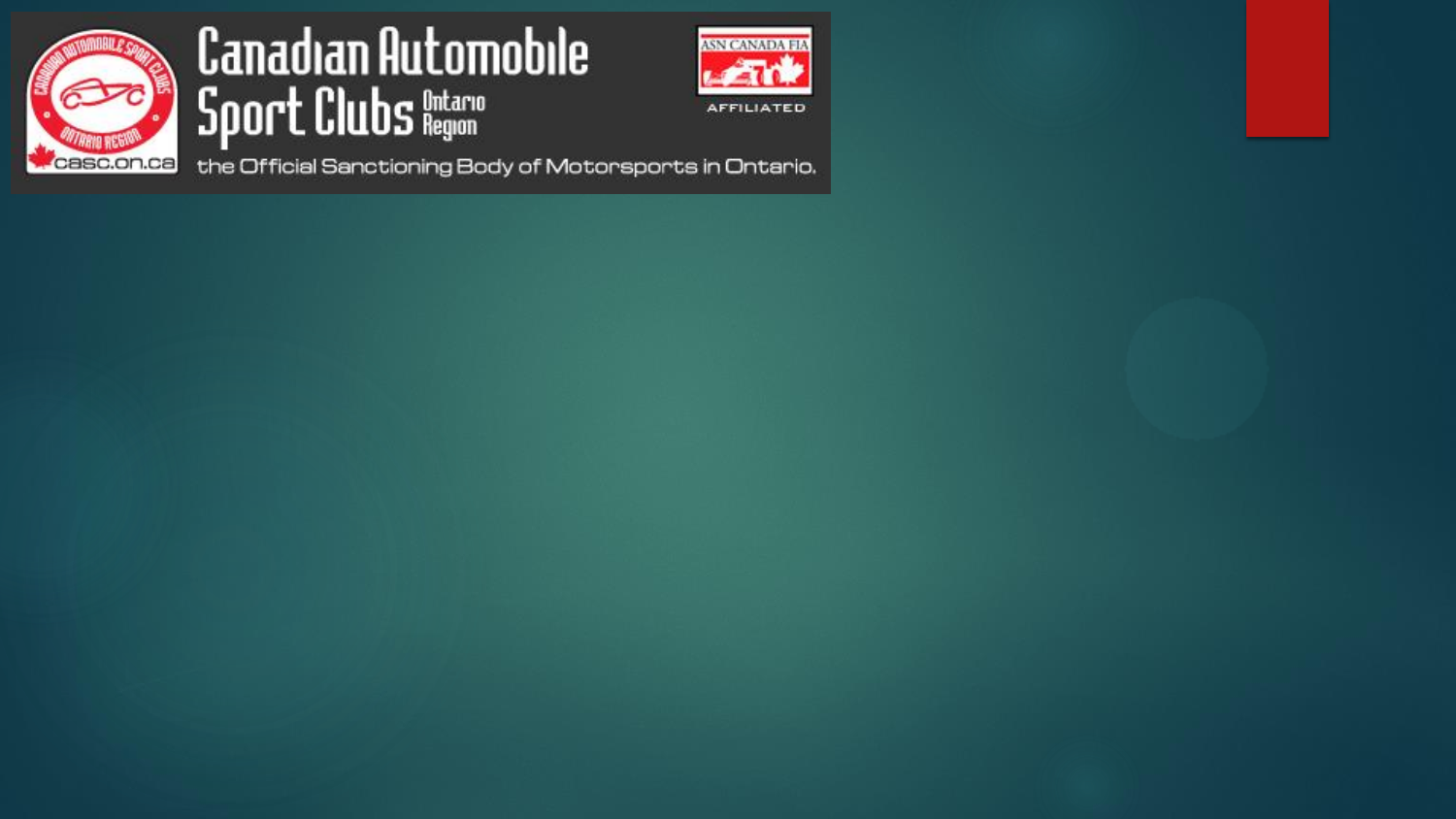

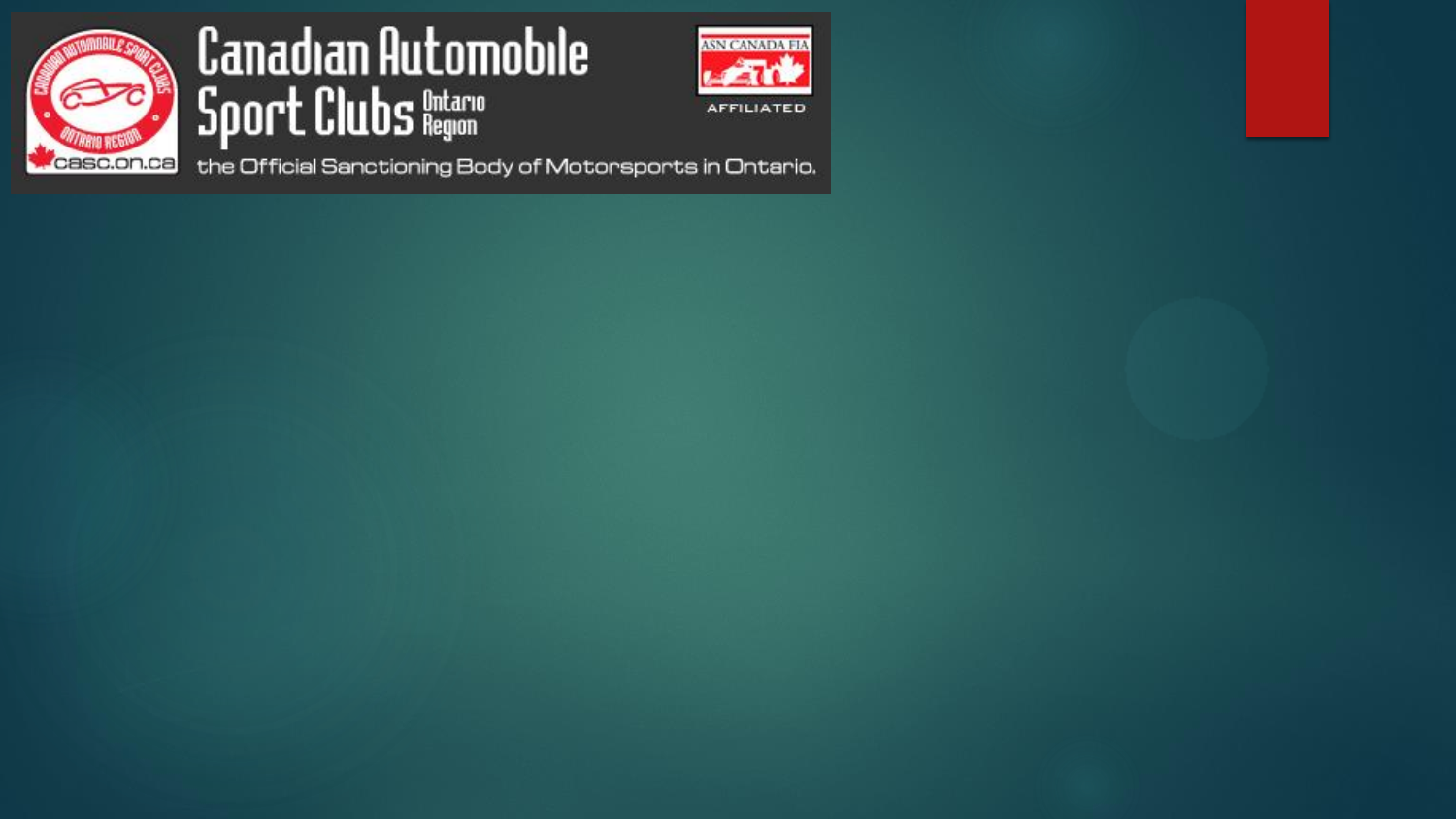

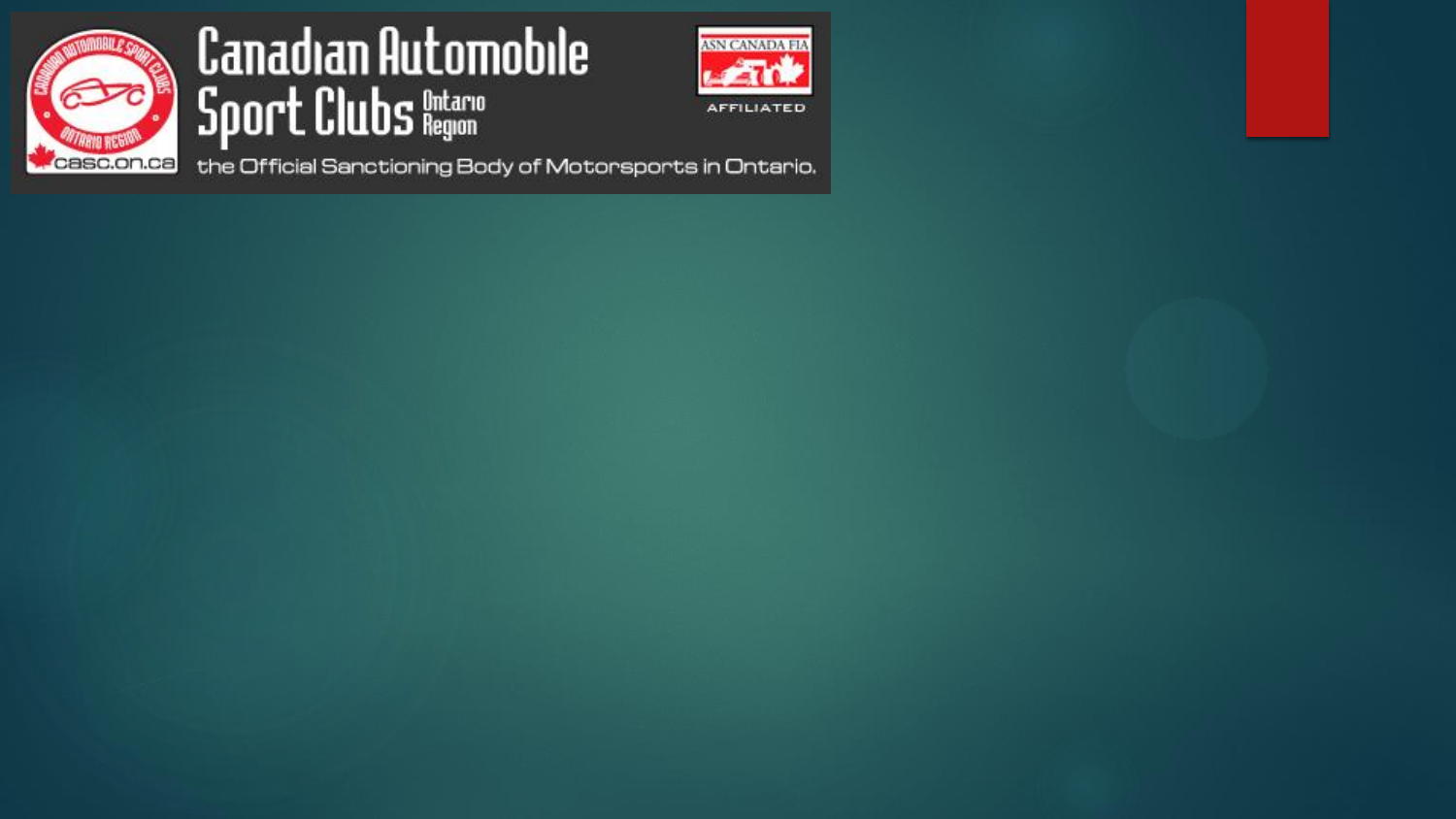

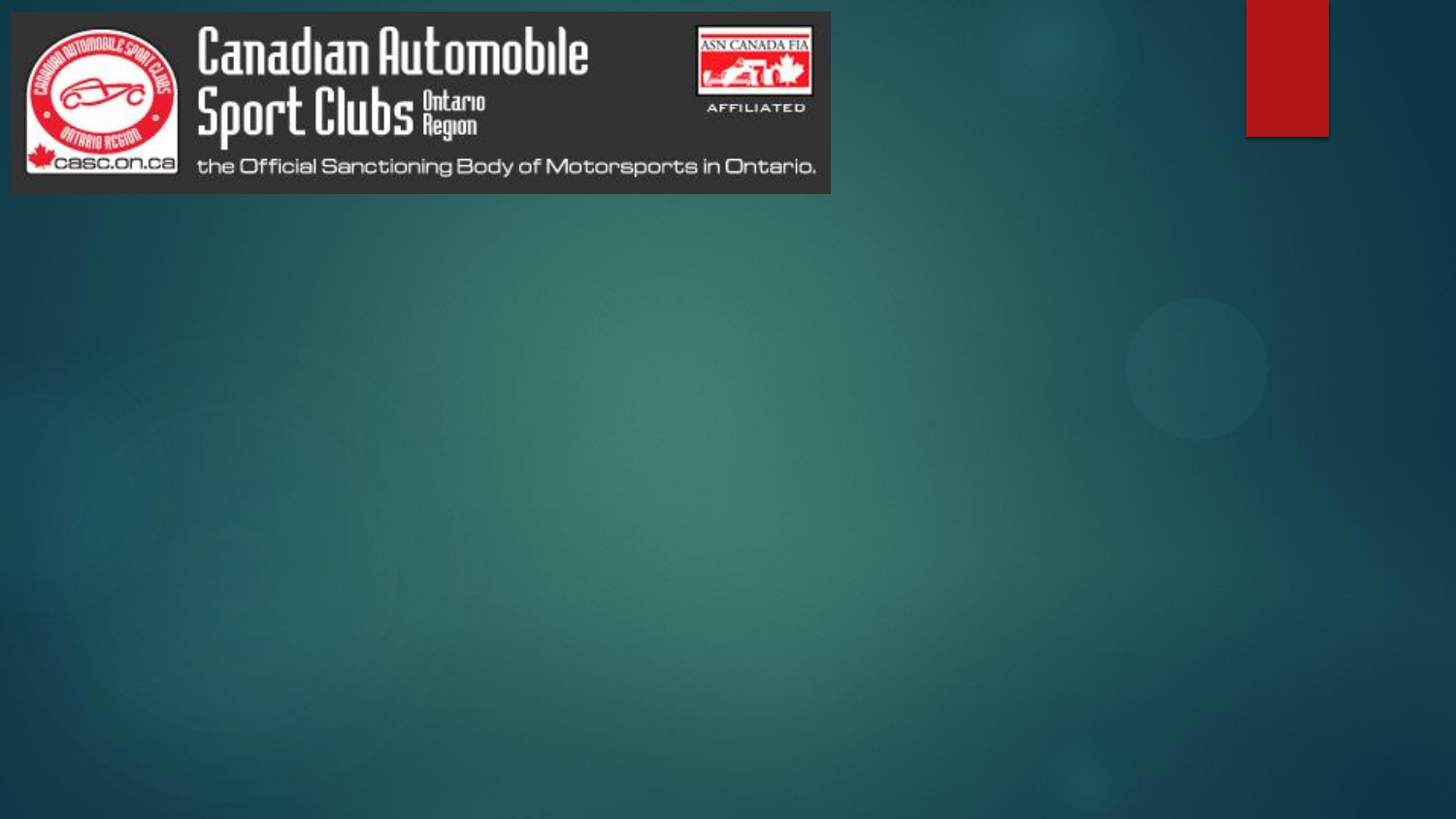

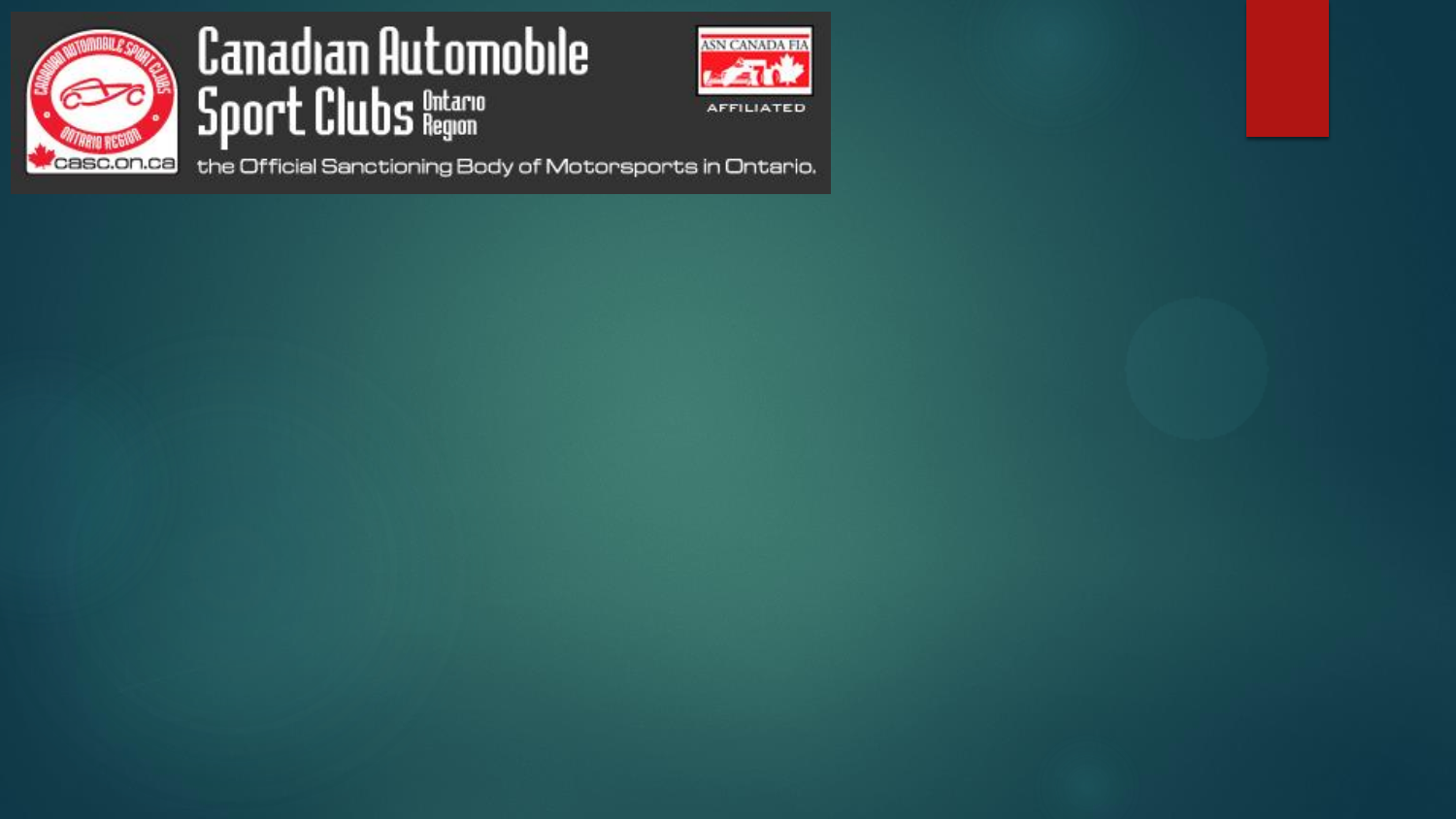

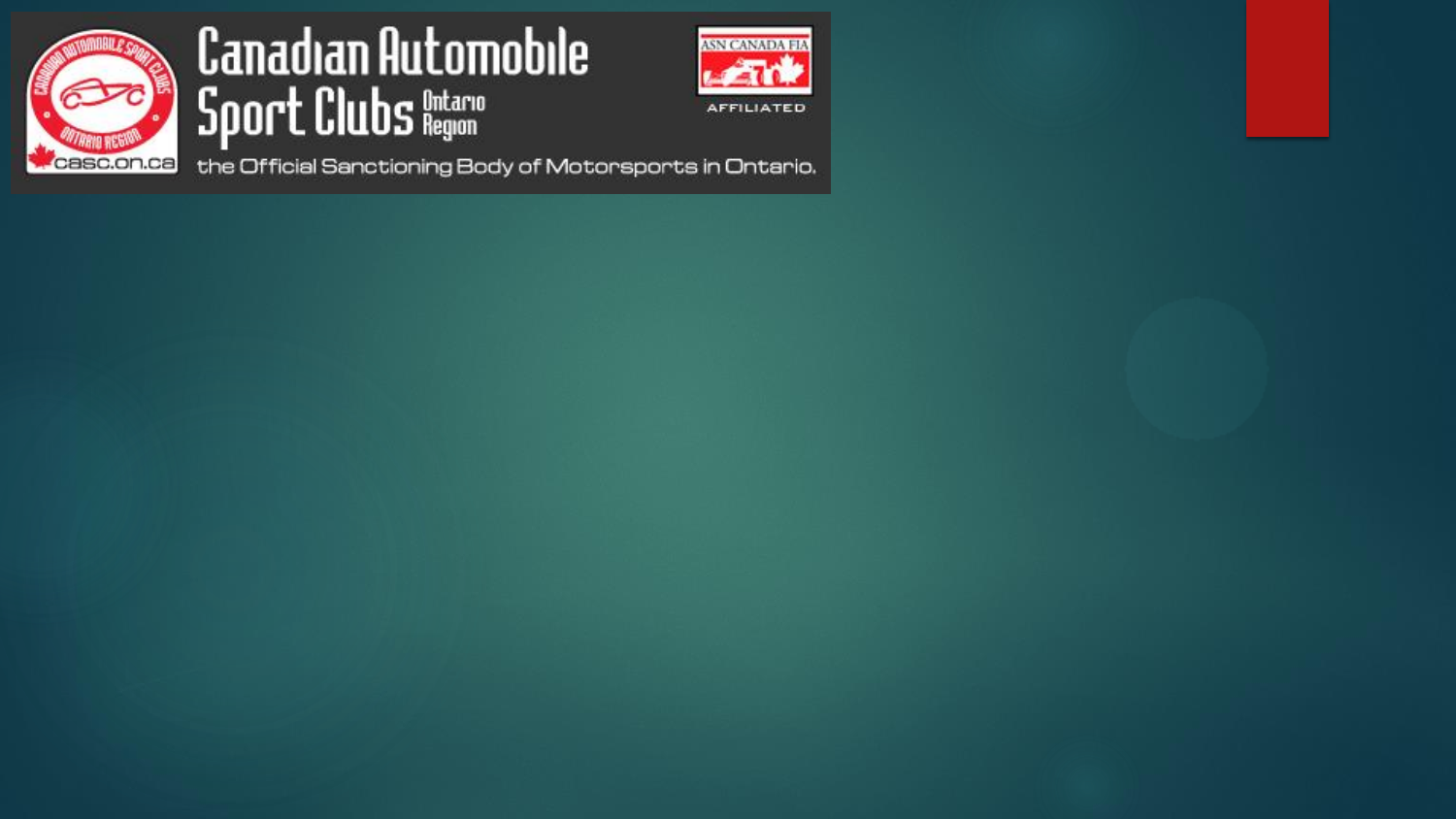

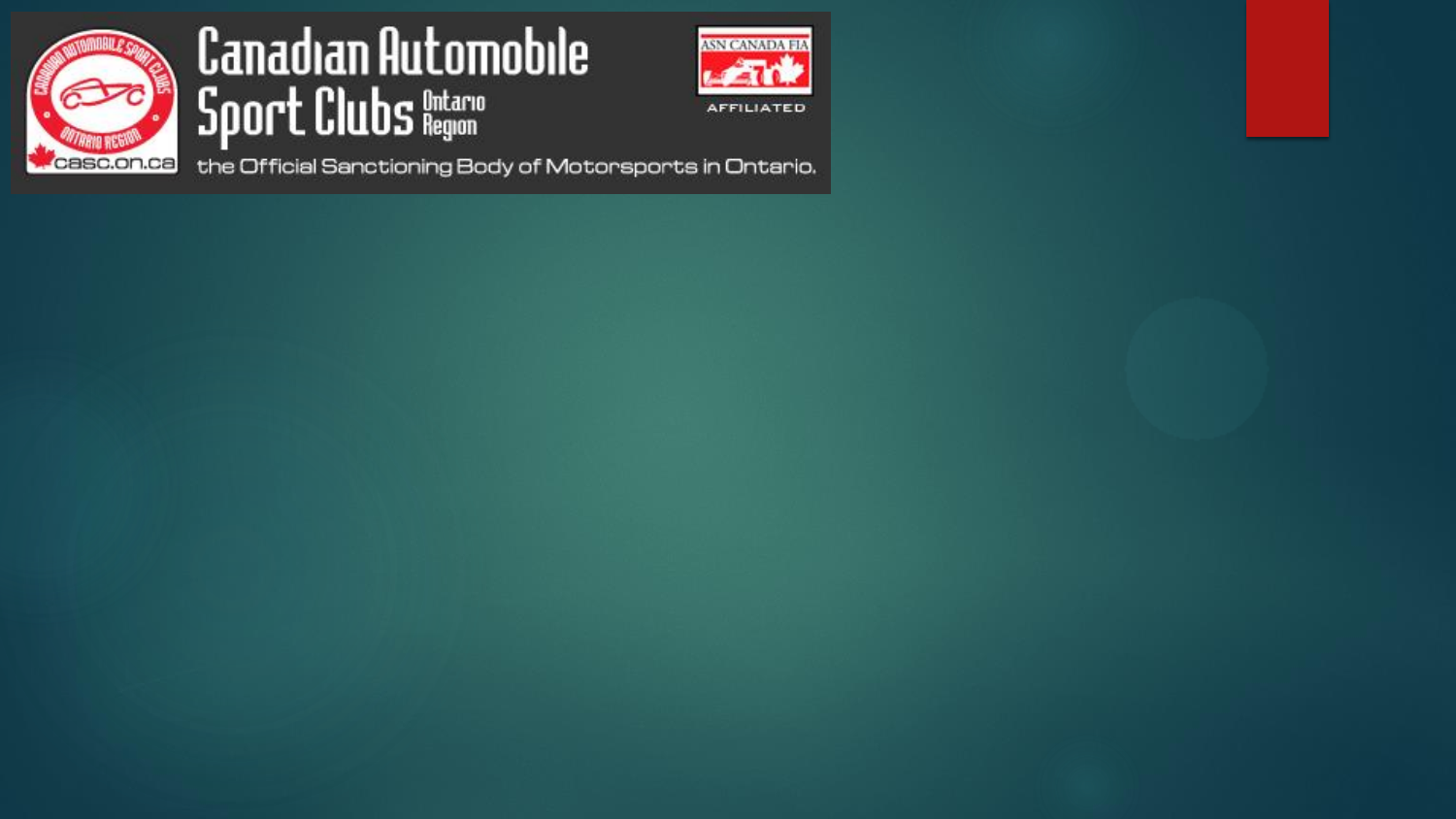

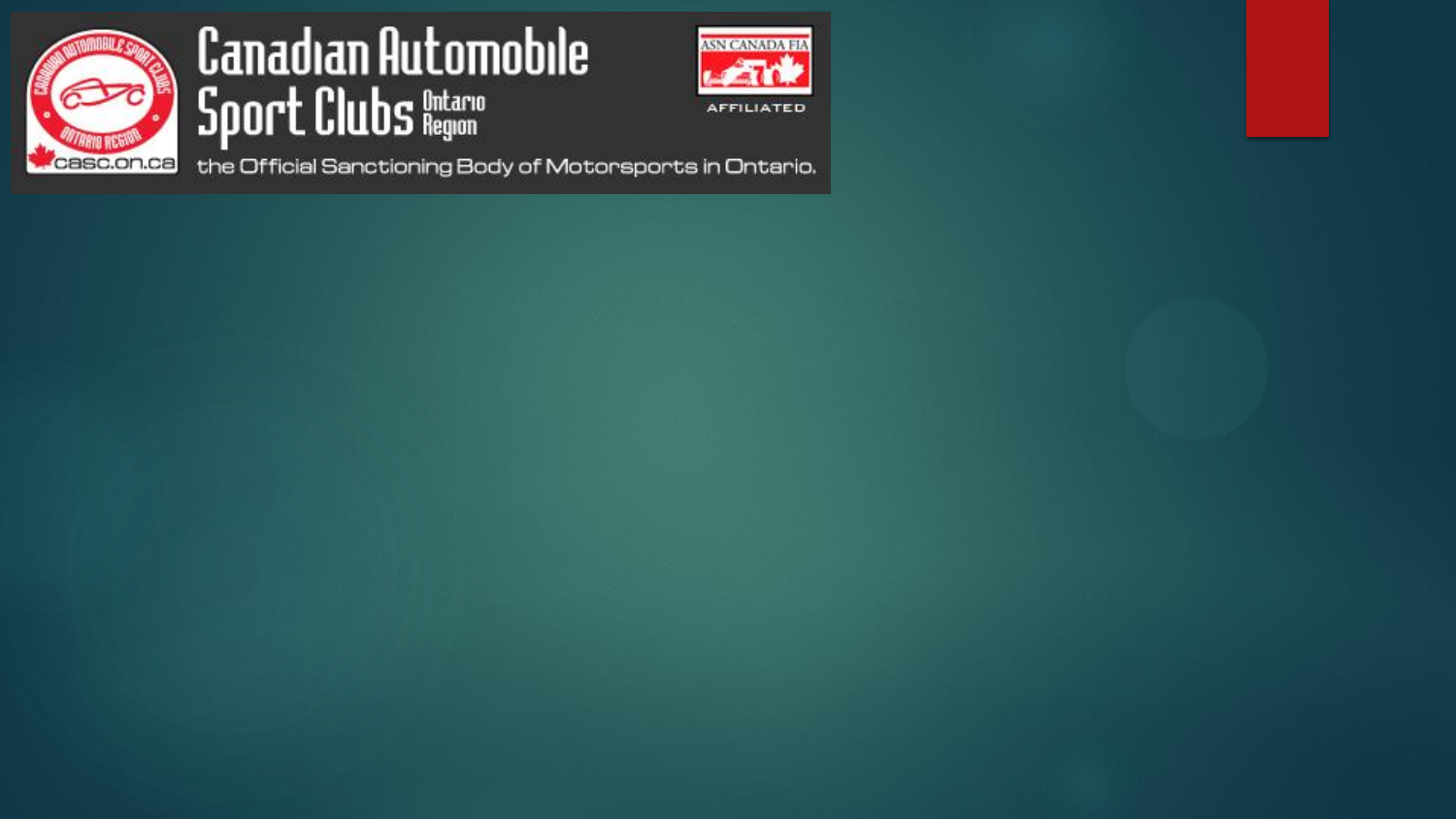

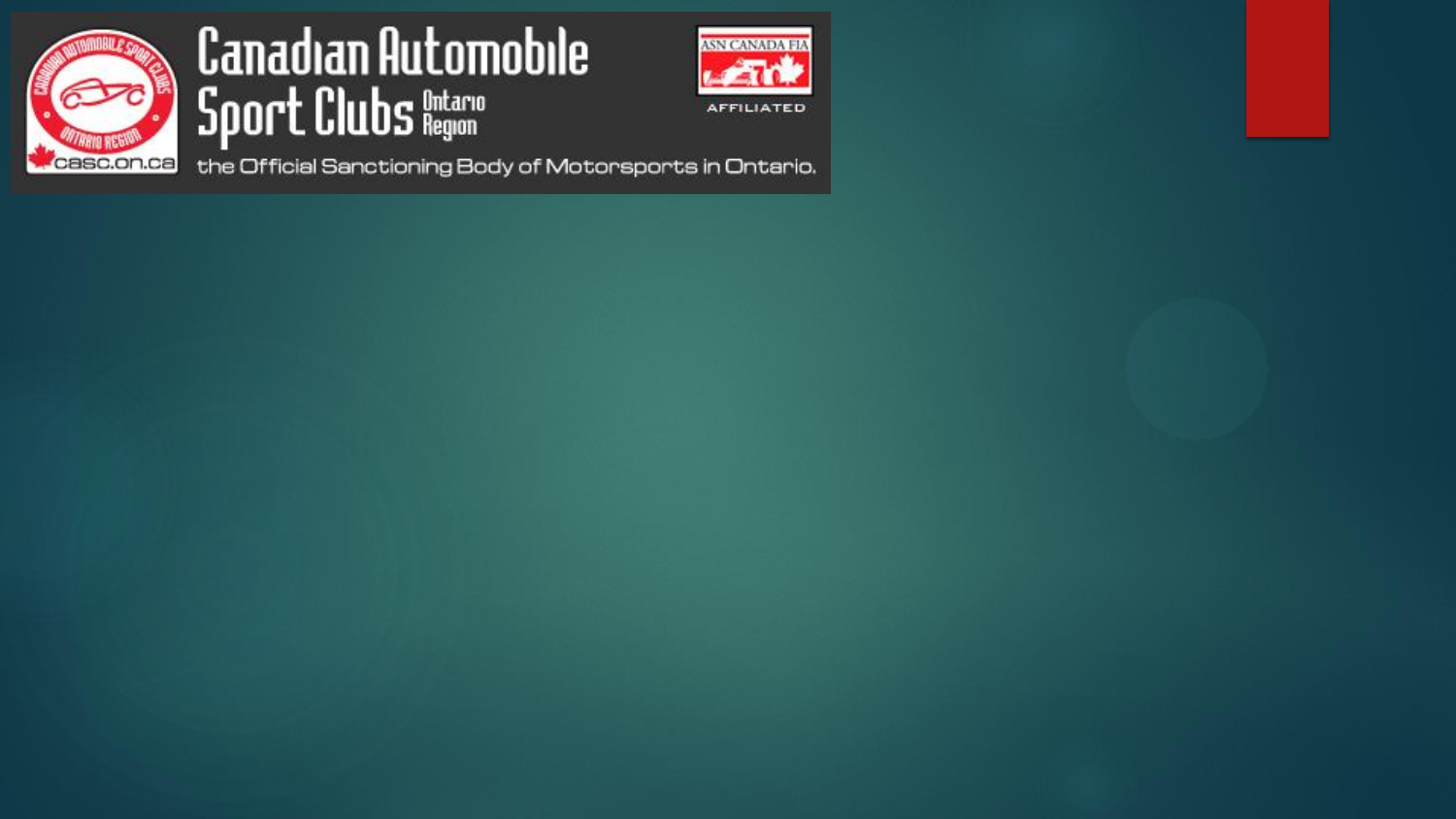

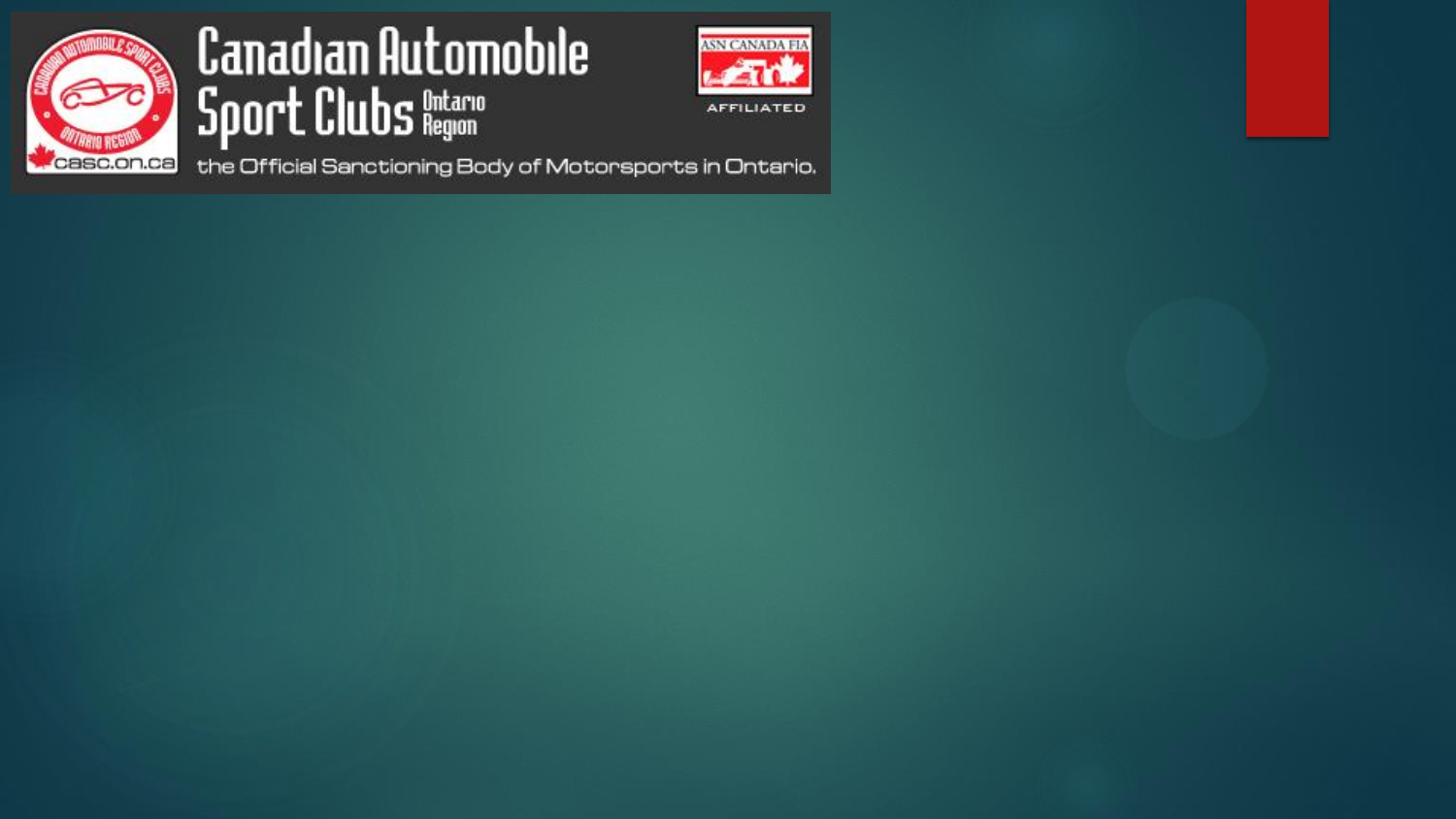

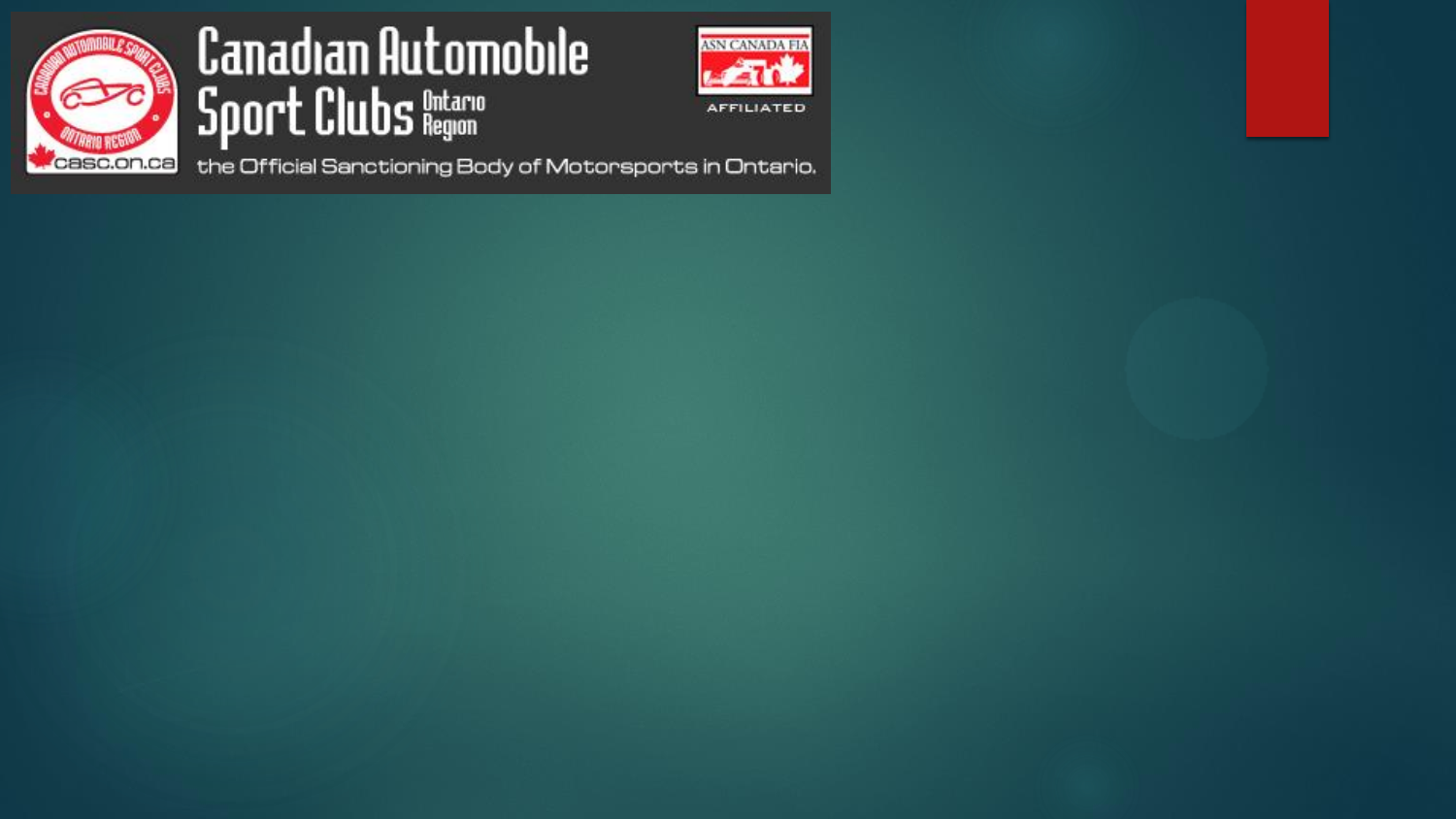

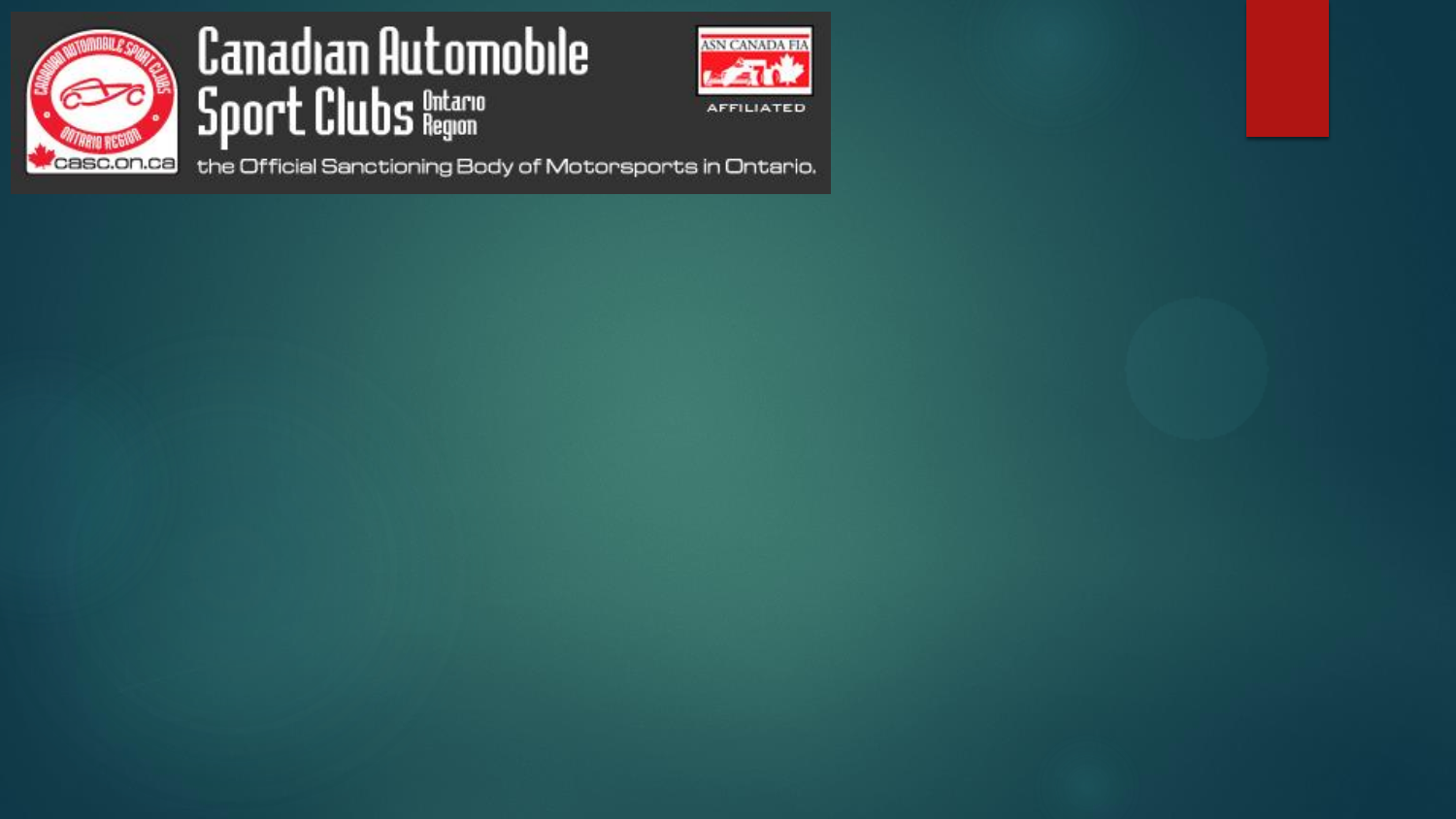